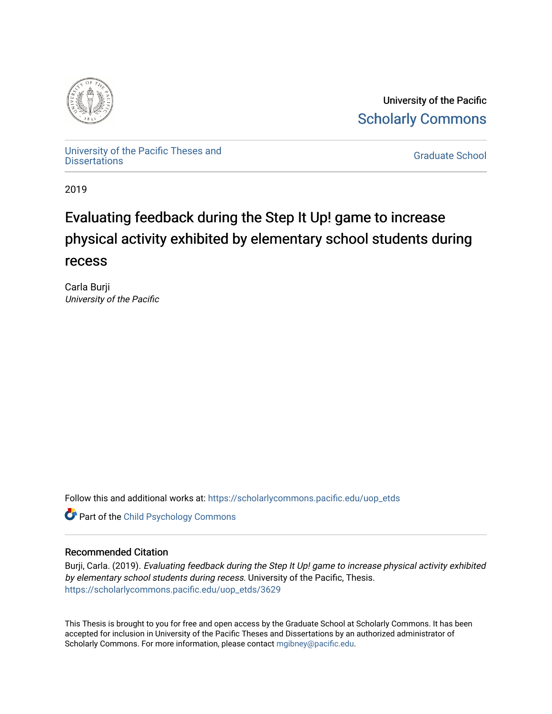

University of the Pacific [Scholarly Commons](https://scholarlycommons.pacific.edu/) 

[University of the Pacific Theses and](https://scholarlycommons.pacific.edu/uop_etds)  oniversity of the Pacific Theses and the control of the Control of [Graduate School](https://scholarlycommons.pacific.edu/graduate-school) Dissertations

2019

# Evaluating feedback during the Step It Up! game to increase physical activity exhibited by elementary school students during recess

Carla Burji University of the Pacific

Follow this and additional works at: [https://scholarlycommons.pacific.edu/uop\\_etds](https://scholarlycommons.pacific.edu/uop_etds?utm_source=scholarlycommons.pacific.edu%2Fuop_etds%2F3629&utm_medium=PDF&utm_campaign=PDFCoverPages) 

**Part of the Child Psychology Commons** 

# Recommended Citation

Burji, Carla. (2019). Evaluating feedback during the Step It Up! game to increase physical activity exhibited by elementary school students during recess. University of the Pacific, Thesis. [https://scholarlycommons.pacific.edu/uop\\_etds/3629](https://scholarlycommons.pacific.edu/uop_etds/3629?utm_source=scholarlycommons.pacific.edu%2Fuop_etds%2F3629&utm_medium=PDF&utm_campaign=PDFCoverPages) 

This Thesis is brought to you for free and open access by the Graduate School at Scholarly Commons. It has been accepted for inclusion in University of the Pacific Theses and Dissertations by an authorized administrator of Scholarly Commons. For more information, please contact [mgibney@pacific.edu.](mailto:mgibney@pacific.edu)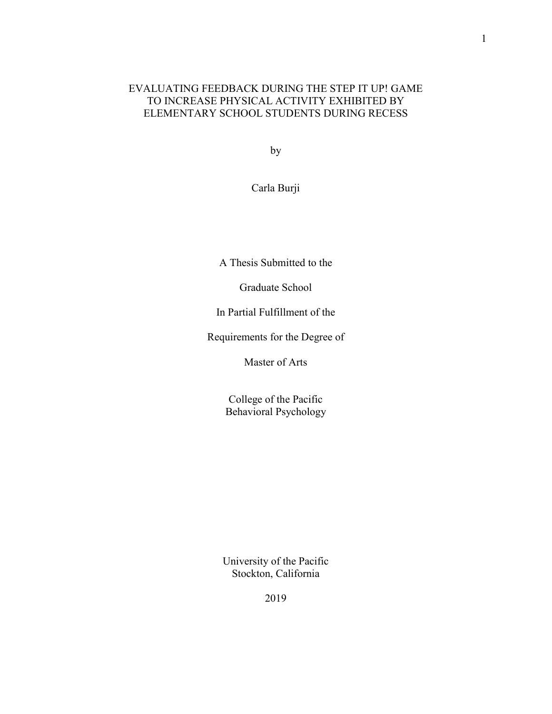# EVALUATING FEEDBACK DURING THE STEP IT UP! GAME TO INCREASE PHYSICAL ACTIVITY EXHIBITED BY ELEMENTARY SCHOOL STUDENTS DURING RECESS

by

Carla Burji

A Thesis Submitted to the

Graduate School

In Partial Fulfillment of the

Requirements for the Degree of

Master of Arts

College of the Pacific Behavioral Psychology

University of the Pacific Stockton, California

2019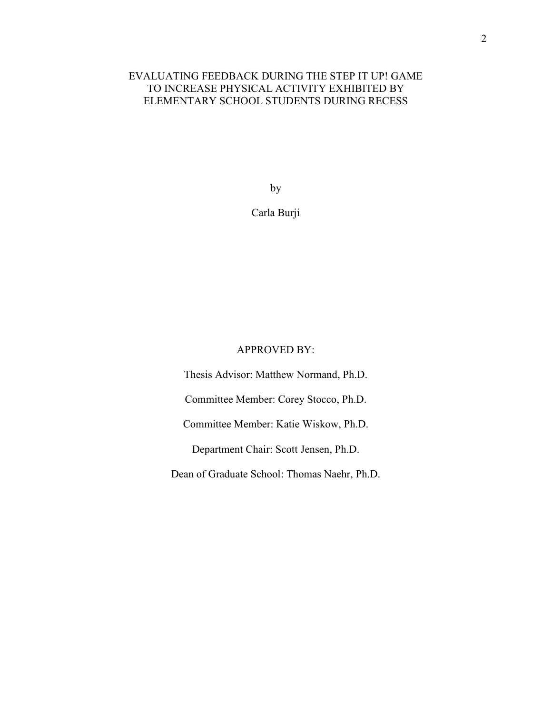# EVALUATING FEEDBACK DURING THE STEP IT UP! GAME TO INCREASE PHYSICAL ACTIVITY EXHIBITED BY ELEMENTARY SCHOOL STUDENTS DURING RECESS

by

Carla Burji

# APPROVED BY:

Thesis Advisor: Matthew Normand, Ph.D. Committee Member: Corey Stocco, Ph.D. Committee Member: Katie Wiskow, Ph.D. Department Chair: Scott Jensen, Ph.D. Dean of Graduate School: Thomas Naehr, Ph.D.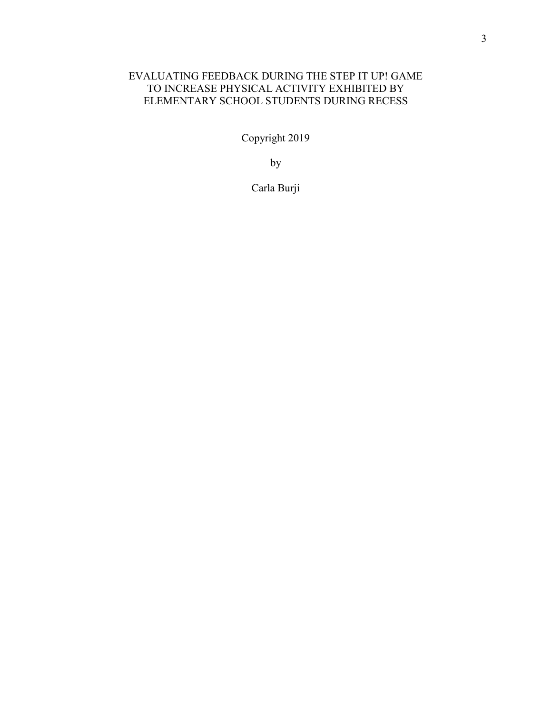# EVALUATING FEEDBACK DURING THE STEP IT UP! GAME TO INCREASE PHYSICAL ACTIVITY EXHIBITED BY ELEMENTARY SCHOOL STUDENTS DURING RECESS

Copyright 2019

by

Carla Burji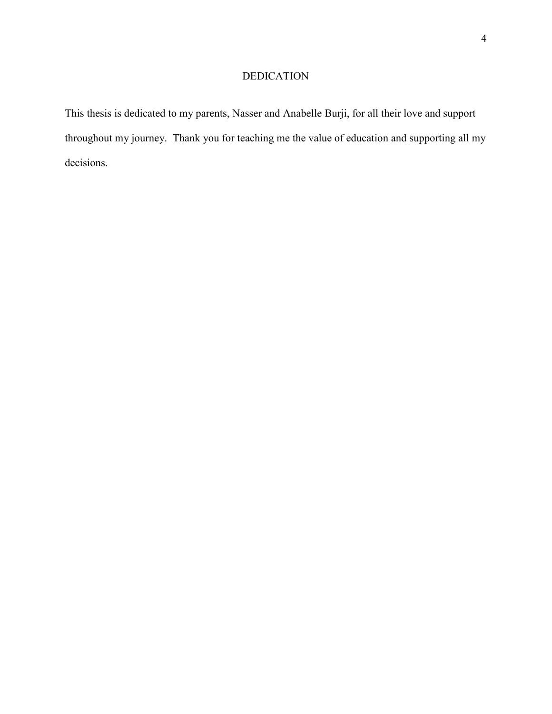# DEDICATION

This thesis is dedicated to my parents, Nasser and Anabelle Burji, for all their love and support throughout my journey. Thank you for teaching me the value of education and supporting all my decisions.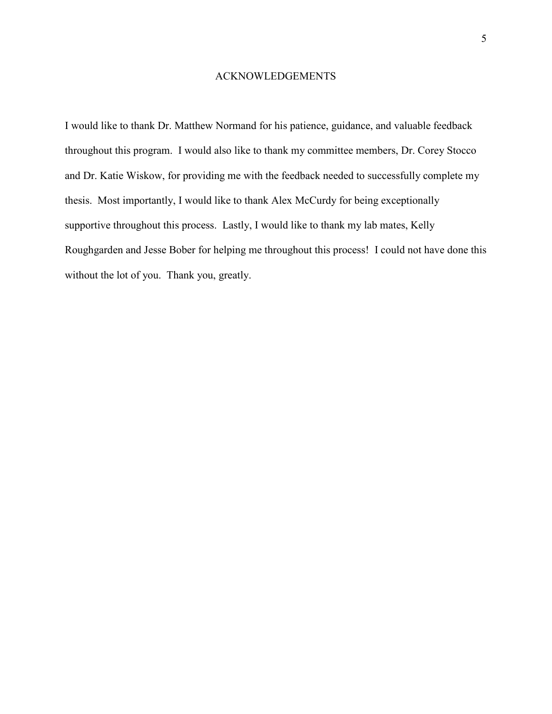#### ACKNOWLEDGEMENTS

I would like to thank Dr. Matthew Normand for his patience, guidance, and valuable feedback throughout this program. I would also like to thank my committee members, Dr. Corey Stocco and Dr. Katie Wiskow, for providing me with the feedback needed to successfully complete my thesis. Most importantly, I would like to thank Alex McCurdy for being exceptionally supportive throughout this process. Lastly, I would like to thank my lab mates, Kelly Roughgarden and Jesse Bober for helping me throughout this process! I could not have done this without the lot of you. Thank you, greatly.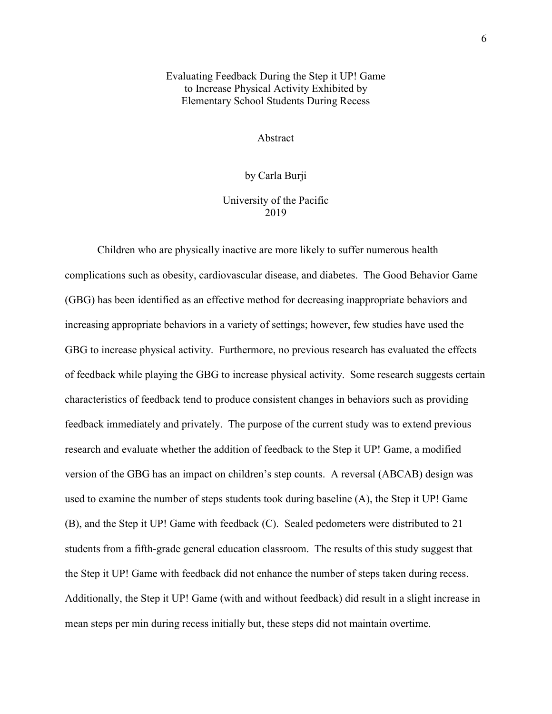# Evaluating Feedback During the Step it UP! Game to Increase Physical Activity Exhibited by Elementary School Students During Recess

Abstract

by Carla Burji

University of the Pacific 2019

Children who are physically inactive are more likely to suffer numerous health complications such as obesity, cardiovascular disease, and diabetes. The Good Behavior Game (GBG) has been identified as an effective method for decreasing inappropriate behaviors and increasing appropriate behaviors in a variety of settings; however, few studies have used the GBG to increase physical activity. Furthermore, no previous research has evaluated the effects of feedback while playing the GBG to increase physical activity. Some research suggests certain characteristics of feedback tend to produce consistent changes in behaviors such as providing feedback immediately and privately. The purpose of the current study was to extend previous research and evaluate whether the addition of feedback to the Step it UP! Game, a modified version of the GBG has an impact on children's step counts. A reversal (ABCAB) design was used to examine the number of steps students took during baseline (A), the Step it UP! Game (B), and the Step it UP! Game with feedback (C). Sealed pedometers were distributed to 21 students from a fifth-grade general education classroom. The results of this study suggest that the Step it UP! Game with feedback did not enhance the number of steps taken during recess. Additionally, the Step it UP! Game (with and without feedback) did result in a slight increase in mean steps per min during recess initially but, these steps did not maintain overtime.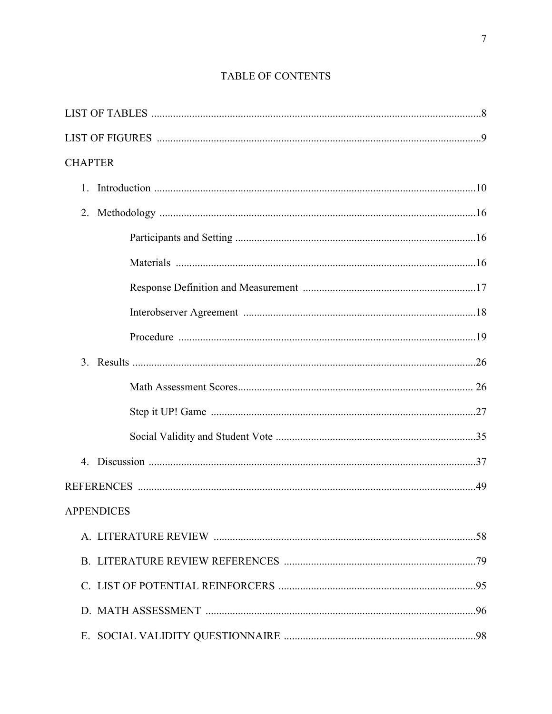| <b>CHAPTER</b>    |  |
|-------------------|--|
|                   |  |
|                   |  |
|                   |  |
|                   |  |
|                   |  |
|                   |  |
|                   |  |
|                   |  |
|                   |  |
|                   |  |
|                   |  |
|                   |  |
|                   |  |
| <b>APPENDICES</b> |  |
|                   |  |
|                   |  |
|                   |  |
|                   |  |
|                   |  |

# TABLE OF CONTENTS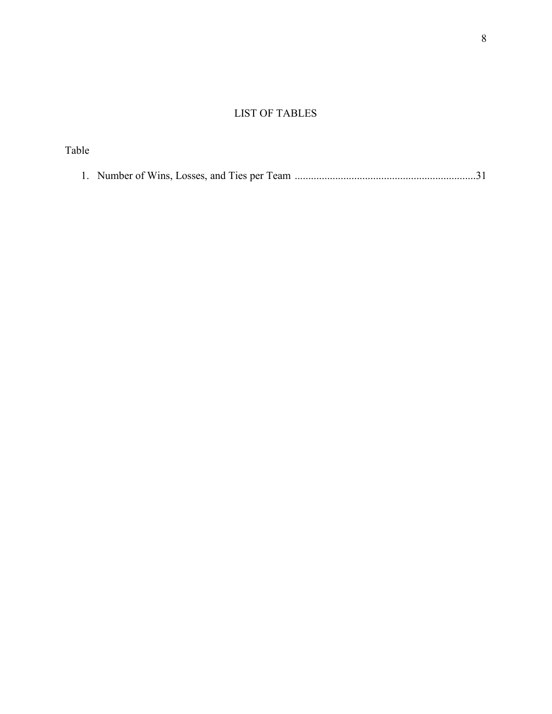# LIST OF TABLES

| Table |  |
|-------|--|
|       |  |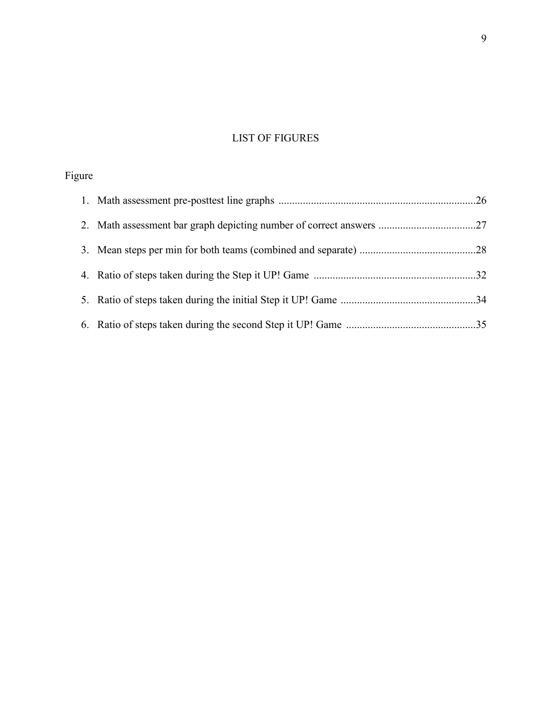# LIST OF FIGURES

# Figure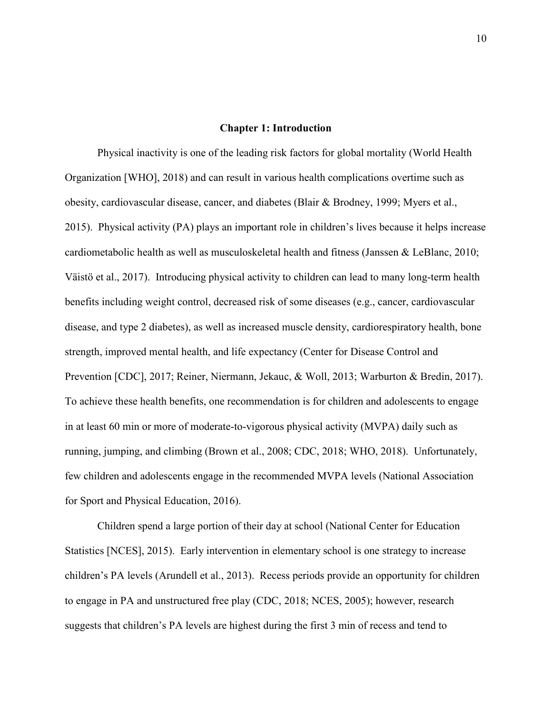#### **Chapter 1: Introduction**

Physical inactivity is one of the leading risk factors for global mortality (World Health Organization [WHO], 2018) and can result in various health complications overtime such as obesity, cardiovascular disease, cancer, and diabetes (Blair & Brodney, 1999; Myers et al., 2015). Physical activity (PA) plays an important role in children's lives because it helps increase cardiometabolic health as well as musculoskeletal health and fitness (Janssen & LeBlanc, 2010; Väistö et al., 2017). Introducing physical activity to children can lead to many long-term health benefits including weight control, decreased risk of some diseases (e.g., cancer, cardiovascular disease, and type 2 diabetes), as well as increased muscle density, cardiorespiratory health, bone strength, improved mental health, and life expectancy (Center for Disease Control and Prevention [CDC], 2017; Reiner, Niermann, Jekauc, & Woll, 2013; Warburton & Bredin, 2017). To achieve these health benefits, one recommendation is for children and adolescents to engage in at least 60 min or more of moderate-to-vigorous physical activity (MVPA) daily such as running, jumping, and climbing (Brown et al., 2008; CDC, 2018; WHO, 2018). Unfortunately, few children and adolescents engage in the recommended MVPA levels (National Association for Sport and Physical Education, 2016).

Children spend a large portion of their day at school (National Center for Education Statistics [NCES], 2015). Early intervention in elementary school is one strategy to increase children's PA levels (Arundell et al., 2013). Recess periods provide an opportunity for children to engage in PA and unstructured free play (CDC, 2018; NCES, 2005); however, research suggests that children's PA levels are highest during the first 3 min of recess and tend to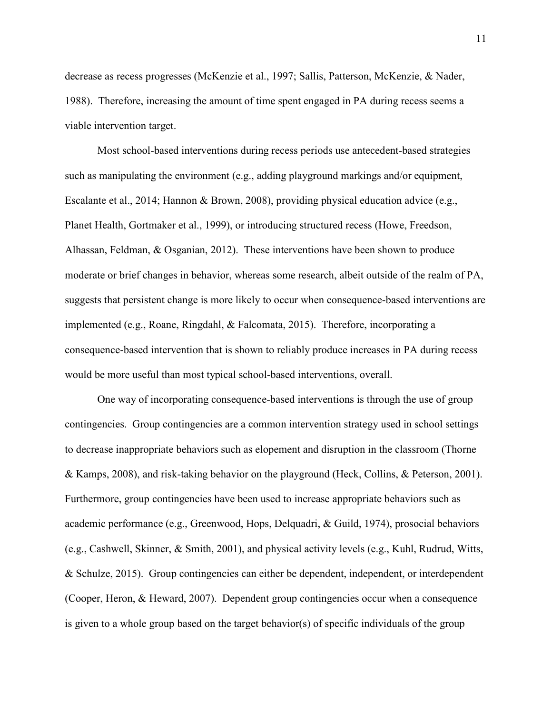decrease as recess progresses (McKenzie et al., 1997; Sallis, Patterson, McKenzie, & Nader, 1988). Therefore, increasing the amount of time spent engaged in PA during recess seems a viable intervention target.

Most school-based interventions during recess periods use antecedent-based strategies such as manipulating the environment (e.g., adding playground markings and/or equipment, Escalante et al., 2014; Hannon & Brown, 2008), providing physical education advice (e.g., Planet Health, Gortmaker et al., 1999), or introducing structured recess (Howe, Freedson, Alhassan, Feldman, & Osganian, 2012). These interventions have been shown to produce moderate or brief changes in behavior, whereas some research, albeit outside of the realm of PA, suggests that persistent change is more likely to occur when consequence-based interventions are implemented (e.g., Roane, Ringdahl, & Falcomata, 2015). Therefore, incorporating a consequence-based intervention that is shown to reliably produce increases in PA during recess would be more useful than most typical school-based interventions, overall.

One way of incorporating consequence-based interventions is through the use of group contingencies. Group contingencies are a common intervention strategy used in school settings to decrease inappropriate behaviors such as elopement and disruption in the classroom (Thorne & Kamps, 2008), and risk-taking behavior on the playground (Heck, Collins, & Peterson, 2001). Furthermore, group contingencies have been used to increase appropriate behaviors such as academic performance (e.g., Greenwood, Hops, Delquadri, & Guild, 1974), prosocial behaviors (e.g., Cashwell, Skinner, & Smith, 2001), and physical activity levels (e.g., Kuhl, Rudrud, Witts, & Schulze, 2015). Group contingencies can either be dependent, independent, or interdependent (Cooper, Heron, & Heward, 2007). Dependent group contingencies occur when a consequence is given to a whole group based on the target behavior(s) of specific individuals of the group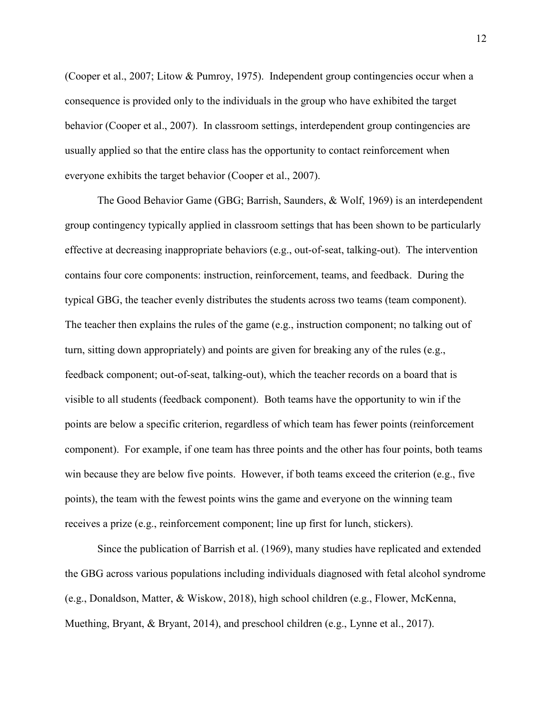(Cooper et al., 2007; Litow & Pumroy, 1975). Independent group contingencies occur when a consequence is provided only to the individuals in the group who have exhibited the target behavior (Cooper et al., 2007). In classroom settings, interdependent group contingencies are usually applied so that the entire class has the opportunity to contact reinforcement when everyone exhibits the target behavior (Cooper et al., 2007).

The Good Behavior Game (GBG; Barrish, Saunders, & Wolf, 1969) is an interdependent group contingency typically applied in classroom settings that has been shown to be particularly effective at decreasing inappropriate behaviors (e.g., out-of-seat, talking-out). The intervention contains four core components: instruction, reinforcement, teams, and feedback. During the typical GBG, the teacher evenly distributes the students across two teams (team component). The teacher then explains the rules of the game (e.g., instruction component; no talking out of turn, sitting down appropriately) and points are given for breaking any of the rules (e.g., feedback component; out-of-seat, talking-out), which the teacher records on a board that is visible to all students (feedback component). Both teams have the opportunity to win if the points are below a specific criterion, regardless of which team has fewer points (reinforcement component). For example, if one team has three points and the other has four points, both teams win because they are below five points. However, if both teams exceed the criterion (e.g., five points), the team with the fewest points wins the game and everyone on the winning team receives a prize (e.g., reinforcement component; line up first for lunch, stickers).

Since the publication of Barrish et al. (1969), many studies have replicated and extended the GBG across various populations including individuals diagnosed with fetal alcohol syndrome (e.g., Donaldson, Matter, & Wiskow, 2018), high school children (e.g., Flower, McKenna, Muething, Bryant, & Bryant, 2014), and preschool children (e.g., Lynne et al., 2017).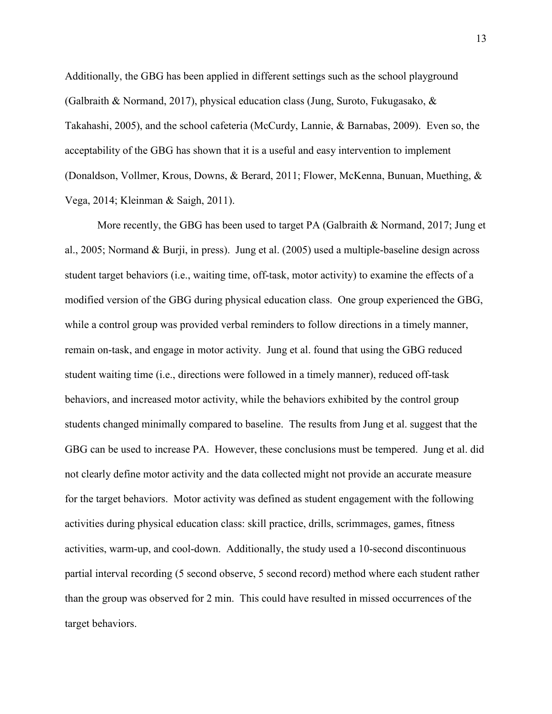Additionally, the GBG has been applied in different settings such as the school playground (Galbraith & Normand, 2017), physical education class (Jung, Suroto, Fukugasako, & Takahashi, 2005), and the school cafeteria (McCurdy, Lannie, & Barnabas, 2009). Even so, the acceptability of the GBG has shown that it is a useful and easy intervention to implement (Donaldson, Vollmer, Krous, Downs, & Berard, 2011; Flower, McKenna, Bunuan, Muething, & Vega, 2014; Kleinman & Saigh, 2011).

More recently, the GBG has been used to target PA (Galbraith & Normand, 2017; Jung et al., 2005; Normand & Burji, in press). Jung et al. (2005) used a multiple-baseline design across student target behaviors (i.e., waiting time, off-task, motor activity) to examine the effects of a modified version of the GBG during physical education class. One group experienced the GBG, while a control group was provided verbal reminders to follow directions in a timely manner, remain on-task, and engage in motor activity. Jung et al. found that using the GBG reduced student waiting time (i.e., directions were followed in a timely manner), reduced off-task behaviors, and increased motor activity, while the behaviors exhibited by the control group students changed minimally compared to baseline. The results from Jung et al. suggest that the GBG can be used to increase PA. However, these conclusions must be tempered. Jung et al. did not clearly define motor activity and the data collected might not provide an accurate measure for the target behaviors. Motor activity was defined as student engagement with the following activities during physical education class: skill practice, drills, scrimmages, games, fitness activities, warm-up, and cool-down. Additionally, the study used a 10-second discontinuous partial interval recording (5 second observe, 5 second record) method where each student rather than the group was observed for 2 min. This could have resulted in missed occurrences of the target behaviors.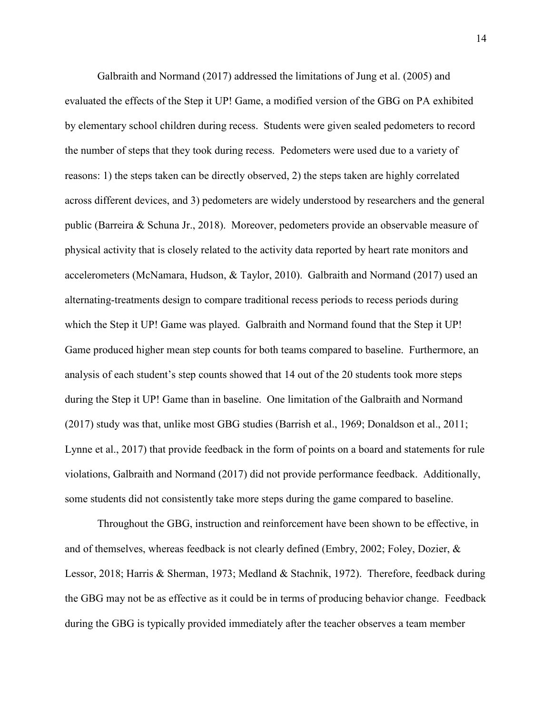Galbraith and Normand (2017) addressed the limitations of Jung et al. (2005) and evaluated the effects of the Step it UP! Game, a modified version of the GBG on PA exhibited by elementary school children during recess. Students were given sealed pedometers to record the number of steps that they took during recess. Pedometers were used due to a variety of reasons: 1) the steps taken can be directly observed, 2) the steps taken are highly correlated across different devices, and 3) pedometers are widely understood by researchers and the general public (Barreira & Schuna Jr., 2018). Moreover, pedometers provide an observable measure of physical activity that is closely related to the activity data reported by heart rate monitors and accelerometers (McNamara, Hudson, & Taylor, 2010). Galbraith and Normand (2017) used an alternating-treatments design to compare traditional recess periods to recess periods during which the Step it UP! Game was played. Galbraith and Normand found that the Step it UP! Game produced higher mean step counts for both teams compared to baseline. Furthermore, an analysis of each student's step counts showed that 14 out of the 20 students took more steps during the Step it UP! Game than in baseline. One limitation of the Galbraith and Normand (2017) study was that, unlike most GBG studies (Barrish et al., 1969; Donaldson et al., 2011; Lynne et al., 2017) that provide feedback in the form of points on a board and statements for rule violations, Galbraith and Normand (2017) did not provide performance feedback. Additionally, some students did not consistently take more steps during the game compared to baseline.

Throughout the GBG, instruction and reinforcement have been shown to be effective, in and of themselves, whereas feedback is not clearly defined (Embry, 2002; Foley, Dozier, & Lessor, 2018; Harris & Sherman, 1973; Medland & Stachnik, 1972). Therefore, feedback during the GBG may not be as effective as it could be in terms of producing behavior change. Feedback during the GBG is typically provided immediately after the teacher observes a team member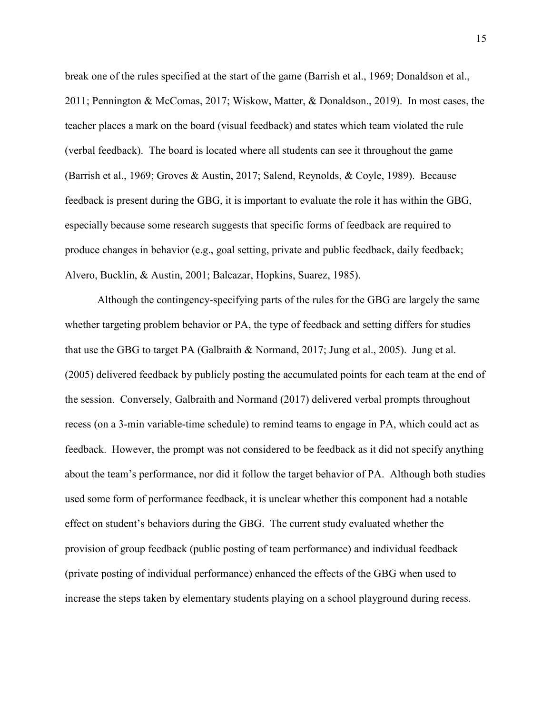break one of the rules specified at the start of the game (Barrish et al., 1969; Donaldson et al., 2011; Pennington & McComas, 2017; Wiskow, Matter, & Donaldson., 2019). In most cases, the teacher places a mark on the board (visual feedback) and states which team violated the rule (verbal feedback). The board is located where all students can see it throughout the game (Barrish et al., 1969; Groves & Austin, 2017; Salend, Reynolds, & Coyle, 1989). Because feedback is present during the GBG, it is important to evaluate the role it has within the GBG, especially because some research suggests that specific forms of feedback are required to produce changes in behavior (e.g., goal setting, private and public feedback, daily feedback; Alvero, Bucklin, & Austin, 2001; Balcazar, Hopkins, Suarez, 1985).

Although the contingency-specifying parts of the rules for the GBG are largely the same whether targeting problem behavior or PA, the type of feedback and setting differs for studies that use the GBG to target PA (Galbraith & Normand, 2017; Jung et al., 2005). Jung et al. (2005) delivered feedback by publicly posting the accumulated points for each team at the end of the session. Conversely, Galbraith and Normand (2017) delivered verbal prompts throughout recess (on a 3-min variable-time schedule) to remind teams to engage in PA, which could act as feedback. However, the prompt was not considered to be feedback as it did not specify anything about the team's performance, nor did it follow the target behavior of PA. Although both studies used some form of performance feedback, it is unclear whether this component had a notable effect on student's behaviors during the GBG. The current study evaluated whether the provision of group feedback (public posting of team performance) and individual feedback (private posting of individual performance) enhanced the effects of the GBG when used to increase the steps taken by elementary students playing on a school playground during recess.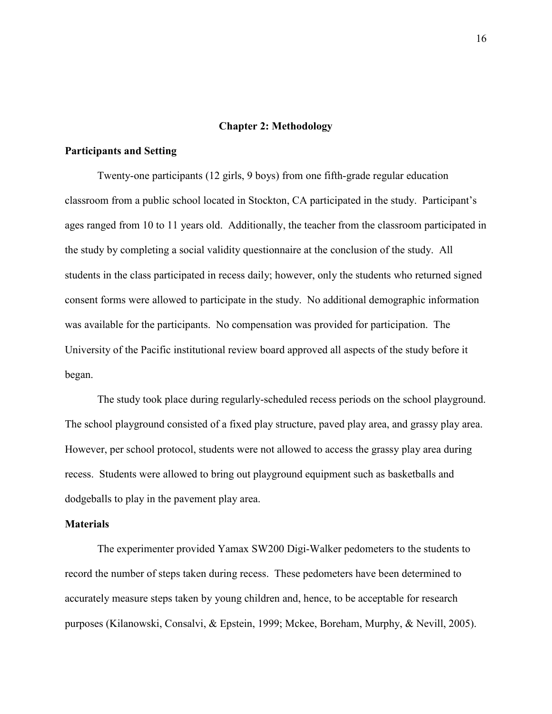#### **Chapter 2: Methodology**

### **Participants and Setting**

Twenty-one participants (12 girls, 9 boys) from one fifth-grade regular education classroom from a public school located in Stockton, CA participated in the study. Participant's ages ranged from 10 to 11 years old. Additionally, the teacher from the classroom participated in the study by completing a social validity questionnaire at the conclusion of the study. All students in the class participated in recess daily; however, only the students who returned signed consent forms were allowed to participate in the study. No additional demographic information was available for the participants. No compensation was provided for participation. The University of the Pacific institutional review board approved all aspects of the study before it began.

The study took place during regularly-scheduled recess periods on the school playground. The school playground consisted of a fixed play structure, paved play area, and grassy play area. However, per school protocol, students were not allowed to access the grassy play area during recess. Students were allowed to bring out playground equipment such as basketballs and dodgeballs to play in the pavement play area.

#### **Materials**

The experimenter provided Yamax SW200 Digi-Walker pedometers to the students to record the number of steps taken during recess. These pedometers have been determined to accurately measure steps taken by young children and, hence, to be acceptable for research purposes (Kilanowski, Consalvi, & Epstein, 1999; Mckee, Boreham, Murphy, & Nevill, 2005).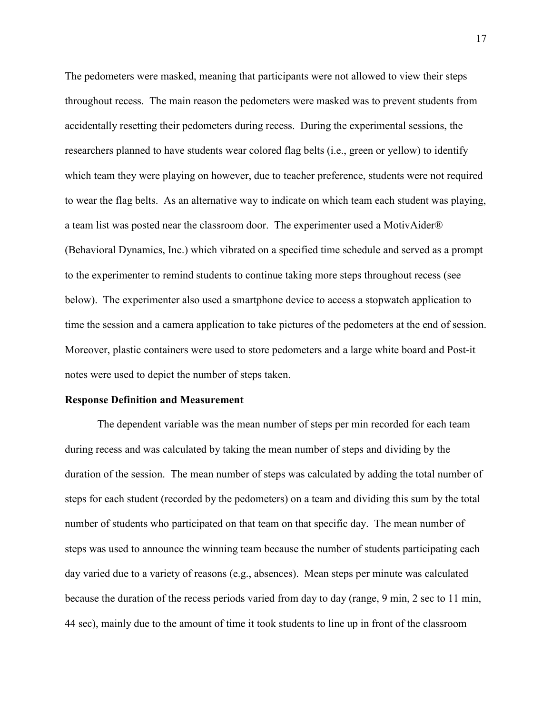The pedometers were masked, meaning that participants were not allowed to view their steps throughout recess. The main reason the pedometers were masked was to prevent students from accidentally resetting their pedometers during recess. During the experimental sessions, the researchers planned to have students wear colored flag belts (i.e., green or yellow) to identify which team they were playing on however, due to teacher preference, students were not required to wear the flag belts. As an alternative way to indicate on which team each student was playing, a team list was posted near the classroom door. The experimenter used a MotivAider® (Behavioral Dynamics, Inc.) which vibrated on a specified time schedule and served as a prompt to the experimenter to remind students to continue taking more steps throughout recess (see below). The experimenter also used a smartphone device to access a stopwatch application to time the session and a camera application to take pictures of the pedometers at the end of session. Moreover, plastic containers were used to store pedometers and a large white board and Post-it notes were used to depict the number of steps taken.

#### **Response Definition and Measurement**

 The dependent variable was the mean number of steps per min recorded for each team during recess and was calculated by taking the mean number of steps and dividing by the duration of the session. The mean number of steps was calculated by adding the total number of steps for each student (recorded by the pedometers) on a team and dividing this sum by the total number of students who participated on that team on that specific day. The mean number of steps was used to announce the winning team because the number of students participating each day varied due to a variety of reasons (e.g., absences). Mean steps per minute was calculated because the duration of the recess periods varied from day to day (range, 9 min, 2 sec to 11 min, 44 sec), mainly due to the amount of time it took students to line up in front of the classroom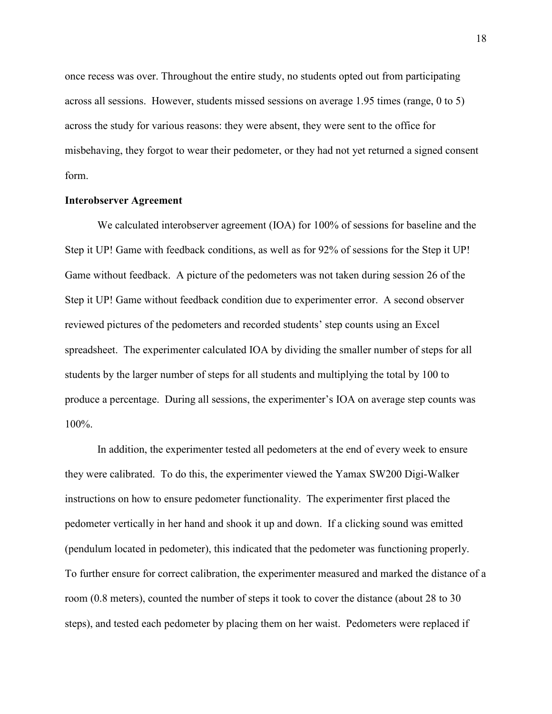once recess was over. Throughout the entire study, no students opted out from participating across all sessions. However, students missed sessions on average 1.95 times (range, 0 to 5) across the study for various reasons: they were absent, they were sent to the office for misbehaving, they forgot to wear their pedometer, or they had not yet returned a signed consent form.

#### **Interobserver Agreement**

 We calculated interobserver agreement (IOA) for 100% of sessions for baseline and the Step it UP! Game with feedback conditions, as well as for 92% of sessions for the Step it UP! Game without feedback. A picture of the pedometers was not taken during session 26 of the Step it UP! Game without feedback condition due to experimenter error. A second observer reviewed pictures of the pedometers and recorded students' step counts using an Excel spreadsheet. The experimenter calculated IOA by dividing the smaller number of steps for all students by the larger number of steps for all students and multiplying the total by 100 to produce a percentage. During all sessions, the experimenter's IOA on average step counts was 100%.

In addition, the experimenter tested all pedometers at the end of every week to ensure they were calibrated. To do this, the experimenter viewed the Yamax SW200 Digi-Walker instructions on how to ensure pedometer functionality. The experimenter first placed the pedometer vertically in her hand and shook it up and down. If a clicking sound was emitted (pendulum located in pedometer), this indicated that the pedometer was functioning properly. To further ensure for correct calibration, the experimenter measured and marked the distance of a room (0.8 meters), counted the number of steps it took to cover the distance (about 28 to 30 steps), and tested each pedometer by placing them on her waist. Pedometers were replaced if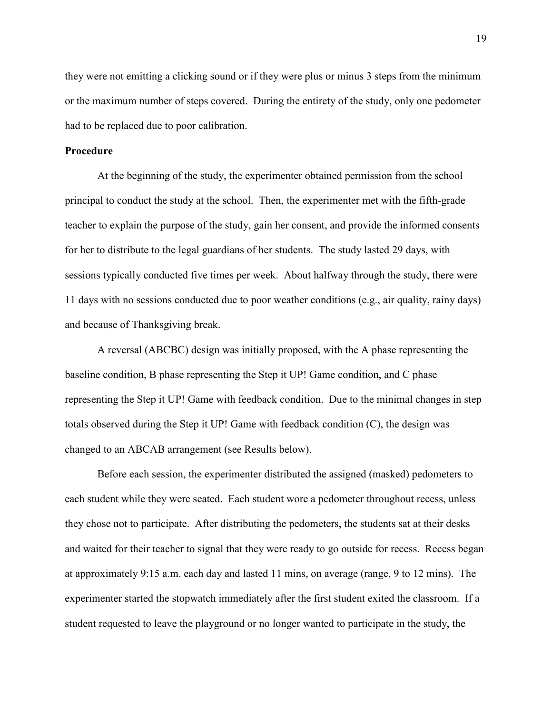they were not emitting a clicking sound or if they were plus or minus 3 steps from the minimum or the maximum number of steps covered. During the entirety of the study, only one pedometer had to be replaced due to poor calibration.

### **Procedure**

 At the beginning of the study, the experimenter obtained permission from the school principal to conduct the study at the school. Then, the experimenter met with the fifth-grade teacher to explain the purpose of the study, gain her consent, and provide the informed consents for her to distribute to the legal guardians of her students. The study lasted 29 days, with sessions typically conducted five times per week. About halfway through the study, there were 11 days with no sessions conducted due to poor weather conditions (e.g., air quality, rainy days) and because of Thanksgiving break.

A reversal (ABCBC) design was initially proposed, with the A phase representing the baseline condition, B phase representing the Step it UP! Game condition, and C phase representing the Step it UP! Game with feedback condition. Due to the minimal changes in step totals observed during the Step it UP! Game with feedback condition (C), the design was changed to an ABCAB arrangement (see Results below).

Before each session, the experimenter distributed the assigned (masked) pedometers to each student while they were seated. Each student wore a pedometer throughout recess, unless they chose not to participate. After distributing the pedometers, the students sat at their desks and waited for their teacher to signal that they were ready to go outside for recess. Recess began at approximately 9:15 a.m. each day and lasted 11 mins, on average (range, 9 to 12 mins). The experimenter started the stopwatch immediately after the first student exited the classroom. If a student requested to leave the playground or no longer wanted to participate in the study, the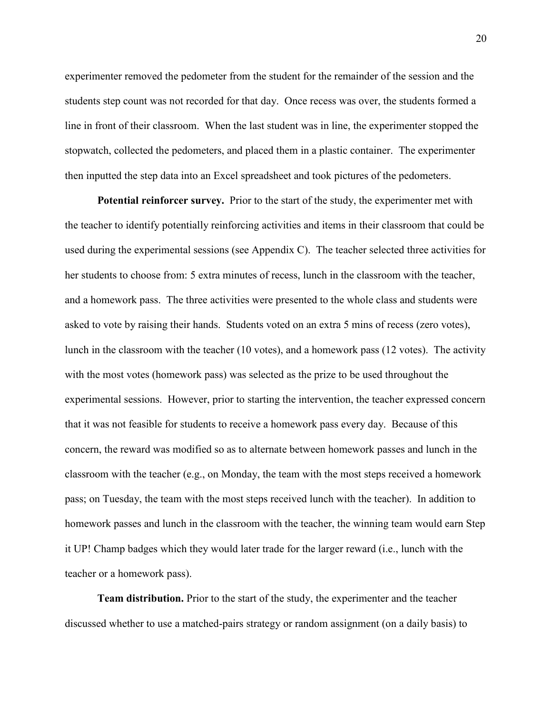experimenter removed the pedometer from the student for the remainder of the session and the students step count was not recorded for that day. Once recess was over, the students formed a line in front of their classroom. When the last student was in line, the experimenter stopped the stopwatch, collected the pedometers, and placed them in a plastic container. The experimenter then inputted the step data into an Excel spreadsheet and took pictures of the pedometers.

**Potential reinforcer survey.** Prior to the start of the study, the experimenter met with the teacher to identify potentially reinforcing activities and items in their classroom that could be used during the experimental sessions (see Appendix C). The teacher selected three activities for her students to choose from: 5 extra minutes of recess, lunch in the classroom with the teacher, and a homework pass. The three activities were presented to the whole class and students were asked to vote by raising their hands. Students voted on an extra 5 mins of recess (zero votes), lunch in the classroom with the teacher (10 votes), and a homework pass (12 votes). The activity with the most votes (homework pass) was selected as the prize to be used throughout the experimental sessions. However, prior to starting the intervention, the teacher expressed concern that it was not feasible for students to receive a homework pass every day. Because of this concern, the reward was modified so as to alternate between homework passes and lunch in the classroom with the teacher (e.g., on Monday, the team with the most steps received a homework pass; on Tuesday, the team with the most steps received lunch with the teacher). In addition to homework passes and lunch in the classroom with the teacher, the winning team would earn Step it UP! Champ badges which they would later trade for the larger reward (i.e., lunch with the teacher or a homework pass).

**Team distribution.** Prior to the start of the study, the experimenter and the teacher discussed whether to use a matched-pairs strategy or random assignment (on a daily basis) to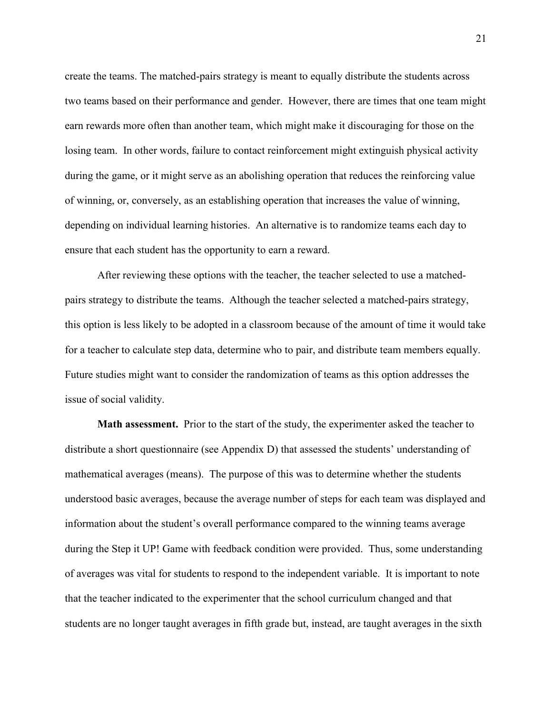create the teams. The matched-pairs strategy is meant to equally distribute the students across two teams based on their performance and gender. However, there are times that one team might earn rewards more often than another team, which might make it discouraging for those on the losing team. In other words, failure to contact reinforcement might extinguish physical activity during the game, or it might serve as an abolishing operation that reduces the reinforcing value of winning, or, conversely, as an establishing operation that increases the value of winning, depending on individual learning histories. An alternative is to randomize teams each day to ensure that each student has the opportunity to earn a reward.

After reviewing these options with the teacher, the teacher selected to use a matchedpairs strategy to distribute the teams. Although the teacher selected a matched-pairs strategy, this option is less likely to be adopted in a classroom because of the amount of time it would take for a teacher to calculate step data, determine who to pair, and distribute team members equally. Future studies might want to consider the randomization of teams as this option addresses the issue of social validity.

**Math assessment.** Prior to the start of the study, the experimenter asked the teacher to distribute a short questionnaire (see Appendix D) that assessed the students' understanding of mathematical averages (means). The purpose of this was to determine whether the students understood basic averages, because the average number of steps for each team was displayed and information about the student's overall performance compared to the winning teams average during the Step it UP! Game with feedback condition were provided. Thus, some understanding of averages was vital for students to respond to the independent variable. It is important to note that the teacher indicated to the experimenter that the school curriculum changed and that students are no longer taught averages in fifth grade but, instead, are taught averages in the sixth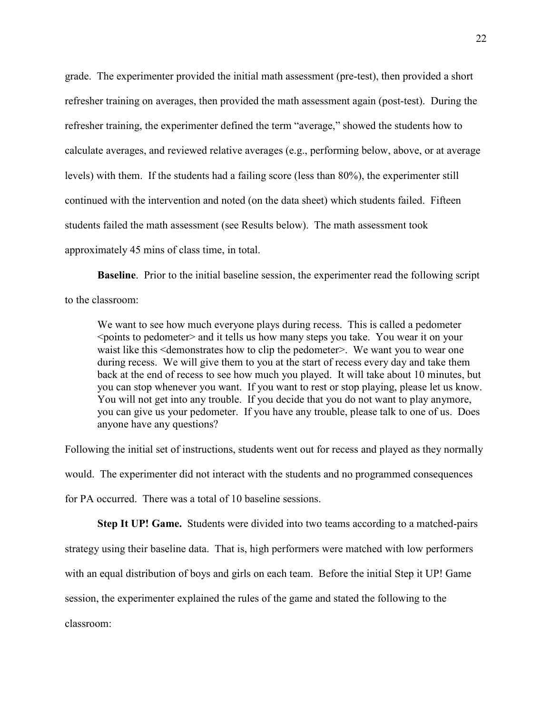grade. The experimenter provided the initial math assessment (pre-test), then provided a short refresher training on averages, then provided the math assessment again (post-test). During the refresher training, the experimenter defined the term "average," showed the students how to calculate averages, and reviewed relative averages (e.g., performing below, above, or at average levels) with them. If the students had a failing score (less than 80%), the experimenter still continued with the intervention and noted (on the data sheet) which students failed. Fifteen students failed the math assessment (see Results below). The math assessment took approximately 45 mins of class time, in total.

**Baseline**. Prior to the initial baseline session, the experimenter read the following script to the classroom:

We want to see how much everyone plays during recess. This is called a pedometer <points to pedometer> and it tells us how many steps you take. You wear it on your waist like this <demonstrates how to clip the pedometer>. We want you to wear one during recess. We will give them to you at the start of recess every day and take them back at the end of recess to see how much you played. It will take about 10 minutes, but you can stop whenever you want. If you want to rest or stop playing, please let us know. You will not get into any trouble. If you decide that you do not want to play anymore, you can give us your pedometer. If you have any trouble, please talk to one of us. Does anyone have any questions?

Following the initial set of instructions, students went out for recess and played as they normally would. The experimenter did not interact with the students and no programmed consequences for PA occurred. There was a total of 10 baseline sessions.

**Step It UP! Game.** Students were divided into two teams according to a matched-pairs strategy using their baseline data. That is, high performers were matched with low performers with an equal distribution of boys and girls on each team. Before the initial Step it UP! Game session, the experimenter explained the rules of the game and stated the following to the classroom: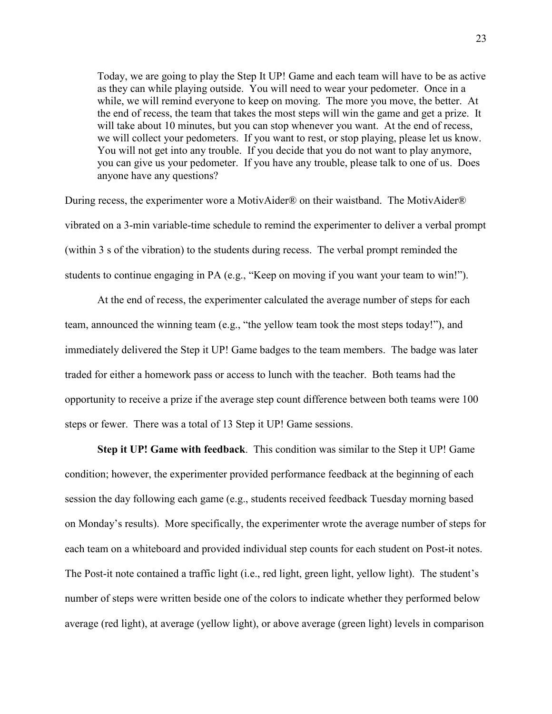Today, we are going to play the Step It UP! Game and each team will have to be as active as they can while playing outside. You will need to wear your pedometer. Once in a while, we will remind everyone to keep on moving. The more you move, the better. At the end of recess, the team that takes the most steps will win the game and get a prize. It will take about 10 minutes, but you can stop whenever you want. At the end of recess, we will collect your pedometers. If you want to rest, or stop playing, please let us know. You will not get into any trouble. If you decide that you do not want to play anymore, you can give us your pedometer. If you have any trouble, please talk to one of us. Does anyone have any questions?

During recess, the experimenter wore a MotivAider® on their waistband. The MotivAider® vibrated on a 3-min variable-time schedule to remind the experimenter to deliver a verbal prompt (within 3 s of the vibration) to the students during recess. The verbal prompt reminded the students to continue engaging in PA (e.g., "Keep on moving if you want your team to win!").

At the end of recess, the experimenter calculated the average number of steps for each team, announced the winning team (e.g., "the yellow team took the most steps today!"), and immediately delivered the Step it UP! Game badges to the team members. The badge was later traded for either a homework pass or access to lunch with the teacher. Both teams had the opportunity to receive a prize if the average step count difference between both teams were 100 steps or fewer. There was a total of 13 Step it UP! Game sessions.

**Step it UP! Game with feedback**. This condition was similar to the Step it UP! Game condition; however, the experimenter provided performance feedback at the beginning of each session the day following each game (e.g., students received feedback Tuesday morning based on Monday's results). More specifically, the experimenter wrote the average number of steps for each team on a whiteboard and provided individual step counts for each student on Post-it notes. The Post-it note contained a traffic light (i.e., red light, green light, yellow light). The student's number of steps were written beside one of the colors to indicate whether they performed below average (red light), at average (yellow light), or above average (green light) levels in comparison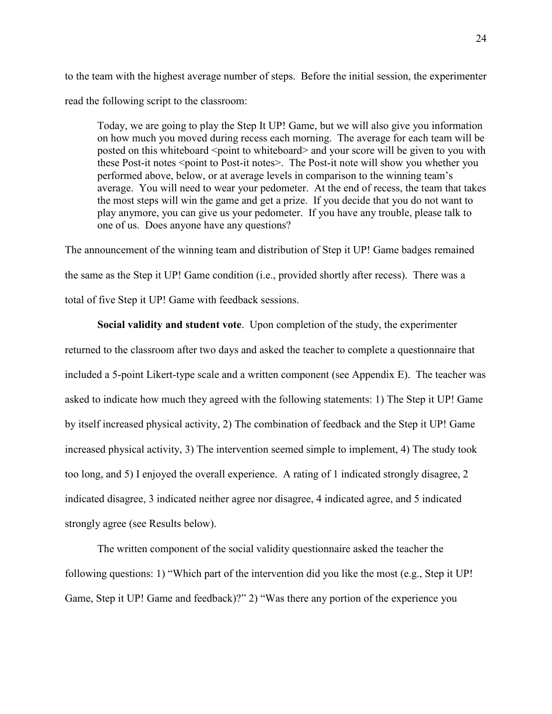to the team with the highest average number of steps. Before the initial session, the experimenter read the following script to the classroom:

Today, we are going to play the Step It UP! Game, but we will also give you information on how much you moved during recess each morning. The average for each team will be posted on this whiteboard <point to whiteboard> and your score will be given to you with these Post-it notes <point to Post-it notes>. The Post-it note will show you whether you performed above, below, or at average levels in comparison to the winning team's average. You will need to wear your pedometer. At the end of recess, the team that takes the most steps will win the game and get a prize. If you decide that you do not want to play anymore, you can give us your pedometer. If you have any trouble, please talk to one of us. Does anyone have any questions?

The announcement of the winning team and distribution of Step it UP! Game badges remained the same as the Step it UP! Game condition (i.e., provided shortly after recess). There was a total of five Step it UP! Game with feedback sessions.

**Social validity and student vote**. Upon completion of the study, the experimenter returned to the classroom after two days and asked the teacher to complete a questionnaire that included a 5-point Likert-type scale and a written component (see Appendix E). The teacher was asked to indicate how much they agreed with the following statements: 1) The Step it UP! Game by itself increased physical activity, 2) The combination of feedback and the Step it UP! Game increased physical activity, 3) The intervention seemed simple to implement, 4) The study took too long, and 5) I enjoyed the overall experience. A rating of 1 indicated strongly disagree, 2 indicated disagree, 3 indicated neither agree nor disagree, 4 indicated agree, and 5 indicated strongly agree (see Results below).

The written component of the social validity questionnaire asked the teacher the following questions: 1) "Which part of the intervention did you like the most (e.g., Step it UP! Game, Step it UP! Game and feedback)?" 2) "Was there any portion of the experience you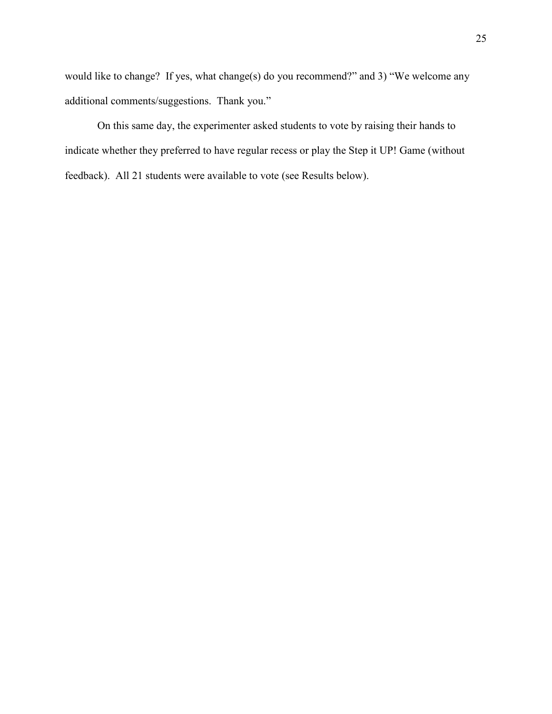would like to change? If yes, what change(s) do you recommend?" and 3) "We welcome any additional comments/suggestions. Thank you."

On this same day, the experimenter asked students to vote by raising their hands to indicate whether they preferred to have regular recess or play the Step it UP! Game (without feedback). All 21 students were available to vote (see Results below).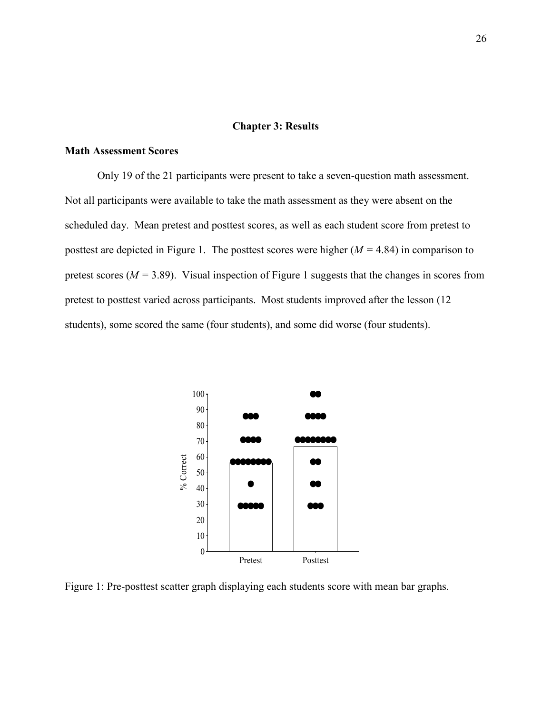#### **Chapter 3: Results**

#### **Math Assessment Scores**

 Only 19 of the 21 participants were present to take a seven-question math assessment. Not all participants were available to take the math assessment as they were absent on the scheduled day. Mean pretest and posttest scores, as well as each student score from pretest to posttest are depicted in Figure 1. The posttest scores were higher (*M =* 4.84) in comparison to pretest scores ( $M = 3.89$ ). Visual inspection of Figure 1 suggests that the changes in scores from pretest to posttest varied across participants. Most students improved after the lesson (12 students), some scored the same (four students), and some did worse (four students).



Figure 1: Pre-posttest scatter graph displaying each students score with mean bar graphs.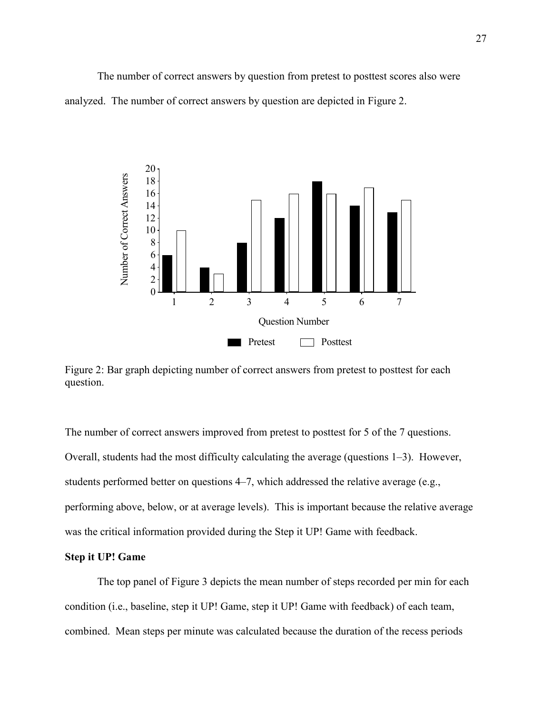The number of correct answers by question from pretest to posttest scores also were analyzed. The number of correct answers by question are depicted in Figure 2.



Figure 2: Bar graph depicting number of correct answers from pretest to posttest for each question.

The number of correct answers improved from pretest to posttest for 5 of the 7 questions. Overall, students had the most difficulty calculating the average (questions 1–3). However, students performed better on questions 4–7, which addressed the relative average (e.g., performing above, below, or at average levels). This is important because the relative average was the critical information provided during the Step it UP! Game with feedback.

# **Step it UP! Game**

 The top panel of Figure 3 depicts the mean number of steps recorded per min for each condition (i.e., baseline, step it UP! Game, step it UP! Game with feedback) of each team, combined. Mean steps per minute was calculated because the duration of the recess periods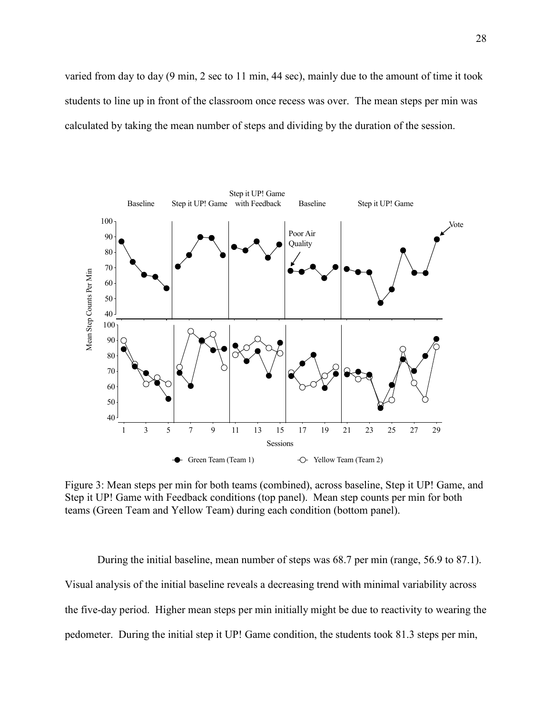varied from day to day (9 min, 2 sec to 11 min, 44 sec), mainly due to the amount of time it took students to line up in front of the classroom once recess was over. The mean steps per min was calculated by taking the mean number of steps and dividing by the duration of the session.



Figure 3: Mean steps per min for both teams (combined), across baseline, Step it UP! Game, and Step it UP! Game with Feedback conditions (top panel). Mean step counts per min for both teams (Green Team and Yellow Team) during each condition (bottom panel).

During the initial baseline, mean number of steps was 68.7 per min (range, 56.9 to 87.1). Visual analysis of the initial baseline reveals a decreasing trend with minimal variability across the five-day period. Higher mean steps per min initially might be due to reactivity to wearing the pedometer. During the initial step it UP! Game condition, the students took 81.3 steps per min,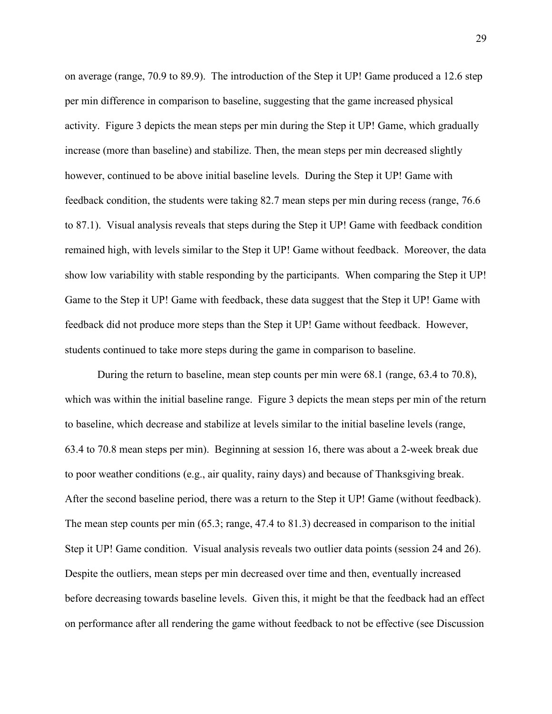on average (range, 70.9 to 89.9). The introduction of the Step it UP! Game produced a 12.6 step per min difference in comparison to baseline, suggesting that the game increased physical activity. Figure 3 depicts the mean steps per min during the Step it UP! Game, which gradually increase (more than baseline) and stabilize. Then, the mean steps per min decreased slightly however, continued to be above initial baseline levels. During the Step it UP! Game with feedback condition, the students were taking 82.7 mean steps per min during recess (range, 76.6 to 87.1). Visual analysis reveals that steps during the Step it UP! Game with feedback condition remained high, with levels similar to the Step it UP! Game without feedback. Moreover, the data show low variability with stable responding by the participants. When comparing the Step it UP! Game to the Step it UP! Game with feedback, these data suggest that the Step it UP! Game with feedback did not produce more steps than the Step it UP! Game without feedback. However, students continued to take more steps during the game in comparison to baseline.

During the return to baseline, mean step counts per min were 68.1 (range, 63.4 to 70.8), which was within the initial baseline range. Figure 3 depicts the mean steps per min of the return to baseline, which decrease and stabilize at levels similar to the initial baseline levels (range, 63.4 to 70.8 mean steps per min). Beginning at session 16, there was about a 2-week break due to poor weather conditions (e.g., air quality, rainy days) and because of Thanksgiving break. After the second baseline period, there was a return to the Step it UP! Game (without feedback). The mean step counts per min (65.3; range, 47.4 to 81.3) decreased in comparison to the initial Step it UP! Game condition. Visual analysis reveals two outlier data points (session 24 and 26). Despite the outliers, mean steps per min decreased over time and then, eventually increased before decreasing towards baseline levels. Given this, it might be that the feedback had an effect on performance after all rendering the game without feedback to not be effective (see Discussion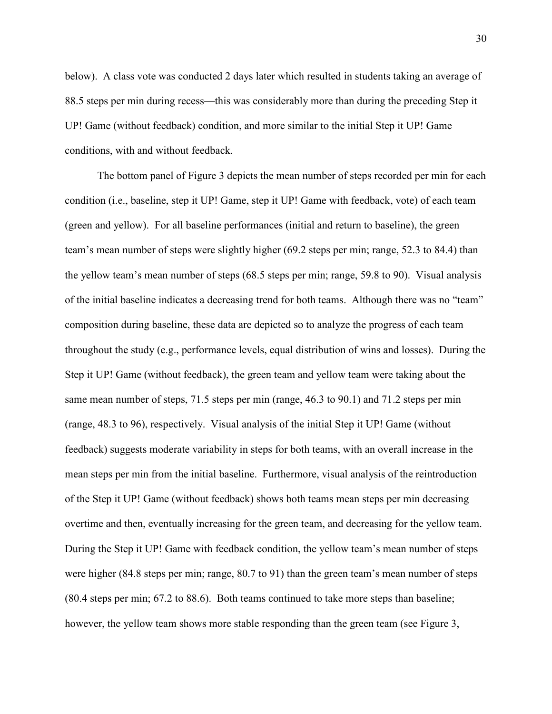below). A class vote was conducted 2 days later which resulted in students taking an average of 88.5 steps per min during recess—this was considerably more than during the preceding Step it UP! Game (without feedback) condition, and more similar to the initial Step it UP! Game conditions, with and without feedback.

The bottom panel of Figure 3 depicts the mean number of steps recorded per min for each condition (i.e., baseline, step it UP! Game, step it UP! Game with feedback, vote) of each team (green and yellow). For all baseline performances (initial and return to baseline), the green team's mean number of steps were slightly higher (69.2 steps per min; range, 52.3 to 84.4) than the yellow team's mean number of steps (68.5 steps per min; range, 59.8 to 90). Visual analysis of the initial baseline indicates a decreasing trend for both teams. Although there was no "team" composition during baseline, these data are depicted so to analyze the progress of each team throughout the study (e.g., performance levels, equal distribution of wins and losses). During the Step it UP! Game (without feedback), the green team and yellow team were taking about the same mean number of steps, 71.5 steps per min (range, 46.3 to 90.1) and 71.2 steps per min (range, 48.3 to 96), respectively. Visual analysis of the initial Step it UP! Game (without feedback) suggests moderate variability in steps for both teams, with an overall increase in the mean steps per min from the initial baseline. Furthermore, visual analysis of the reintroduction of the Step it UP! Game (without feedback) shows both teams mean steps per min decreasing overtime and then, eventually increasing for the green team, and decreasing for the yellow team. During the Step it UP! Game with feedback condition, the yellow team's mean number of steps were higher (84.8 steps per min; range, 80.7 to 91) than the green team's mean number of steps (80.4 steps per min; 67.2 to 88.6). Both teams continued to take more steps than baseline; however, the yellow team shows more stable responding than the green team (see Figure 3,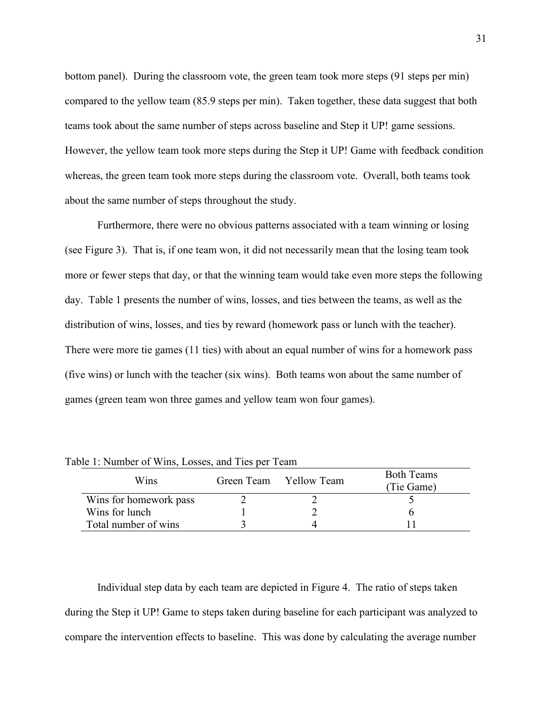bottom panel). During the classroom vote, the green team took more steps (91 steps per min) compared to the yellow team (85.9 steps per min). Taken together, these data suggest that both teams took about the same number of steps across baseline and Step it UP! game sessions. However, the yellow team took more steps during the Step it UP! Game with feedback condition whereas, the green team took more steps during the classroom vote. Overall, both teams took about the same number of steps throughout the study.

Furthermore, there were no obvious patterns associated with a team winning or losing (see Figure 3). That is, if one team won, it did not necessarily mean that the losing team took more or fewer steps that day, or that the winning team would take even more steps the following day. Table 1 presents the number of wins, losses, and ties between the teams, as well as the distribution of wins, losses, and ties by reward (homework pass or lunch with the teacher). There were more tie games (11 ties) with about an equal number of wins for a homework pass (five wins) or lunch with the teacher (six wins). Both teams won about the same number of games (green team won three games and yellow team won four games).

| Wins                   | Green Team | Yellow Team | <b>Both Teams</b><br>(Tie Game) |
|------------------------|------------|-------------|---------------------------------|
| Wins for homework pass |            |             |                                 |
| Wins for lunch         |            |             |                                 |
| Total number of wins   |            |             |                                 |

Table 1: Number of Wins, Losses, and Ties per Team

Individual step data by each team are depicted in Figure 4. The ratio of steps taken during the Step it UP! Game to steps taken during baseline for each participant was analyzed to compare the intervention effects to baseline. This was done by calculating the average number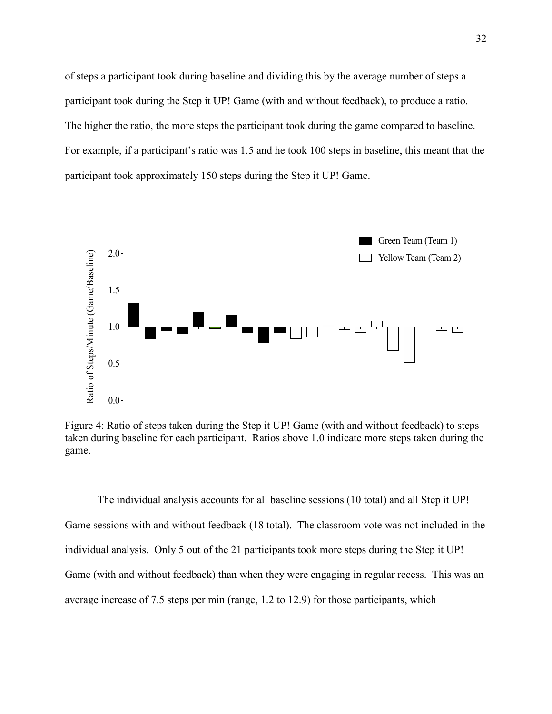of steps a participant took during baseline and dividing this by the average number of steps a participant took during the Step it UP! Game (with and without feedback), to produce a ratio. The higher the ratio, the more steps the participant took during the game compared to baseline. For example, if a participant's ratio was 1.5 and he took 100 steps in baseline, this meant that the participant took approximately 150 steps during the Step it UP! Game.



Figure 4: Ratio of steps taken during the Step it UP! Game (with and without feedback) to steps taken during baseline for each participant. Ratios above 1.0 indicate more steps taken during the game.

The individual analysis accounts for all baseline sessions (10 total) and all Step it UP! Game sessions with and without feedback (18 total). The classroom vote was not included in the individual analysis. Only 5 out of the 21 participants took more steps during the Step it UP! Game (with and without feedback) than when they were engaging in regular recess. This was an average increase of 7.5 steps per min (range, 1.2 to 12.9) for those participants, which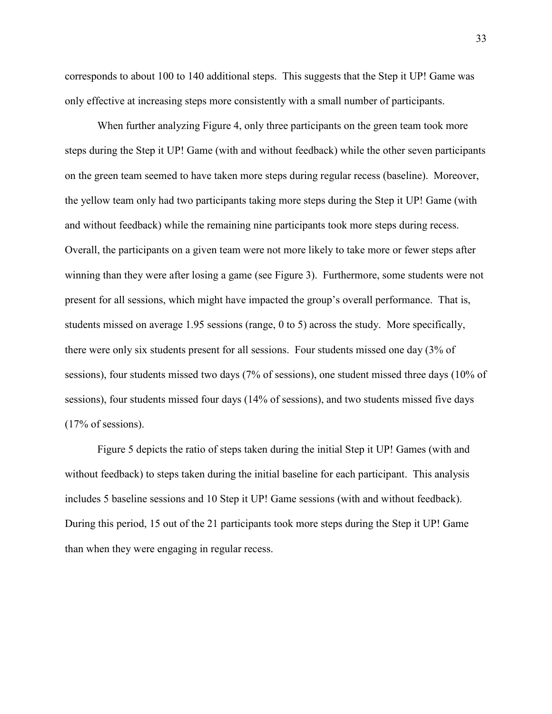corresponds to about 100 to 140 additional steps. This suggests that the Step it UP! Game was only effective at increasing steps more consistently with a small number of participants.

When further analyzing Figure 4, only three participants on the green team took more steps during the Step it UP! Game (with and without feedback) while the other seven participants on the green team seemed to have taken more steps during regular recess (baseline). Moreover, the yellow team only had two participants taking more steps during the Step it UP! Game (with and without feedback) while the remaining nine participants took more steps during recess. Overall, the participants on a given team were not more likely to take more or fewer steps after winning than they were after losing a game (see Figure 3). Furthermore, some students were not present for all sessions, which might have impacted the group's overall performance. That is, students missed on average 1.95 sessions (range, 0 to 5) across the study. More specifically, there were only six students present for all sessions. Four students missed one day (3% of sessions), four students missed two days (7% of sessions), one student missed three days (10% of sessions), four students missed four days (14% of sessions), and two students missed five days (17% of sessions).

Figure 5 depicts the ratio of steps taken during the initial Step it UP! Games (with and without feedback) to steps taken during the initial baseline for each participant. This analysis includes 5 baseline sessions and 10 Step it UP! Game sessions (with and without feedback). During this period, 15 out of the 21 participants took more steps during the Step it UP! Game than when they were engaging in regular recess.

33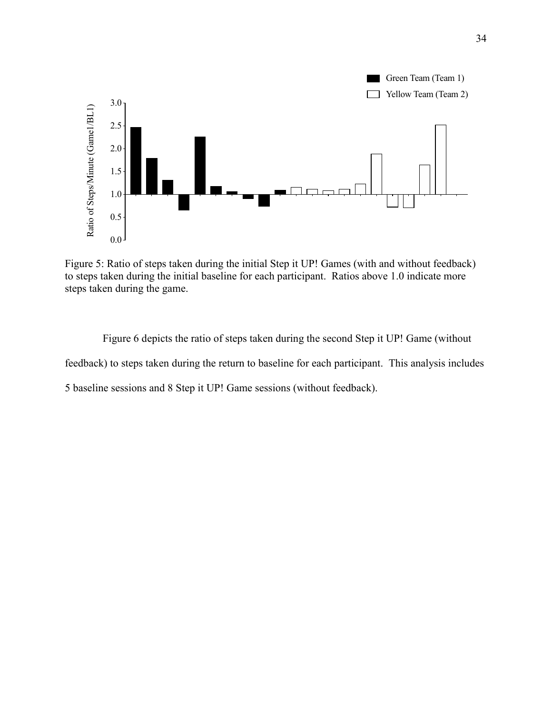

Figure 5: Ratio of steps taken during the initial Step it UP! Games (with and without feedback) to steps taken during the initial baseline for each participant. Ratios above 1.0 indicate more steps taken during the game.

 Figure 6 depicts the ratio of steps taken during the second Step it UP! Game (without feedback) to steps taken during the return to baseline for each participant. This analysis includes 5 baseline sessions and 8 Step it UP! Game sessions (without feedback).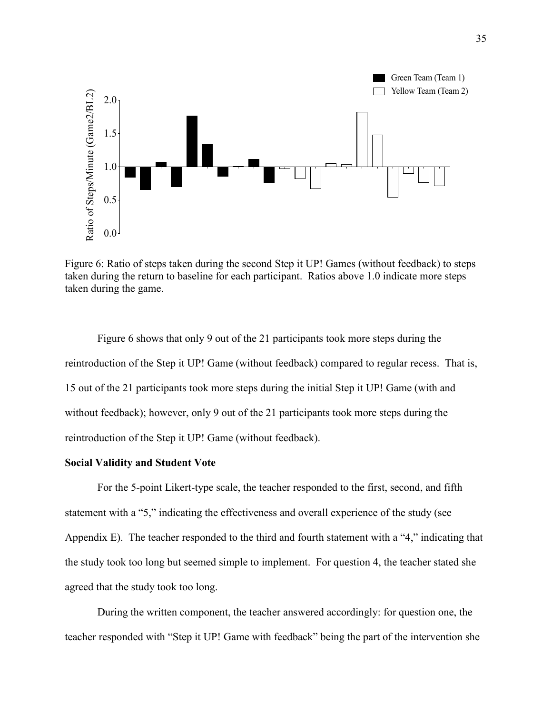

Figure 6: Ratio of steps taken during the second Step it UP! Games (without feedback) to steps taken during the return to baseline for each participant. Ratios above 1.0 indicate more steps taken during the game.

Figure 6 shows that only 9 out of the 21 participants took more steps during the reintroduction of the Step it UP! Game (without feedback) compared to regular recess. That is, 15 out of the 21 participants took more steps during the initial Step it UP! Game (with and without feedback); however, only 9 out of the 21 participants took more steps during the reintroduction of the Step it UP! Game (without feedback).

### **Social Validity and Student Vote**

For the 5-point Likert-type scale, the teacher responded to the first, second, and fifth statement with a "5," indicating the effectiveness and overall experience of the study (see Appendix E). The teacher responded to the third and fourth statement with a "4," indicating that the study took too long but seemed simple to implement. For question 4, the teacher stated she agreed that the study took too long.

During the written component, the teacher answered accordingly: for question one, the teacher responded with "Step it UP! Game with feedback" being the part of the intervention she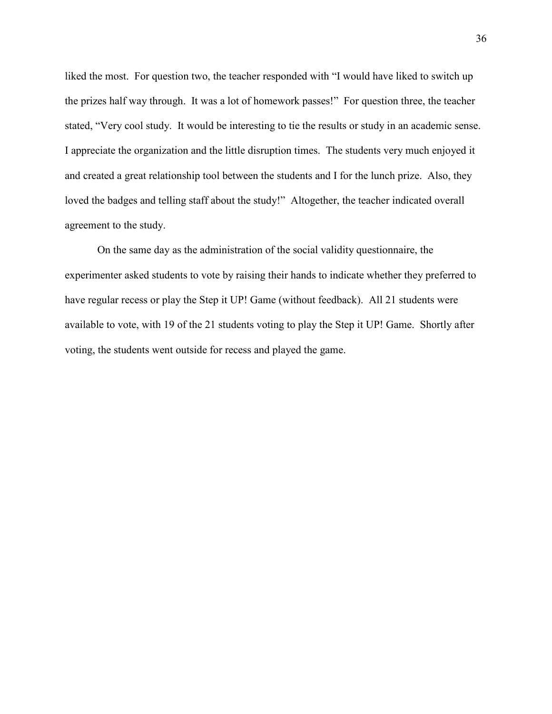liked the most. For question two, the teacher responded with "I would have liked to switch up the prizes half way through. It was a lot of homework passes!" For question three, the teacher stated, "Very cool study. It would be interesting to tie the results or study in an academic sense. I appreciate the organization and the little disruption times. The students very much enjoyed it and created a great relationship tool between the students and I for the lunch prize. Also, they loved the badges and telling staff about the study!" Altogether, the teacher indicated overall agreement to the study.

On the same day as the administration of the social validity questionnaire, the experimenter asked students to vote by raising their hands to indicate whether they preferred to have regular recess or play the Step it UP! Game (without feedback). All 21 students were available to vote, with 19 of the 21 students voting to play the Step it UP! Game. Shortly after voting, the students went outside for recess and played the game.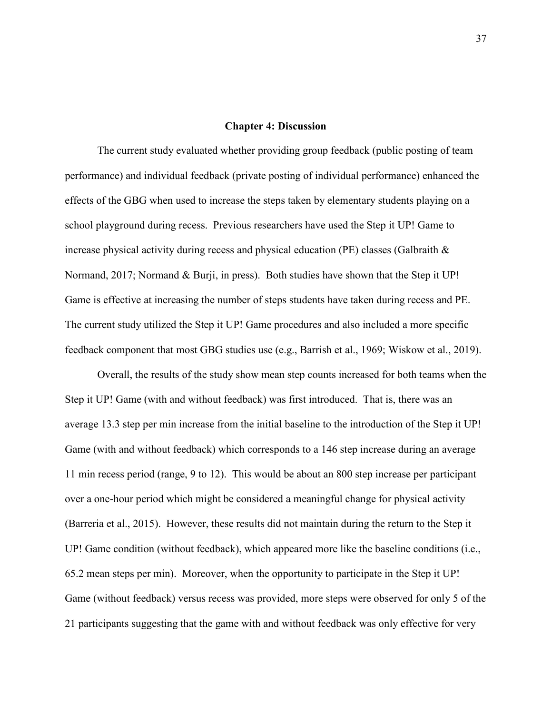### **Chapter 4: Discussion**

The current study evaluated whether providing group feedback (public posting of team performance) and individual feedback (private posting of individual performance) enhanced the effects of the GBG when used to increase the steps taken by elementary students playing on a school playground during recess. Previous researchers have used the Step it UP! Game to increase physical activity during recess and physical education (PE) classes (Galbraith & Normand, 2017; Normand & Burji, in press). Both studies have shown that the Step it UP! Game is effective at increasing the number of steps students have taken during recess and PE. The current study utilized the Step it UP! Game procedures and also included a more specific feedback component that most GBG studies use (e.g., Barrish et al., 1969; Wiskow et al., 2019).

Overall, the results of the study show mean step counts increased for both teams when the Step it UP! Game (with and without feedback) was first introduced. That is, there was an average 13.3 step per min increase from the initial baseline to the introduction of the Step it UP! Game (with and without feedback) which corresponds to a 146 step increase during an average 11 min recess period (range, 9 to 12). This would be about an 800 step increase per participant over a one-hour period which might be considered a meaningful change for physical activity (Barreria et al., 2015). However, these results did not maintain during the return to the Step it UP! Game condition (without feedback), which appeared more like the baseline conditions (i.e., 65.2 mean steps per min). Moreover, when the opportunity to participate in the Step it UP! Game (without feedback) versus recess was provided, more steps were observed for only 5 of the 21 participants suggesting that the game with and without feedback was only effective for very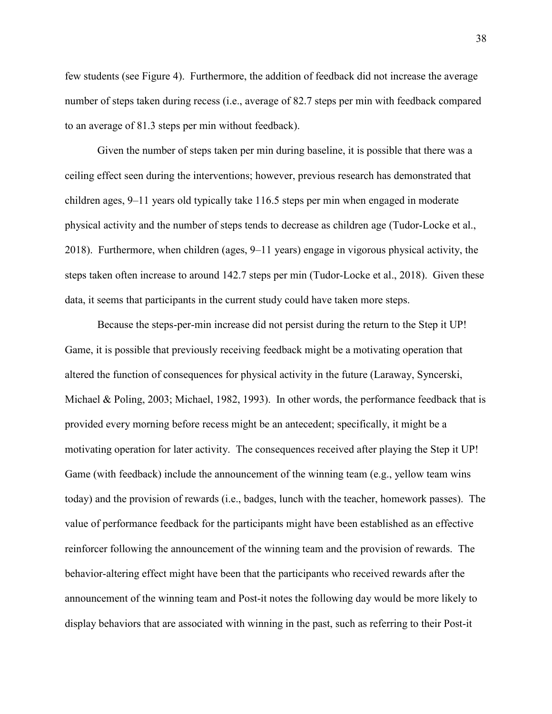few students (see Figure 4). Furthermore, the addition of feedback did not increase the average number of steps taken during recess (i.e., average of 82.7 steps per min with feedback compared to an average of 81.3 steps per min without feedback).

Given the number of steps taken per min during baseline, it is possible that there was a ceiling effect seen during the interventions; however, previous research has demonstrated that children ages, 9–11 years old typically take 116.5 steps per min when engaged in moderate physical activity and the number of steps tends to decrease as children age (Tudor-Locke et al., 2018). Furthermore, when children (ages, 9–11 years) engage in vigorous physical activity, the steps taken often increase to around 142.7 steps per min (Tudor-Locke et al., 2018). Given these data, it seems that participants in the current study could have taken more steps.

Because the steps-per-min increase did not persist during the return to the Step it UP! Game, it is possible that previously receiving feedback might be a motivating operation that altered the function of consequences for physical activity in the future (Laraway, Syncerski, Michael & Poling, 2003; Michael, 1982, 1993). In other words, the performance feedback that is provided every morning before recess might be an antecedent; specifically, it might be a motivating operation for later activity. The consequences received after playing the Step it UP! Game (with feedback) include the announcement of the winning team (e.g., yellow team wins today) and the provision of rewards (i.e., badges, lunch with the teacher, homework passes). The value of performance feedback for the participants might have been established as an effective reinforcer following the announcement of the winning team and the provision of rewards. The behavior-altering effect might have been that the participants who received rewards after the announcement of the winning team and Post-it notes the following day would be more likely to display behaviors that are associated with winning in the past, such as referring to their Post-it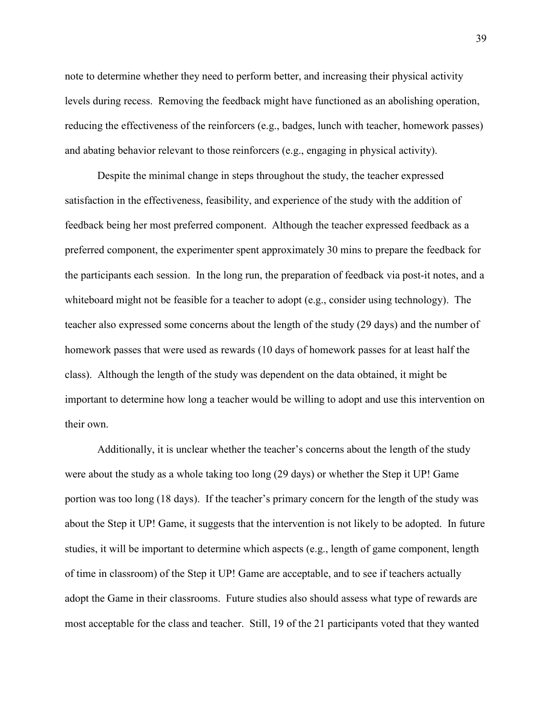note to determine whether they need to perform better, and increasing their physical activity levels during recess. Removing the feedback might have functioned as an abolishing operation, reducing the effectiveness of the reinforcers (e.g., badges, lunch with teacher, homework passes) and abating behavior relevant to those reinforcers (e.g., engaging in physical activity).

Despite the minimal change in steps throughout the study, the teacher expressed satisfaction in the effectiveness, feasibility, and experience of the study with the addition of feedback being her most preferred component. Although the teacher expressed feedback as a preferred component, the experimenter spent approximately 30 mins to prepare the feedback for the participants each session. In the long run, the preparation of feedback via post-it notes, and a whiteboard might not be feasible for a teacher to adopt (e.g., consider using technology). The teacher also expressed some concerns about the length of the study (29 days) and the number of homework passes that were used as rewards (10 days of homework passes for at least half the class). Although the length of the study was dependent on the data obtained, it might be important to determine how long a teacher would be willing to adopt and use this intervention on their own.

Additionally, it is unclear whether the teacher's concerns about the length of the study were about the study as a whole taking too long (29 days) or whether the Step it UP! Game portion was too long (18 days). If the teacher's primary concern for the length of the study was about the Step it UP! Game, it suggests that the intervention is not likely to be adopted. In future studies, it will be important to determine which aspects (e.g., length of game component, length of time in classroom) of the Step it UP! Game are acceptable, and to see if teachers actually adopt the Game in their classrooms. Future studies also should assess what type of rewards are most acceptable for the class and teacher. Still, 19 of the 21 participants voted that they wanted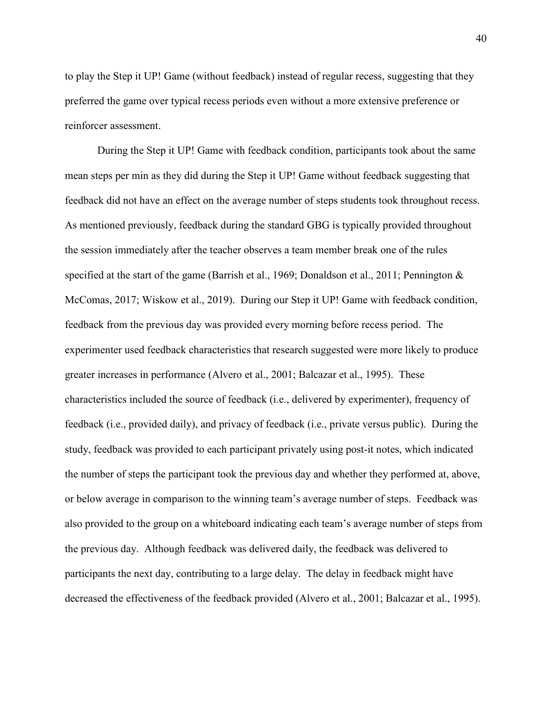to play the Step it UP! Game (without feedback) instead of regular recess, suggesting that they preferred the game over typical recess periods even without a more extensive preference or reinforcer assessment.

During the Step it UP! Game with feedback condition, participants took about the same mean steps per min as they did during the Step it UP! Game without feedback suggesting that feedback did not have an effect on the average number of steps students took throughout recess. As mentioned previously, feedback during the standard GBG is typically provided throughout the session immediately after the teacher observes a team member break one of the rules specified at the start of the game (Barrish et al., 1969; Donaldson et al., 2011; Pennington & McComas, 2017; Wiskow et al., 2019). During our Step it UP! Game with feedback condition, feedback from the previous day was provided every morning before recess period. The experimenter used feedback characteristics that research suggested were more likely to produce greater increases in performance (Alvero et al., 2001; Balcazar et al., 1995). These characteristics included the source of feedback (i.e., delivered by experimenter), frequency of feedback (i.e., provided daily), and privacy of feedback (i.e., private versus public). During the study, feedback was provided to each participant privately using post-it notes, which indicated the number of steps the participant took the previous day and whether they performed at, above, or below average in comparison to the winning team's average number of steps. Feedback was also provided to the group on a whiteboard indicating each team's average number of steps from the previous day. Although feedback was delivered daily, the feedback was delivered to participants the next day, contributing to a large delay. The delay in feedback might have decreased the effectiveness of the feedback provided (Alvero et al., 2001; Balcazar et al., 1995).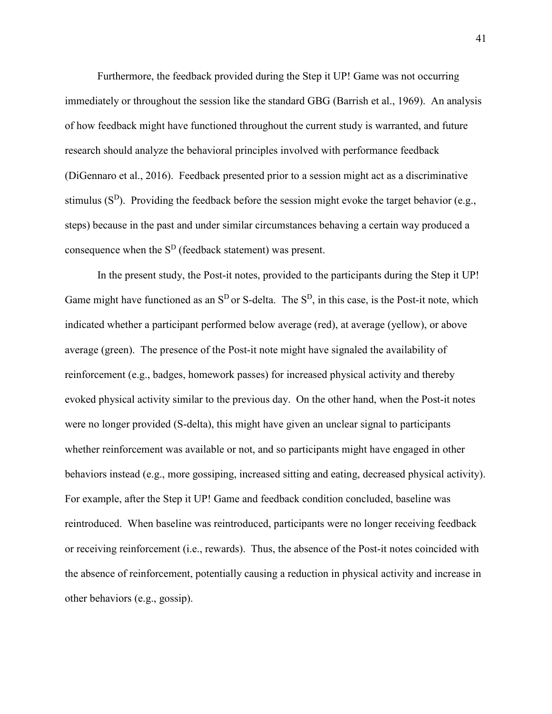Furthermore, the feedback provided during the Step it UP! Game was not occurring immediately or throughout the session like the standard GBG (Barrish et al., 1969). An analysis of how feedback might have functioned throughout the current study is warranted, and future research should analyze the behavioral principles involved with performance feedback (DiGennaro et al., 2016). Feedback presented prior to a session might act as a discriminative stimulus ( $S<sup>D</sup>$ ). Providing the feedback before the session might evoke the target behavior (e.g., steps) because in the past and under similar circumstances behaving a certain way produced a consequence when the  $S<sup>D</sup>$  (feedback statement) was present.

In the present study, the Post-it notes, provided to the participants during the Step it UP! Game might have functioned as an  $S<sup>D</sup>$  or S-delta. The  $S<sup>D</sup>$ , in this case, is the Post-it note, which indicated whether a participant performed below average (red), at average (yellow), or above average (green). The presence of the Post-it note might have signaled the availability of reinforcement (e.g., badges, homework passes) for increased physical activity and thereby evoked physical activity similar to the previous day. On the other hand, when the Post-it notes were no longer provided (S-delta), this might have given an unclear signal to participants whether reinforcement was available or not, and so participants might have engaged in other behaviors instead (e.g., more gossiping, increased sitting and eating, decreased physical activity). For example, after the Step it UP! Game and feedback condition concluded, baseline was reintroduced. When baseline was reintroduced, participants were no longer receiving feedback or receiving reinforcement (i.e., rewards). Thus, the absence of the Post-it notes coincided with the absence of reinforcement, potentially causing a reduction in physical activity and increase in other behaviors (e.g., gossip).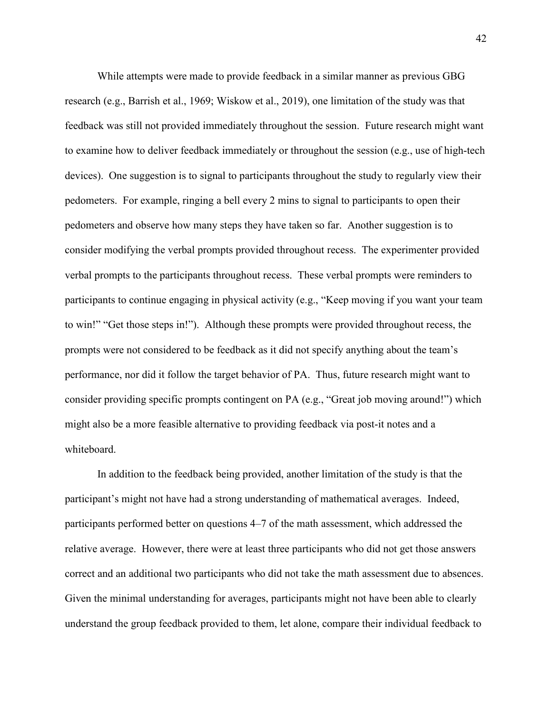While attempts were made to provide feedback in a similar manner as previous GBG research (e.g., Barrish et al., 1969; Wiskow et al., 2019), one limitation of the study was that feedback was still not provided immediately throughout the session. Future research might want to examine how to deliver feedback immediately or throughout the session (e.g., use of high-tech devices). One suggestion is to signal to participants throughout the study to regularly view their pedometers. For example, ringing a bell every 2 mins to signal to participants to open their pedometers and observe how many steps they have taken so far. Another suggestion is to consider modifying the verbal prompts provided throughout recess. The experimenter provided verbal prompts to the participants throughout recess. These verbal prompts were reminders to participants to continue engaging in physical activity (e.g., "Keep moving if you want your team to win!" "Get those steps in!"). Although these prompts were provided throughout recess, the prompts were not considered to be feedback as it did not specify anything about the team's performance, nor did it follow the target behavior of PA. Thus, future research might want to consider providing specific prompts contingent on PA (e.g., "Great job moving around!") which might also be a more feasible alternative to providing feedback via post-it notes and a whiteboard.

In addition to the feedback being provided, another limitation of the study is that the participant's might not have had a strong understanding of mathematical averages. Indeed, participants performed better on questions 4–7 of the math assessment, which addressed the relative average. However, there were at least three participants who did not get those answers correct and an additional two participants who did not take the math assessment due to absences. Given the minimal understanding for averages, participants might not have been able to clearly understand the group feedback provided to them, let alone, compare their individual feedback to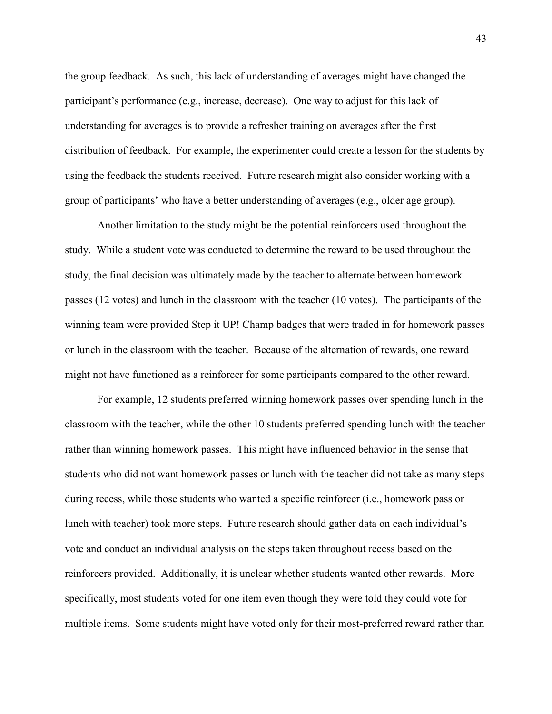the group feedback. As such, this lack of understanding of averages might have changed the participant's performance (e.g., increase, decrease). One way to adjust for this lack of understanding for averages is to provide a refresher training on averages after the first distribution of feedback. For example, the experimenter could create a lesson for the students by using the feedback the students received. Future research might also consider working with a group of participants' who have a better understanding of averages (e.g., older age group).

Another limitation to the study might be the potential reinforcers used throughout the study. While a student vote was conducted to determine the reward to be used throughout the study, the final decision was ultimately made by the teacher to alternate between homework passes (12 votes) and lunch in the classroom with the teacher (10 votes). The participants of the winning team were provided Step it UP! Champ badges that were traded in for homework passes or lunch in the classroom with the teacher. Because of the alternation of rewards, one reward might not have functioned as a reinforcer for some participants compared to the other reward.

For example, 12 students preferred winning homework passes over spending lunch in the classroom with the teacher, while the other 10 students preferred spending lunch with the teacher rather than winning homework passes. This might have influenced behavior in the sense that students who did not want homework passes or lunch with the teacher did not take as many steps during recess, while those students who wanted a specific reinforcer (i.e., homework pass or lunch with teacher) took more steps. Future research should gather data on each individual's vote and conduct an individual analysis on the steps taken throughout recess based on the reinforcers provided. Additionally, it is unclear whether students wanted other rewards. More specifically, most students voted for one item even though they were told they could vote for multiple items. Some students might have voted only for their most-preferred reward rather than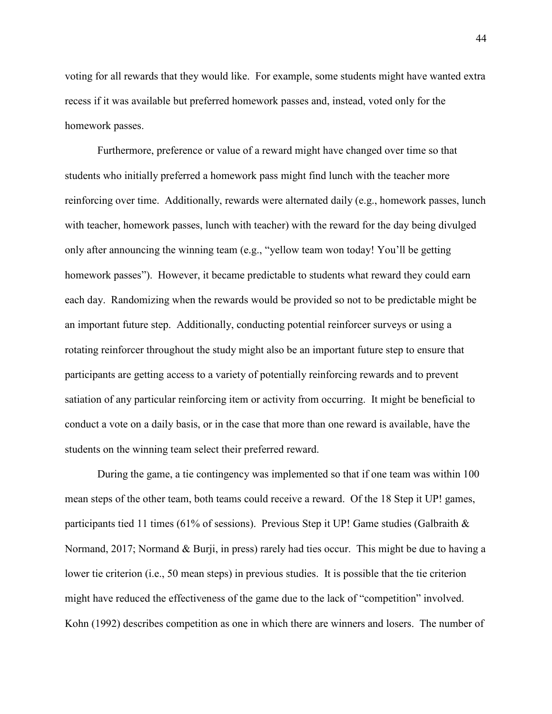voting for all rewards that they would like. For example, some students might have wanted extra recess if it was available but preferred homework passes and, instead, voted only for the homework passes.

Furthermore, preference or value of a reward might have changed over time so that students who initially preferred a homework pass might find lunch with the teacher more reinforcing over time. Additionally, rewards were alternated daily (e.g., homework passes, lunch with teacher, homework passes, lunch with teacher) with the reward for the day being divulged only after announcing the winning team (e.g., "yellow team won today! You'll be getting homework passes"). However, it became predictable to students what reward they could earn each day. Randomizing when the rewards would be provided so not to be predictable might be an important future step. Additionally, conducting potential reinforcer surveys or using a rotating reinforcer throughout the study might also be an important future step to ensure that participants are getting access to a variety of potentially reinforcing rewards and to prevent satiation of any particular reinforcing item or activity from occurring. It might be beneficial to conduct a vote on a daily basis, or in the case that more than one reward is available, have the students on the winning team select their preferred reward.

During the game, a tie contingency was implemented so that if one team was within 100 mean steps of the other team, both teams could receive a reward. Of the 18 Step it UP! games, participants tied 11 times (61% of sessions). Previous Step it UP! Game studies (Galbraith & Normand, 2017; Normand & Burji, in press) rarely had ties occur. This might be due to having a lower tie criterion (i.e., 50 mean steps) in previous studies. It is possible that the tie criterion might have reduced the effectiveness of the game due to the lack of "competition" involved. Kohn (1992) describes competition as one in which there are winners and losers. The number of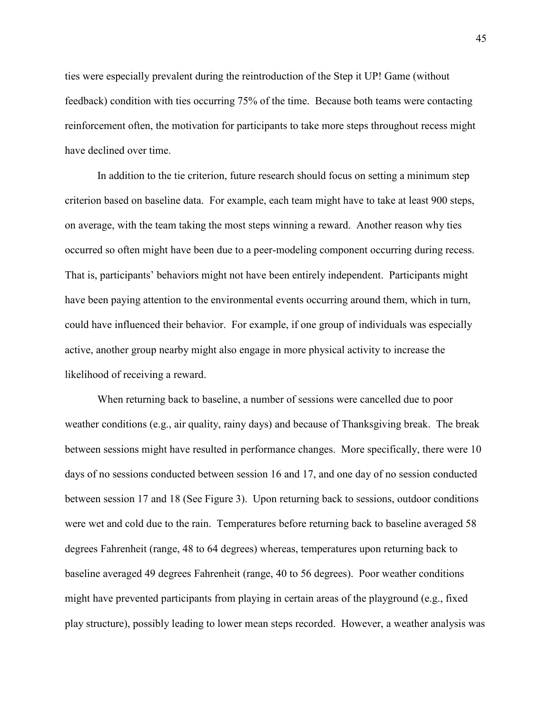ties were especially prevalent during the reintroduction of the Step it UP! Game (without feedback) condition with ties occurring 75% of the time. Because both teams were contacting reinforcement often, the motivation for participants to take more steps throughout recess might have declined over time.

In addition to the tie criterion, future research should focus on setting a minimum step criterion based on baseline data. For example, each team might have to take at least 900 steps, on average, with the team taking the most steps winning a reward. Another reason why ties occurred so often might have been due to a peer-modeling component occurring during recess. That is, participants' behaviors might not have been entirely independent. Participants might have been paying attention to the environmental events occurring around them, which in turn, could have influenced their behavior. For example, if one group of individuals was especially active, another group nearby might also engage in more physical activity to increase the likelihood of receiving a reward.

 When returning back to baseline, a number of sessions were cancelled due to poor weather conditions (e.g., air quality, rainy days) and because of Thanksgiving break. The break between sessions might have resulted in performance changes. More specifically, there were 10 days of no sessions conducted between session 16 and 17, and one day of no session conducted between session 17 and 18 (See Figure 3). Upon returning back to sessions, outdoor conditions were wet and cold due to the rain. Temperatures before returning back to baseline averaged 58 degrees Fahrenheit (range, 48 to 64 degrees) whereas, temperatures upon returning back to baseline averaged 49 degrees Fahrenheit (range, 40 to 56 degrees). Poor weather conditions might have prevented participants from playing in certain areas of the playground (e.g., fixed play structure), possibly leading to lower mean steps recorded. However, a weather analysis was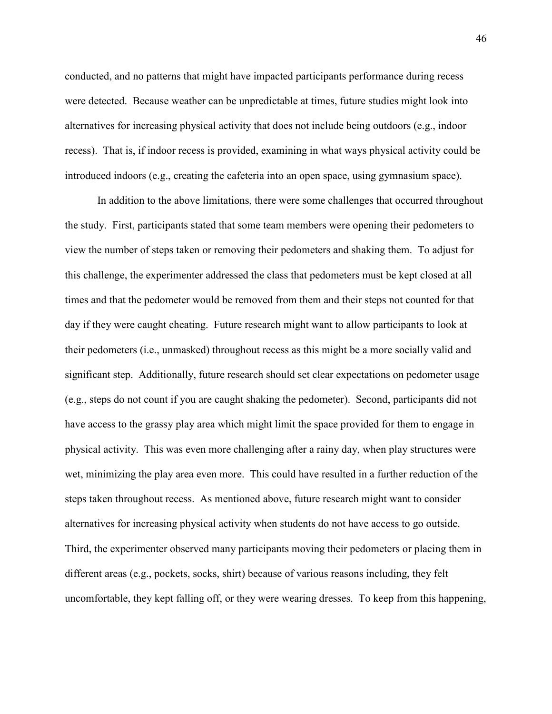conducted, and no patterns that might have impacted participants performance during recess were detected. Because weather can be unpredictable at times, future studies might look into alternatives for increasing physical activity that does not include being outdoors (e.g., indoor recess). That is, if indoor recess is provided, examining in what ways physical activity could be introduced indoors (e.g., creating the cafeteria into an open space, using gymnasium space).

In addition to the above limitations, there were some challenges that occurred throughout the study. First, participants stated that some team members were opening their pedometers to view the number of steps taken or removing their pedometers and shaking them. To adjust for this challenge, the experimenter addressed the class that pedometers must be kept closed at all times and that the pedometer would be removed from them and their steps not counted for that day if they were caught cheating. Future research might want to allow participants to look at their pedometers (i.e., unmasked) throughout recess as this might be a more socially valid and significant step. Additionally, future research should set clear expectations on pedometer usage (e.g., steps do not count if you are caught shaking the pedometer). Second, participants did not have access to the grassy play area which might limit the space provided for them to engage in physical activity. This was even more challenging after a rainy day, when play structures were wet, minimizing the play area even more. This could have resulted in a further reduction of the steps taken throughout recess. As mentioned above, future research might want to consider alternatives for increasing physical activity when students do not have access to go outside. Third, the experimenter observed many participants moving their pedometers or placing them in different areas (e.g., pockets, socks, shirt) because of various reasons including, they felt uncomfortable, they kept falling off, or they were wearing dresses. To keep from this happening,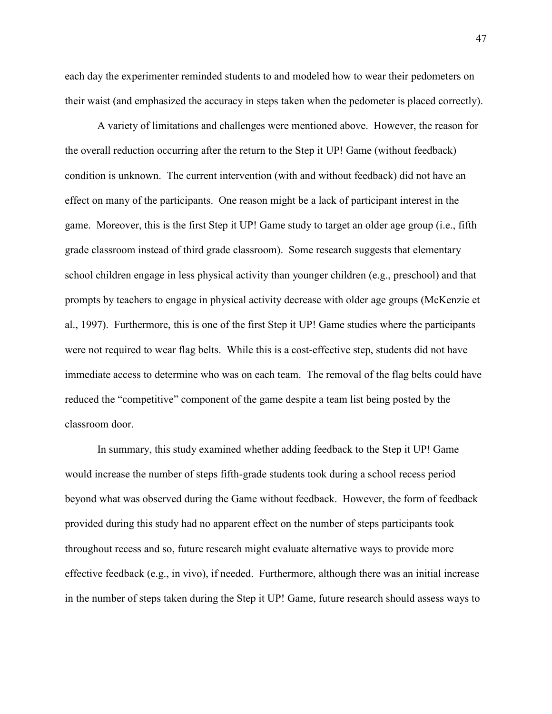each day the experimenter reminded students to and modeled how to wear their pedometers on their waist (and emphasized the accuracy in steps taken when the pedometer is placed correctly).

A variety of limitations and challenges were mentioned above. However, the reason for the overall reduction occurring after the return to the Step it UP! Game (without feedback) condition is unknown. The current intervention (with and without feedback) did not have an effect on many of the participants. One reason might be a lack of participant interest in the game. Moreover, this is the first Step it UP! Game study to target an older age group (i.e., fifth grade classroom instead of third grade classroom). Some research suggests that elementary school children engage in less physical activity than younger children (e.g., preschool) and that prompts by teachers to engage in physical activity decrease with older age groups (McKenzie et al., 1997). Furthermore, this is one of the first Step it UP! Game studies where the participants were not required to wear flag belts. While this is a cost-effective step, students did not have immediate access to determine who was on each team. The removal of the flag belts could have reduced the "competitive" component of the game despite a team list being posted by the classroom door.

In summary, this study examined whether adding feedback to the Step it UP! Game would increase the number of steps fifth-grade students took during a school recess period beyond what was observed during the Game without feedback. However, the form of feedback provided during this study had no apparent effect on the number of steps participants took throughout recess and so, future research might evaluate alternative ways to provide more effective feedback (e.g., in vivo), if needed. Furthermore, although there was an initial increase in the number of steps taken during the Step it UP! Game, future research should assess ways to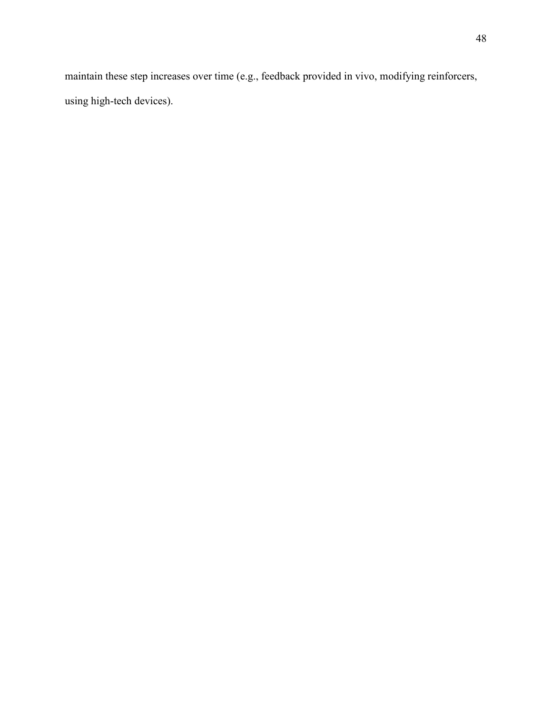maintain these step increases over time (e.g., feedback provided in vivo, modifying reinforcers, using high-tech devices).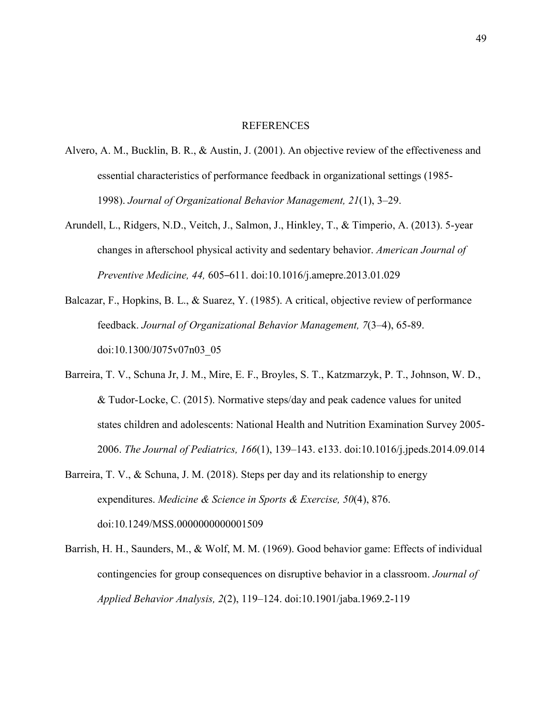#### REFERENCES

- Alvero, A. M., Bucklin, B. R., & Austin, J. (2001). An objective review of the effectiveness and essential characteristics of performance feedback in organizational settings (1985- 1998). *Journal of Organizational Behavior Management, 21*(1), 3–29.
- Arundell, L., Ridgers, N.D., Veitch, J., Salmon, J., Hinkley, T., & Timperio, A. (2013). 5-year changes in afterschool physical activity and sedentary behavior. *American Journal of Preventive Medicine, 44,* 605–611. doi:10.1016/j.amepre.2013.01.029
- Balcazar, F., Hopkins, B. L., & Suarez, Y. (1985). A critical, objective review of performance feedback. *Journal of Organizational Behavior Management, 7*(3–4), 65-89. doi:10.1300/J075v07n03\_05
- Barreira, T. V., Schuna Jr, J. M., Mire, E. F., Broyles, S. T., Katzmarzyk, P. T., Johnson, W. D., & Tudor-Locke, C. (2015). Normative steps/day and peak cadence values for united states children and adolescents: National Health and Nutrition Examination Survey 2005- 2006. *The Journal of Pediatrics, 166*(1), 139–143. e133. doi:10.1016/j.jpeds.2014.09.014
- Barreira, T. V., & Schuna, J. M. (2018). Steps per day and its relationship to energy expenditures. *Medicine & Science in Sports & Exercise, 50*(4), 876. doi:10.1249/MSS.0000000000001509
- Barrish, H. H., Saunders, M., & Wolf, M. M. (1969). Good behavior game: Effects of individual contingencies for group consequences on disruptive behavior in a classroom. *Journal of Applied Behavior Analysis, 2*(2), 119–124. doi:10.1901/jaba.1969.2-119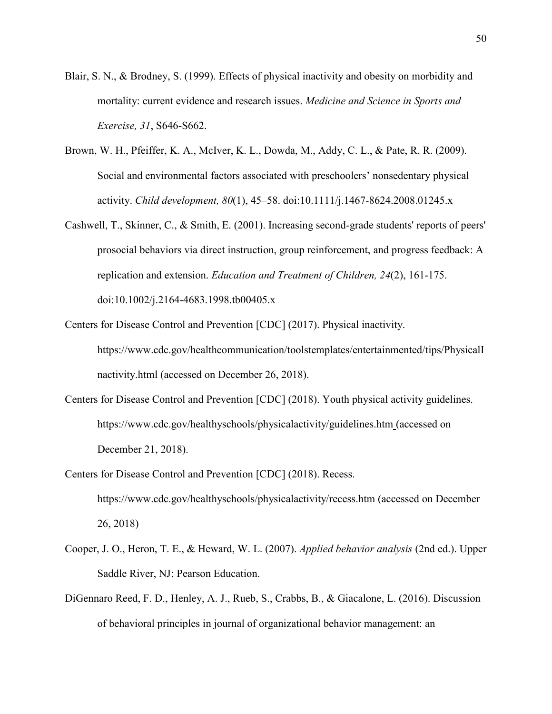- Blair, S. N., & Brodney, S. (1999). Effects of physical inactivity and obesity on morbidity and mortality: current evidence and research issues. *Medicine and Science in Sports and Exercise, 31*, S646-S662.
- Brown, W. H., Pfeiffer, K. A., McIver, K. L., Dowda, M., Addy, C. L., & Pate, R. R. (2009). Social and environmental factors associated with preschoolers' nonsedentary physical activity. *Child development, 80*(1), 45–58. doi:10.1111/j.1467-8624.2008.01245.x
- Cashwell, T., Skinner, C., & Smith, E. (2001). Increasing second-grade students' reports of peers' prosocial behaviors via direct instruction, group reinforcement, and progress feedback: A replication and extension. *Education and Treatment of Children, 24*(2), 161-175. doi:10.1002/j.2164-4683.1998.tb00405.x
- Centers for Disease Control and Prevention [CDC] (2017). Physical inactivity. https://www.cdc.gov/healthcommunication/toolstemplates/entertainmented/tips/PhysicalI nactivity.html (accessed on December 26, 2018).
- Centers for Disease Control and Prevention [CDC] (2018). Youth physical activity guidelines. https://www.cdc.gov/healthyschools/physicalactivity/guidelines.htm (accessed on December 21, 2018).
- Centers for Disease Control and Prevention [CDC] (2018). Recess. https://www.cdc.gov/healthyschools/physicalactivity/recess.htm (accessed on December 26, 2018)
- Cooper, J. O., Heron, T. E., & Heward, W. L. (2007). *Applied behavior analysis* (2nd ed.). Upper Saddle River, NJ: Pearson Education.
- DiGennaro Reed, F. D., Henley, A. J., Rueb, S., Crabbs, B., & Giacalone, L. (2016). Discussion of behavioral principles in journal of organizational behavior management: an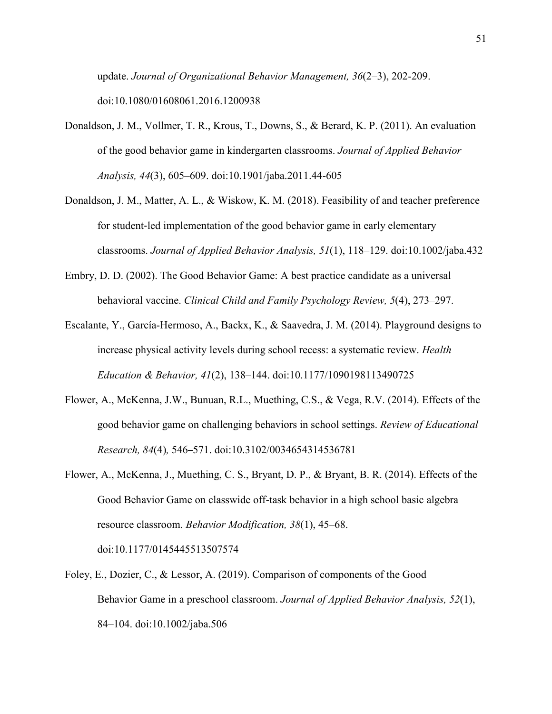update. *Journal of Organizational Behavior Management, 36*(2–3), 202-209. doi:10.1080/01608061.2016.1200938

- Donaldson, J. M., Vollmer, T. R., Krous, T., Downs, S., & Berard, K. P. (2011). An evaluation of the good behavior game in kindergarten classrooms. *Journal of Applied Behavior Analysis, 44*(3), 605–609. doi:10.1901/jaba.2011.44-605
- Donaldson, J. M., Matter, A. L., & Wiskow, K. M. (2018). Feasibility of and teacher preference for student-led implementation of the good behavior game in early elementary classrooms. *Journal of Applied Behavior Analysis, 51*(1), 118–129. doi:10.1002/jaba.432
- Embry, D. D. (2002). The Good Behavior Game: A best practice candidate as a universal behavioral vaccine. *Clinical Child and Family Psychology Review, 5*(4), 273–297.
- Escalante, Y., García-Hermoso, A., Backx, K., & Saavedra, J. M. (2014). Playground designs to increase physical activity levels during school recess: a systematic review. *Health Education & Behavior, 41*(2), 138–144. doi:10.1177/1090198113490725
- Flower, A., McKenna, J.W., Bunuan, R.L., Muething, C.S., & Vega, R.V. (2014). Effects of the good behavior game on challenging behaviors in school settings. *Review of Educational Research, 84*(4)*,* 546–571. doi:10.3102/0034654314536781
- Flower, A., McKenna, J., Muething, C. S., Bryant, D. P., & Bryant, B. R. (2014). Effects of the Good Behavior Game on classwide off-task behavior in a high school basic algebra resource classroom. *Behavior Modification, 38*(1), 45–68. doi:10.1177/0145445513507574
- Foley, E., Dozier, C., & Lessor, A. (2019). Comparison of components of the Good Behavior Game in a preschool classroom. *Journal of Applied Behavior Analysis, 52*(1), 84–104. doi:10.1002/jaba.506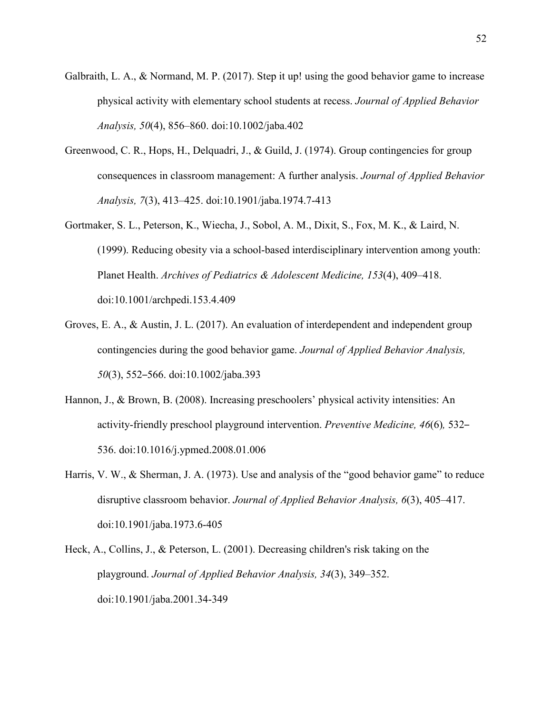- Galbraith, L. A., & Normand, M. P. (2017). Step it up! using the good behavior game to increase physical activity with elementary school students at recess. *Journal of Applied Behavior Analysis, 50*(4), 856–860. doi:10.1002/jaba.402
- Greenwood, C. R., Hops, H., Delquadri, J., & Guild, J. (1974). Group contingencies for group consequences in classroom management: A further analysis. *Journal of Applied Behavior Analysis, 7*(3), 413–425. doi:10.1901/jaba.1974.7-413
- Gortmaker, S. L., Peterson, K., Wiecha, J., Sobol, A. M., Dixit, S., Fox, M. K., & Laird, N. (1999). Reducing obesity via a school-based interdisciplinary intervention among youth: Planet Health. *Archives of Pediatrics & Adolescent Medicine, 153*(4), 409–418. doi:10.1001/archpedi.153.4.409
- Groves, E. A., & Austin, J. L. (2017). An evaluation of interdependent and independent group contingencies during the good behavior game. *Journal of Applied Behavior Analysis, 50*(3), 552–566. doi:10.1002/jaba.393
- Hannon, J., & Brown, B. (2008). Increasing preschoolers' physical activity intensities: An activity-friendly preschool playground intervention. *Preventive Medicine, 46*(6)*,* 532– 536. doi:10.1016/j.ypmed.2008.01.006
- Harris, V. W., & Sherman, J. A. (1973). Use and analysis of the "good behavior game" to reduce disruptive classroom behavior. *Journal of Applied Behavior Analysis, 6*(3), 405–417. doi:10.1901/jaba.1973.6-405
- Heck, A., Collins, J., & Peterson, L. (2001). Decreasing children's risk taking on the playground. *Journal of Applied Behavior Analysis, 34*(3), 349–352. doi:10.1901/jaba.2001.34-349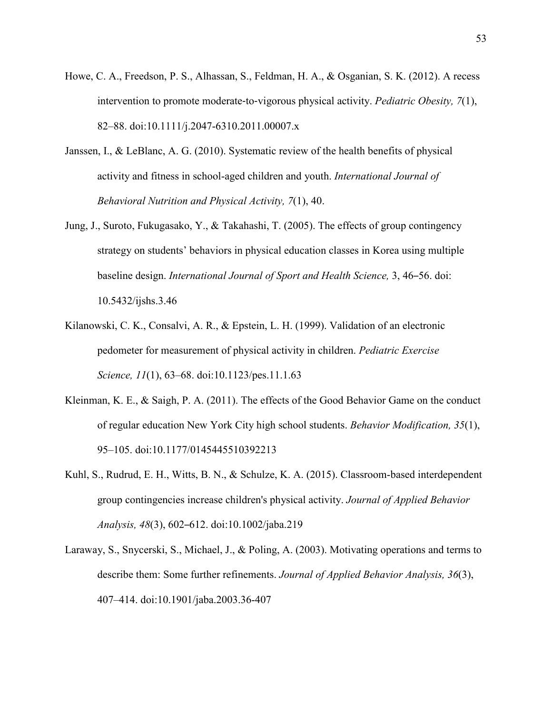- Howe, C. A., Freedson, P. S., Alhassan, S., Feldman, H. A., & Osganian, S. K. (2012). A recess intervention to promote moderate‐to‐vigorous physical activity. *Pediatric Obesity, 7*(1), 82–88. doi:10.1111/j.2047-6310.2011.00007.x
- Janssen, I., & LeBlanc, A. G. (2010). Systematic review of the health benefits of physical activity and fitness in school-aged children and youth. *International Journal of Behavioral Nutrition and Physical Activity, 7*(1), 40.
- Jung, J., Suroto, Fukugasako, Y., & Takahashi, T. (2005). The effects of group contingency strategy on students' behaviors in physical education classes in Korea using multiple baseline design. *International Journal of Sport and Health Science,* 3, 46–56. doi: 10.5432/ijshs.3.46
- Kilanowski, C. K., Consalvi, A. R., & Epstein, L. H. (1999). Validation of an electronic pedometer for measurement of physical activity in children. *Pediatric Exercise Science, 11*(1), 63–68. doi:10.1123/pes.11.1.63
- Kleinman, K. E., & Saigh, P. A. (2011). The effects of the Good Behavior Game on the conduct of regular education New York City high school students. *Behavior Modification, 35*(1), 95–105. doi:10.1177/0145445510392213
- Kuhl, S., Rudrud, E. H., Witts, B. N., & Schulze, K. A. (2015). Classroom-based interdependent group contingencies increase children's physical activity. *Journal of Applied Behavior Analysis, 48*(3), 602–612. doi:10.1002/jaba.219
- Laraway, S., Snycerski, S., Michael, J., & Poling, A. (2003). Motivating operations and terms to describe them: Some further refinements. *Journal of Applied Behavior Analysis, 36*(3), 407–414. doi:10.1901/jaba.2003.36-407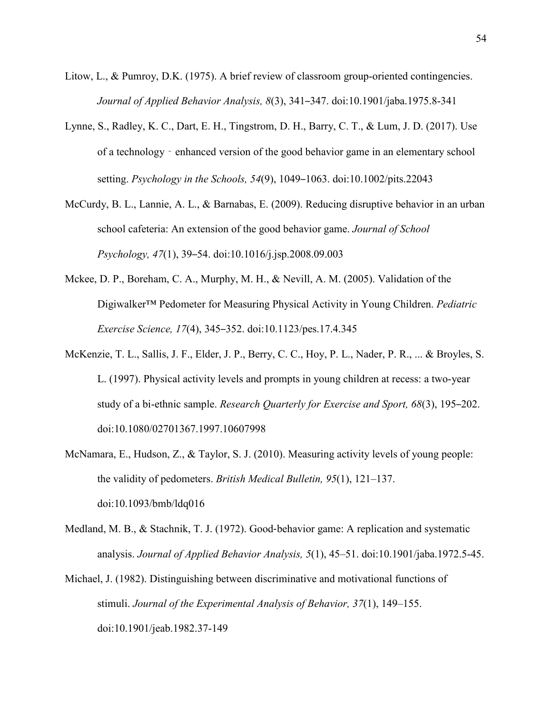- Litow, L., & Pumroy, D.K. (1975). A brief review of classroom group-oriented contingencies. *Journal of Applied Behavior Analysis, 8*(3), 341–347. doi:10.1901/jaba.1975.8-341
- Lynne, S., Radley, K. C., Dart, E. H., Tingstrom, D. H., Barry, C. T., & Lum, J. D. (2017). Use of a technology‐enhanced version of the good behavior game in an elementary school setting. *Psychology in the Schools, 54*(9), 1049–1063. doi:10.1002/pits.22043
- McCurdy, B. L., Lannie, A. L., & Barnabas, E. (2009). Reducing disruptive behavior in an urban school cafeteria: An extension of the good behavior game. *Journal of School Psychology, 47*(1), 39–54. doi:10.1016/j.jsp.2008.09.003
- Mckee, D. P., Boreham, C. A., Murphy, M. H., & Nevill, A. M. (2005). Validation of the Digiwalker™ Pedometer for Measuring Physical Activity in Young Children. *Pediatric Exercise Science, 17*(4), 345–352. doi:10.1123/pes.17.4.345
- McKenzie, T. L., Sallis, J. F., Elder, J. P., Berry, C. C., Hoy, P. L., Nader, P. R., ... & Broyles, S. L. (1997). Physical activity levels and prompts in young children at recess: a two-year study of a bi-ethnic sample. *Research Quarterly for Exercise and Sport, 68*(3), 195–202. doi:10.1080/02701367.1997.10607998
- McNamara, E., Hudson, Z., & Taylor, S. J. (2010). Measuring activity levels of young people: the validity of pedometers. *British Medical Bulletin, 95*(1), 121–137. doi:10.1093/bmb/ldq016
- Medland, M. B., & Stachnik, T. J. (1972). Good-behavior game: A replication and systematic analysis. *Journal of Applied Behavior Analysis, 5*(1), 45–51. doi:10.1901/jaba.1972.5-45.
- Michael, J. (1982). Distinguishing between discriminative and motivational functions of stimuli. *Journal of the Experimental Analysis of Behavior, 37*(1), 149–155. doi:10.1901/jeab.1982.37-149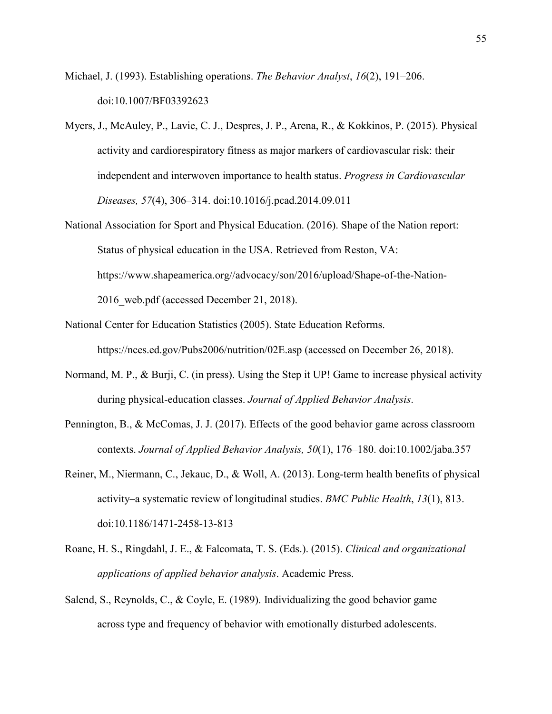- Michael, J. (1993). Establishing operations. *The Behavior Analyst*, *16*(2), 191–206. doi:10.1007/BF03392623
- Myers, J., McAuley, P., Lavie, C. J., Despres, J. P., Arena, R., & Kokkinos, P. (2015). Physical activity and cardiorespiratory fitness as major markers of cardiovascular risk: their independent and interwoven importance to health status. *Progress in Cardiovascular Diseases, 57*(4), 306–314. doi:10.1016/j.pcad.2014.09.011
- National Association for Sport and Physical Education. (2016). Shape of the Nation report: Status of physical education in the USA. Retrieved from Reston, VA: https://www.shapeamerica.org//advocacy/son/2016/upload/Shape-of-the-Nation-2016 web.pdf (accessed December 21, 2018).
- National Center for Education Statistics (2005). State Education Reforms. https://nces.ed.gov/Pubs2006/nutrition/02E.asp (accessed on December 26, 2018).
- Normand, M. P., & Burji, C. (in press). Using the Step it UP! Game to increase physical activity during physical-education classes. *Journal of Applied Behavior Analysis*.
- Pennington, B., & McComas, J. J. (2017). Effects of the good behavior game across classroom contexts. *Journal of Applied Behavior Analysis, 50*(1), 176–180. doi:10.1002/jaba.357
- Reiner, M., Niermann, C., Jekauc, D., & Woll, A. (2013). Long-term health benefits of physical activity–a systematic review of longitudinal studies. *BMC Public Health*, *13*(1), 813. doi:10.1186/1471-2458-13-813
- Roane, H. S., Ringdahl, J. E., & Falcomata, T. S. (Eds.). (2015). *Clinical and organizational applications of applied behavior analysis*. Academic Press.
- Salend, S., Reynolds, C., & Coyle, E. (1989). Individualizing the good behavior game across type and frequency of behavior with emotionally disturbed adolescents.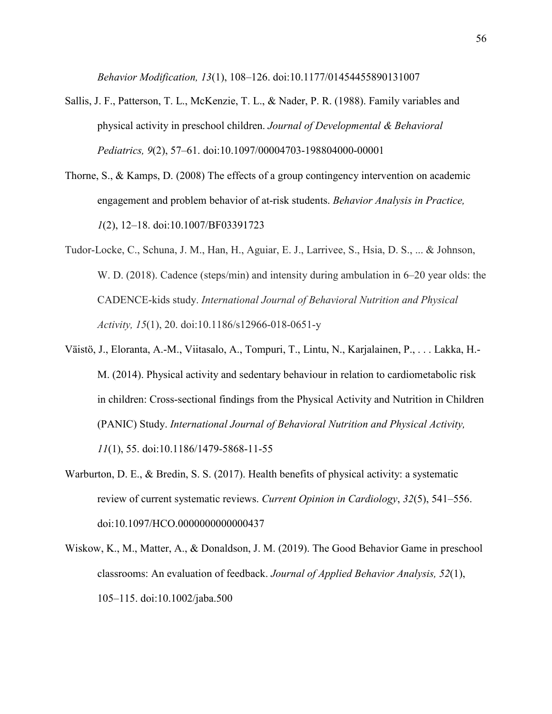*Behavior Modification, 13*(1), 108–126. doi:10.1177/01454455890131007

- Sallis, J. F., Patterson, T. L., McKenzie, T. L., & Nader, P. R. (1988). Family variables and physical activity in preschool children. *Journal of Developmental & Behavioral Pediatrics, 9*(2), 57–61. doi:10.1097/00004703-198804000-00001
- Thorne, S., & Kamps, D. (2008) The effects of a group contingency intervention on academic engagement and problem behavior of at-risk students. *Behavior Analysis in Practice, 1*(2), 12–18. doi:10.1007/BF03391723
- Tudor-Locke, C., Schuna, J. M., Han, H., Aguiar, E. J., Larrivee, S., Hsia, D. S., ... & Johnson, W. D. (2018). Cadence (steps/min) and intensity during ambulation in 6–20 year olds: the CADENCE-kids study. *International Journal of Behavioral Nutrition and Physical Activity, 15*(1), 20. doi:10.1186/s12966-018-0651-y
- Väistö, J., Eloranta, A.-M., Viitasalo, A., Tompuri, T., Lintu, N., Karjalainen, P., . . . Lakka, H.- M. (2014). Physical activity and sedentary behaviour in relation to cardiometabolic risk in children: Cross-sectional findings from the Physical Activity and Nutrition in Children (PANIC) Study. *International Journal of Behavioral Nutrition and Physical Activity, 11*(1), 55. doi:10.1186/1479-5868-11-55
- Warburton, D. E., & Bredin, S. S. (2017). Health benefits of physical activity: a systematic review of current systematic reviews. *Current Opinion in Cardiology*, *32*(5), 541–556. doi:10.1097/HCO.0000000000000437
- Wiskow, K., M., Matter, A., & Donaldson, J. M. (2019). The Good Behavior Game in preschool classrooms: An evaluation of feedback. *Journal of Applied Behavior Analysis, 52*(1), 105–115. doi:10.1002/jaba.500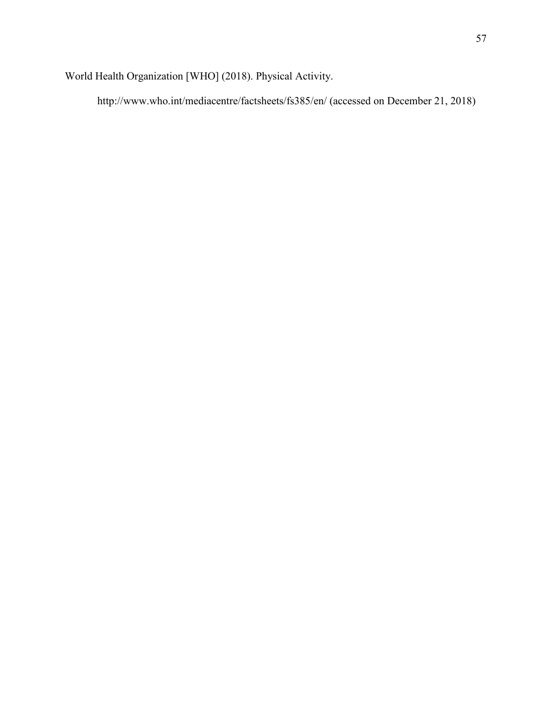World Health Organization [WHO] (2018). Physical Activity.

http://www.who.int/mediacentre/factsheets/fs385/en/ (accessed on December 21, 2018)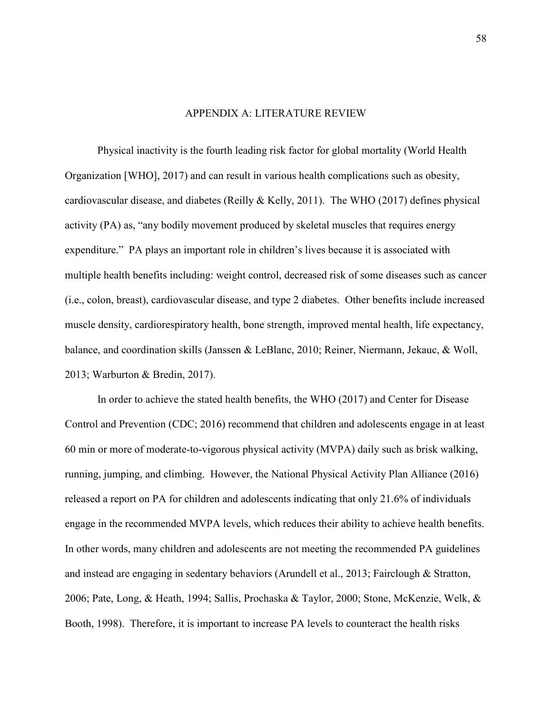# APPENDIX A: LITERATURE REVIEW

Physical inactivity is the fourth leading risk factor for global mortality (World Health Organization [WHO], 2017) and can result in various health complications such as obesity, cardiovascular disease, and diabetes (Reilly & Kelly, 2011). The WHO (2017) defines physical activity (PA) as, "any bodily movement produced by skeletal muscles that requires energy expenditure." PA plays an important role in children's lives because it is associated with multiple health benefits including: weight control, decreased risk of some diseases such as cancer (i.e., colon, breast), cardiovascular disease, and type 2 diabetes. Other benefits include increased muscle density, cardiorespiratory health, bone strength, improved mental health, life expectancy, balance, and coordination skills (Janssen & LeBlanc, 2010; Reiner, Niermann, Jekauc, & Woll, 2013; Warburton & Bredin, 2017).

In order to achieve the stated health benefits, the WHO (2017) and Center for Disease Control and Prevention (CDC; 2016) recommend that children and adolescents engage in at least 60 min or more of moderate-to-vigorous physical activity (MVPA) daily such as brisk walking, running, jumping, and climbing. However, the National Physical Activity Plan Alliance (2016) released a report on PA for children and adolescents indicating that only 21.6% of individuals engage in the recommended MVPA levels, which reduces their ability to achieve health benefits. In other words, many children and adolescents are not meeting the recommended PA guidelines and instead are engaging in sedentary behaviors (Arundell et al., 2013; Fairclough & Stratton, 2006; Pate, Long, & Heath, 1994; Sallis, Prochaska & Taylor, 2000; Stone, McKenzie, Welk, & Booth, 1998). Therefore, it is important to increase PA levels to counteract the health risks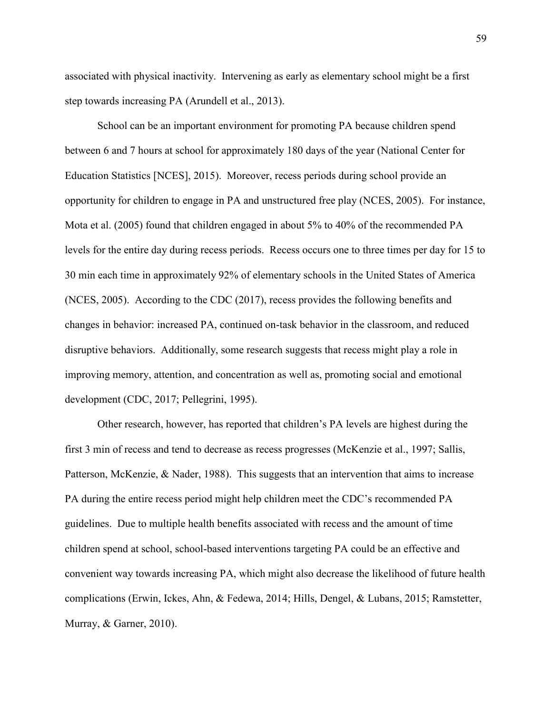associated with physical inactivity. Intervening as early as elementary school might be a first step towards increasing PA (Arundell et al., 2013).

School can be an important environment for promoting PA because children spend between 6 and 7 hours at school for approximately 180 days of the year (National Center for Education Statistics [NCES], 2015). Moreover, recess periods during school provide an opportunity for children to engage in PA and unstructured free play (NCES, 2005). For instance, Mota et al. (2005) found that children engaged in about 5% to 40% of the recommended PA levels for the entire day during recess periods. Recess occurs one to three times per day for 15 to 30 min each time in approximately 92% of elementary schools in the United States of America (NCES, 2005). According to the CDC (2017), recess provides the following benefits and changes in behavior: increased PA, continued on-task behavior in the classroom, and reduced disruptive behaviors. Additionally, some research suggests that recess might play a role in improving memory, attention, and concentration as well as, promoting social and emotional development (CDC, 2017; Pellegrini, 1995).

Other research, however, has reported that children's PA levels are highest during the first 3 min of recess and tend to decrease as recess progresses (McKenzie et al., 1997; Sallis, Patterson, McKenzie, & Nader, 1988). This suggests that an intervention that aims to increase PA during the entire recess period might help children meet the CDC's recommended PA guidelines. Due to multiple health benefits associated with recess and the amount of time children spend at school, school-based interventions targeting PA could be an effective and convenient way towards increasing PA, which might also decrease the likelihood of future health complications (Erwin, Ickes, Ahn, & Fedewa, 2014; Hills, Dengel, & Lubans, 2015; Ramstetter, Murray, & Garner, 2010).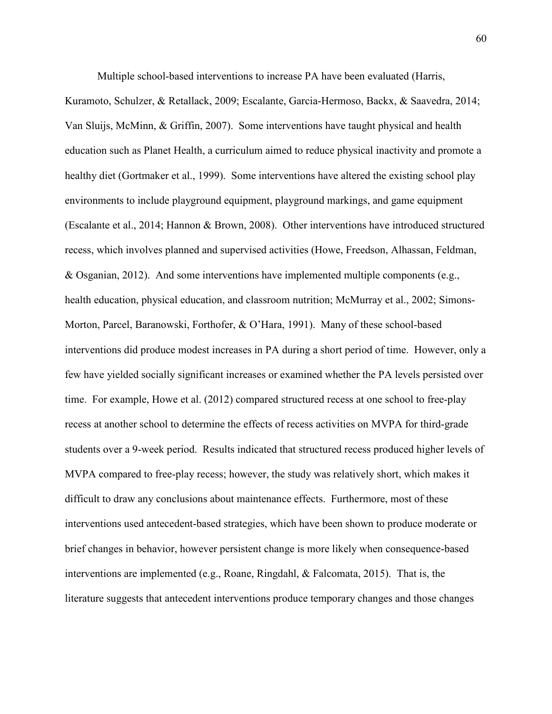Multiple school-based interventions to increase PA have been evaluated (Harris,

Kuramoto, Schulzer, & Retallack, 2009; Escalante, Garcia-Hermoso, Backx, & Saavedra, 2014; Van Sluijs, McMinn, & Griffin, 2007). Some interventions have taught physical and health education such as Planet Health, a curriculum aimed to reduce physical inactivity and promote a healthy diet (Gortmaker et al., 1999). Some interventions have altered the existing school play environments to include playground equipment, playground markings, and game equipment (Escalante et al., 2014; Hannon & Brown, 2008). Other interventions have introduced structured recess, which involves planned and supervised activities (Howe, Freedson, Alhassan, Feldman, & Osganian, 2012). And some interventions have implemented multiple components (e.g., health education, physical education, and classroom nutrition; McMurray et al., 2002; Simons-Morton, Parcel, Baranowski, Forthofer, & O'Hara, 1991). Many of these school-based interventions did produce modest increases in PA during a short period of time. However, only a few have yielded socially significant increases or examined whether the PA levels persisted over time. For example, Howe et al. (2012) compared structured recess at one school to free-play recess at another school to determine the effects of recess activities on MVPA for third-grade students over a 9-week period. Results indicated that structured recess produced higher levels of MVPA compared to free-play recess; however, the study was relatively short, which makes it difficult to draw any conclusions about maintenance effects. Furthermore, most of these interventions used antecedent-based strategies, which have been shown to produce moderate or brief changes in behavior, however persistent change is more likely when consequence-based interventions are implemented (e.g., Roane, Ringdahl, & Falcomata, 2015). That is, the literature suggests that antecedent interventions produce temporary changes and those changes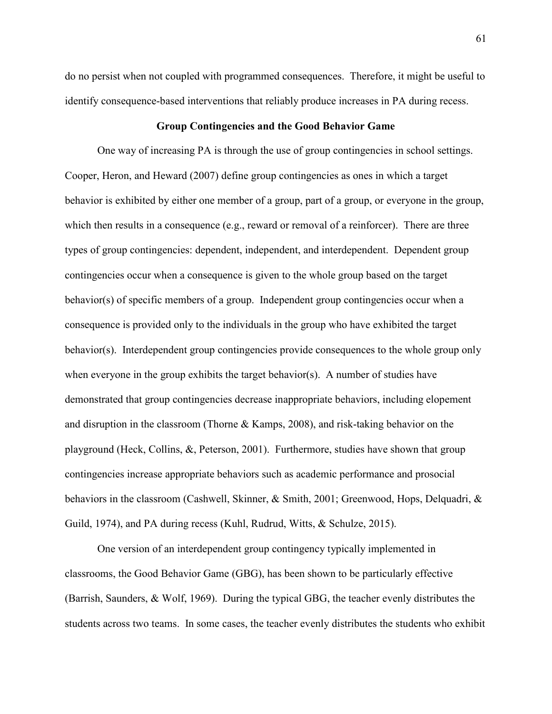do no persist when not coupled with programmed consequences. Therefore, it might be useful to identify consequence-based interventions that reliably produce increases in PA during recess.

## **Group Contingencies and the Good Behavior Game**

One way of increasing PA is through the use of group contingencies in school settings. Cooper, Heron, and Heward (2007) define group contingencies as ones in which a target behavior is exhibited by either one member of a group, part of a group, or everyone in the group, which then results in a consequence (e.g., reward or removal of a reinforcer). There are three types of group contingencies: dependent, independent, and interdependent. Dependent group contingencies occur when a consequence is given to the whole group based on the target behavior(s) of specific members of a group. Independent group contingencies occur when a consequence is provided only to the individuals in the group who have exhibited the target behavior(s). Interdependent group contingencies provide consequences to the whole group only when everyone in the group exhibits the target behavior(s). A number of studies have demonstrated that group contingencies decrease inappropriate behaviors, including elopement and disruption in the classroom (Thorne & Kamps, 2008), and risk-taking behavior on the playground (Heck, Collins, &, Peterson, 2001). Furthermore, studies have shown that group contingencies increase appropriate behaviors such as academic performance and prosocial behaviors in the classroom (Cashwell, Skinner, & Smith, 2001; Greenwood, Hops, Delquadri, & Guild, 1974), and PA during recess (Kuhl, Rudrud, Witts, & Schulze, 2015).

One version of an interdependent group contingency typically implemented in classrooms, the Good Behavior Game (GBG), has been shown to be particularly effective (Barrish, Saunders, & Wolf, 1969). During the typical GBG, the teacher evenly distributes the students across two teams. In some cases, the teacher evenly distributes the students who exhibit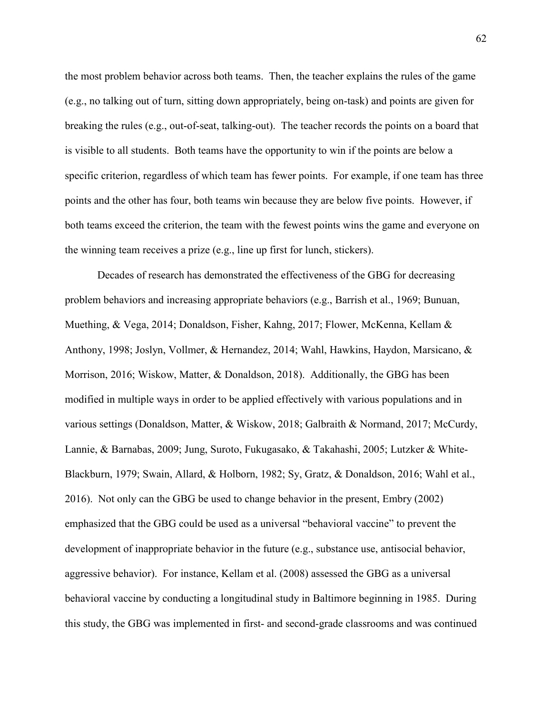the most problem behavior across both teams. Then, the teacher explains the rules of the game (e.g., no talking out of turn, sitting down appropriately, being on-task) and points are given for breaking the rules (e.g., out-of-seat, talking-out). The teacher records the points on a board that is visible to all students. Both teams have the opportunity to win if the points are below a specific criterion, regardless of which team has fewer points. For example, if one team has three points and the other has four, both teams win because they are below five points. However, if both teams exceed the criterion, the team with the fewest points wins the game and everyone on the winning team receives a prize (e.g., line up first for lunch, stickers).

Decades of research has demonstrated the effectiveness of the GBG for decreasing problem behaviors and increasing appropriate behaviors (e.g., Barrish et al., 1969; Bunuan, Muething, & Vega, 2014; Donaldson, Fisher, Kahng, 2017; Flower, McKenna, Kellam & Anthony, 1998; Joslyn, Vollmer, & Hernandez, 2014; Wahl, Hawkins, Haydon, Marsicano, & Morrison, 2016; Wiskow, Matter, & Donaldson, 2018). Additionally, the GBG has been modified in multiple ways in order to be applied effectively with various populations and in various settings (Donaldson, Matter, & Wiskow, 2018; Galbraith & Normand, 2017; McCurdy, Lannie, & Barnabas, 2009; Jung, Suroto, Fukugasako, & Takahashi, 2005; Lutzker & White-Blackburn, 1979; Swain, Allard, & Holborn, 1982; Sy, Gratz, & Donaldson, 2016; Wahl et al., 2016). Not only can the GBG be used to change behavior in the present, Embry (2002) emphasized that the GBG could be used as a universal "behavioral vaccine" to prevent the development of inappropriate behavior in the future (e.g., substance use, antisocial behavior, aggressive behavior). For instance, Kellam et al. (2008) assessed the GBG as a universal behavioral vaccine by conducting a longitudinal study in Baltimore beginning in 1985. During this study, the GBG was implemented in first- and second-grade classrooms and was continued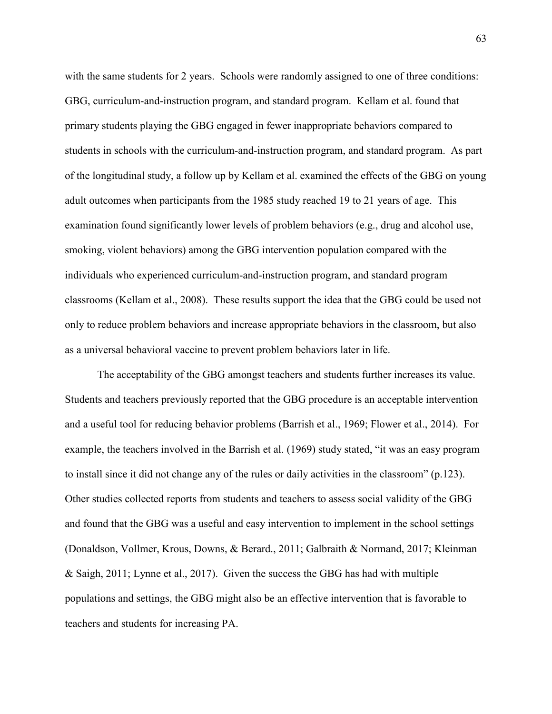with the same students for 2 years. Schools were randomly assigned to one of three conditions: GBG, curriculum-and-instruction program, and standard program. Kellam et al. found that primary students playing the GBG engaged in fewer inappropriate behaviors compared to students in schools with the curriculum-and-instruction program, and standard program. As part of the longitudinal study, a follow up by Kellam et al. examined the effects of the GBG on young adult outcomes when participants from the 1985 study reached 19 to 21 years of age. This examination found significantly lower levels of problem behaviors (e.g., drug and alcohol use, smoking, violent behaviors) among the GBG intervention population compared with the individuals who experienced curriculum-and-instruction program, and standard program classrooms (Kellam et al., 2008). These results support the idea that the GBG could be used not only to reduce problem behaviors and increase appropriate behaviors in the classroom, but also as a universal behavioral vaccine to prevent problem behaviors later in life.

The acceptability of the GBG amongst teachers and students further increases its value. Students and teachers previously reported that the GBG procedure is an acceptable intervention and a useful tool for reducing behavior problems (Barrish et al., 1969; Flower et al., 2014). For example, the teachers involved in the Barrish et al. (1969) study stated, "it was an easy program to install since it did not change any of the rules or daily activities in the classroom" (p.123). Other studies collected reports from students and teachers to assess social validity of the GBG and found that the GBG was a useful and easy intervention to implement in the school settings (Donaldson, Vollmer, Krous, Downs, & Berard., 2011; Galbraith & Normand, 2017; Kleinman & Saigh, 2011; Lynne et al., 2017). Given the success the GBG has had with multiple populations and settings, the GBG might also be an effective intervention that is favorable to teachers and students for increasing PA.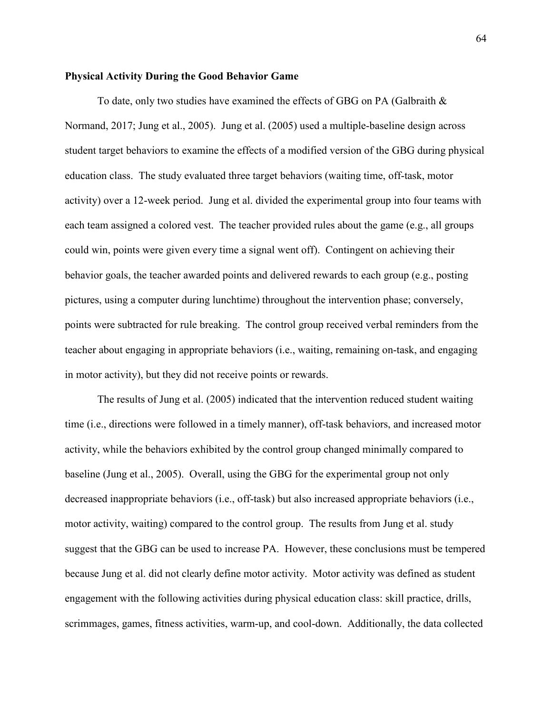## **Physical Activity During the Good Behavior Game**

To date, only two studies have examined the effects of GBG on PA (Galbraith  $\&$ Normand, 2017; Jung et al., 2005). Jung et al. (2005) used a multiple-baseline design across student target behaviors to examine the effects of a modified version of the GBG during physical education class. The study evaluated three target behaviors (waiting time, off-task, motor activity) over a 12-week period. Jung et al. divided the experimental group into four teams with each team assigned a colored vest. The teacher provided rules about the game (e.g., all groups could win, points were given every time a signal went off). Contingent on achieving their behavior goals, the teacher awarded points and delivered rewards to each group (e.g., posting pictures, using a computer during lunchtime) throughout the intervention phase; conversely, points were subtracted for rule breaking. The control group received verbal reminders from the teacher about engaging in appropriate behaviors (i.e., waiting, remaining on-task, and engaging in motor activity), but they did not receive points or rewards.

 The results of Jung et al. (2005) indicated that the intervention reduced student waiting time (i.e., directions were followed in a timely manner), off-task behaviors, and increased motor activity, while the behaviors exhibited by the control group changed minimally compared to baseline (Jung et al., 2005). Overall, using the GBG for the experimental group not only decreased inappropriate behaviors (i.e., off-task) but also increased appropriate behaviors (i.e., motor activity, waiting) compared to the control group. The results from Jung et al. study suggest that the GBG can be used to increase PA. However, these conclusions must be tempered because Jung et al. did not clearly define motor activity. Motor activity was defined as student engagement with the following activities during physical education class: skill practice, drills, scrimmages, games, fitness activities, warm-up, and cool-down. Additionally, the data collected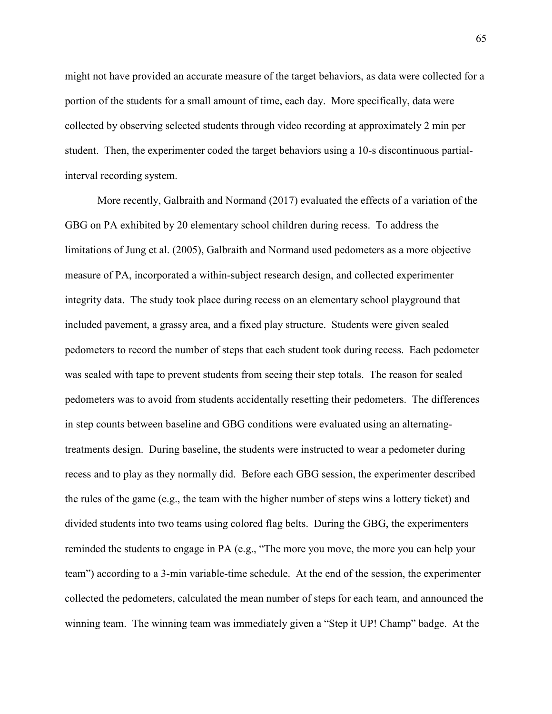might not have provided an accurate measure of the target behaviors, as data were collected for a portion of the students for a small amount of time, each day. More specifically, data were collected by observing selected students through video recording at approximately 2 min per student. Then, the experimenter coded the target behaviors using a 10-s discontinuous partialinterval recording system.

More recently, Galbraith and Normand (2017) evaluated the effects of a variation of the GBG on PA exhibited by 20 elementary school children during recess. To address the limitations of Jung et al. (2005), Galbraith and Normand used pedometers as a more objective measure of PA, incorporated a within-subject research design, and collected experimenter integrity data. The study took place during recess on an elementary school playground that included pavement, a grassy area, and a fixed play structure. Students were given sealed pedometers to record the number of steps that each student took during recess. Each pedometer was sealed with tape to prevent students from seeing their step totals. The reason for sealed pedometers was to avoid from students accidentally resetting their pedometers. The differences in step counts between baseline and GBG conditions were evaluated using an alternatingtreatments design. During baseline, the students were instructed to wear a pedometer during recess and to play as they normally did. Before each GBG session, the experimenter described the rules of the game (e.g., the team with the higher number of steps wins a lottery ticket) and divided students into two teams using colored flag belts. During the GBG, the experimenters reminded the students to engage in PA (e.g., "The more you move, the more you can help your team") according to a 3-min variable-time schedule. At the end of the session, the experimenter collected the pedometers, calculated the mean number of steps for each team, and announced the winning team. The winning team was immediately given a "Step it UP! Champ" badge. At the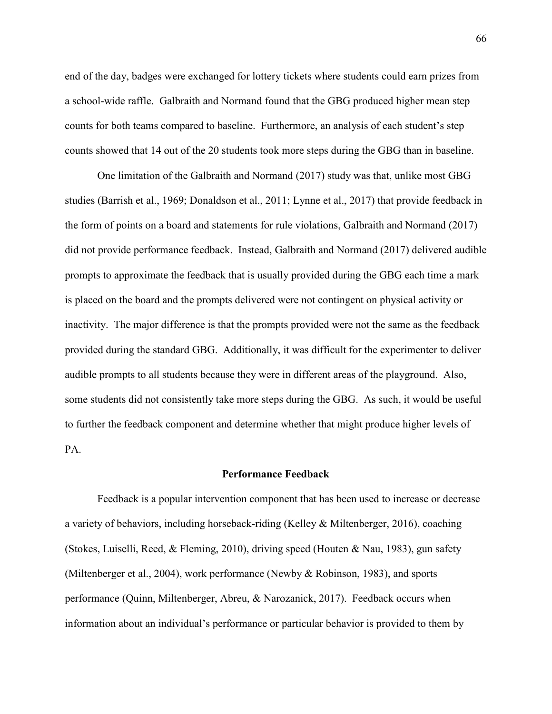end of the day, badges were exchanged for lottery tickets where students could earn prizes from a school-wide raffle. Galbraith and Normand found that the GBG produced higher mean step counts for both teams compared to baseline. Furthermore, an analysis of each student's step counts showed that 14 out of the 20 students took more steps during the GBG than in baseline.

One limitation of the Galbraith and Normand (2017) study was that, unlike most GBG studies (Barrish et al., 1969; Donaldson et al., 2011; Lynne et al., 2017) that provide feedback in the form of points on a board and statements for rule violations, Galbraith and Normand (2017) did not provide performance feedback. Instead, Galbraith and Normand (2017) delivered audible prompts to approximate the feedback that is usually provided during the GBG each time a mark is placed on the board and the prompts delivered were not contingent on physical activity or inactivity. The major difference is that the prompts provided were not the same as the feedback provided during the standard GBG. Additionally, it was difficult for the experimenter to deliver audible prompts to all students because they were in different areas of the playground. Also, some students did not consistently take more steps during the GBG. As such, it would be useful to further the feedback component and determine whether that might produce higher levels of PA.

### **Performance Feedback**

Feedback is a popular intervention component that has been used to increase or decrease a variety of behaviors, including horseback-riding (Kelley & Miltenberger, 2016), coaching (Stokes, Luiselli, Reed, & Fleming, 2010), driving speed (Houten & Nau, 1983), gun safety (Miltenberger et al., 2004), work performance (Newby & Robinson, 1983), and sports performance (Quinn, Miltenberger, Abreu, & Narozanick, 2017). Feedback occurs when information about an individual's performance or particular behavior is provided to them by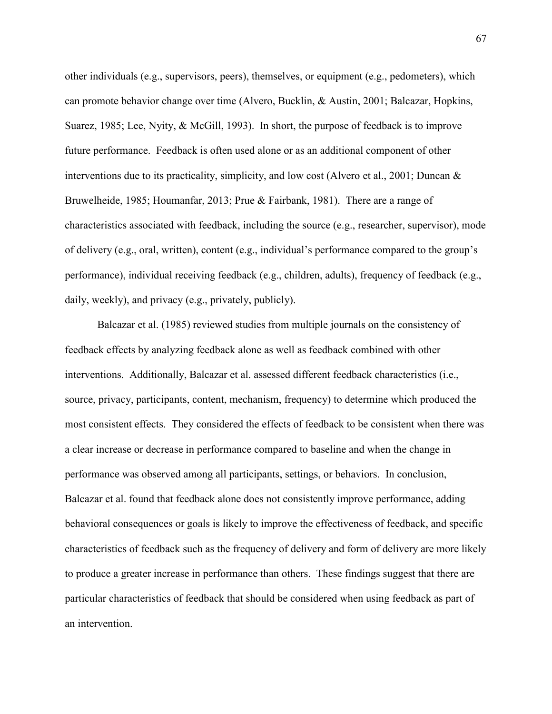other individuals (e.g., supervisors, peers), themselves, or equipment (e.g., pedometers), which can promote behavior change over time (Alvero, Bucklin, & Austin, 2001; Balcazar, Hopkins, Suarez, 1985; Lee, Nyity, & McGill, 1993). In short, the purpose of feedback is to improve future performance. Feedback is often used alone or as an additional component of other interventions due to its practicality, simplicity, and low cost (Alvero et al., 2001; Duncan  $\&$ Bruwelheide, 1985; Houmanfar, 2013; Prue & Fairbank, 1981). There are a range of characteristics associated with feedback, including the source (e.g., researcher, supervisor), mode of delivery (e.g., oral, written), content (e.g., individual's performance compared to the group's performance), individual receiving feedback (e.g., children, adults), frequency of feedback (e.g., daily, weekly), and privacy (e.g., privately, publicly).

Balcazar et al. (1985) reviewed studies from multiple journals on the consistency of feedback effects by analyzing feedback alone as well as feedback combined with other interventions. Additionally, Balcazar et al. assessed different feedback characteristics (i.e., source, privacy, participants, content, mechanism, frequency) to determine which produced the most consistent effects. They considered the effects of feedback to be consistent when there was a clear increase or decrease in performance compared to baseline and when the change in performance was observed among all participants, settings, or behaviors. In conclusion, Balcazar et al. found that feedback alone does not consistently improve performance, adding behavioral consequences or goals is likely to improve the effectiveness of feedback, and specific characteristics of feedback such as the frequency of delivery and form of delivery are more likely to produce a greater increase in performance than others. These findings suggest that there are particular characteristics of feedback that should be considered when using feedback as part of an intervention.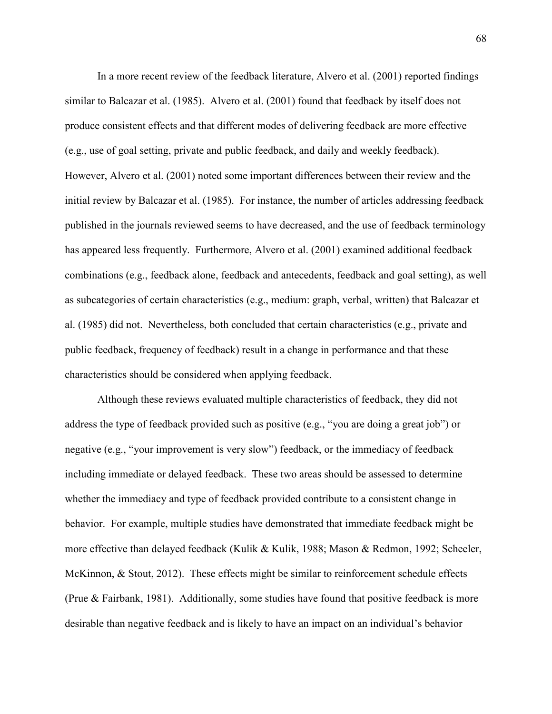In a more recent review of the feedback literature, Alvero et al. (2001) reported findings similar to Balcazar et al. (1985). Alvero et al. (2001) found that feedback by itself does not produce consistent effects and that different modes of delivering feedback are more effective (e.g., use of goal setting, private and public feedback, and daily and weekly feedback). However, Alvero et al. (2001) noted some important differences between their review and the initial review by Balcazar et al. (1985). For instance, the number of articles addressing feedback published in the journals reviewed seems to have decreased, and the use of feedback terminology has appeared less frequently. Furthermore, Alvero et al. (2001) examined additional feedback combinations (e.g., feedback alone, feedback and antecedents, feedback and goal setting), as well as subcategories of certain characteristics (e.g., medium: graph, verbal, written) that Balcazar et al. (1985) did not. Nevertheless, both concluded that certain characteristics (e.g., private and public feedback, frequency of feedback) result in a change in performance and that these characteristics should be considered when applying feedback.

Although these reviews evaluated multiple characteristics of feedback, they did not address the type of feedback provided such as positive (e.g., "you are doing a great job") or negative (e.g., "your improvement is very slow") feedback, or the immediacy of feedback including immediate or delayed feedback. These two areas should be assessed to determine whether the immediacy and type of feedback provided contribute to a consistent change in behavior. For example, multiple studies have demonstrated that immediate feedback might be more effective than delayed feedback (Kulik & Kulik, 1988; Mason & Redmon, 1992; Scheeler, McKinnon, & Stout, 2012). These effects might be similar to reinforcement schedule effects (Prue & Fairbank, 1981). Additionally, some studies have found that positive feedback is more desirable than negative feedback and is likely to have an impact on an individual's behavior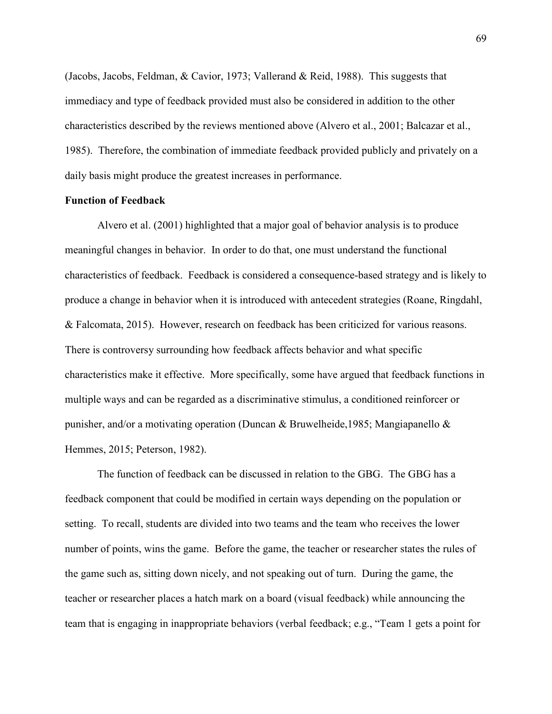(Jacobs, Jacobs, Feldman, & Cavior, 1973; Vallerand & Reid, 1988). This suggests that immediacy and type of feedback provided must also be considered in addition to the other characteristics described by the reviews mentioned above (Alvero et al., 2001; Balcazar et al., 1985). Therefore, the combination of immediate feedback provided publicly and privately on a daily basis might produce the greatest increases in performance.

# **Function of Feedback**

Alvero et al. (2001) highlighted that a major goal of behavior analysis is to produce meaningful changes in behavior. In order to do that, one must understand the functional characteristics of feedback. Feedback is considered a consequence-based strategy and is likely to produce a change in behavior when it is introduced with antecedent strategies (Roane, Ringdahl, & Falcomata, 2015). However, research on feedback has been criticized for various reasons. There is controversy surrounding how feedback affects behavior and what specific characteristics make it effective. More specifically, some have argued that feedback functions in multiple ways and can be regarded as a discriminative stimulus, a conditioned reinforcer or punisher, and/or a motivating operation (Duncan & Bruwelheide,1985; Mangiapanello & Hemmes, 2015; Peterson, 1982).

The function of feedback can be discussed in relation to the GBG. The GBG has a feedback component that could be modified in certain ways depending on the population or setting. To recall, students are divided into two teams and the team who receives the lower number of points, wins the game. Before the game, the teacher or researcher states the rules of the game such as, sitting down nicely, and not speaking out of turn. During the game, the teacher or researcher places a hatch mark on a board (visual feedback) while announcing the team that is engaging in inappropriate behaviors (verbal feedback; e.g., "Team 1 gets a point for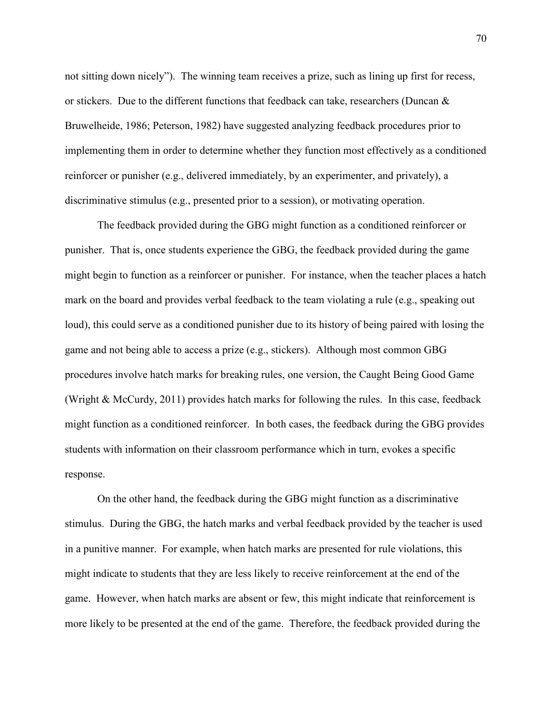not sitting down nicely"). The winning team receives a prize, such as lining up first for recess, or stickers. Due to the different functions that feedback can take, researchers (Duncan & Bruwelheide, 1986; Peterson, 1982) have suggested analyzing feedback procedures prior to implementing them in order to determine whether they function most effectively as a conditioned reinforcer or punisher (e.g., delivered immediately, by an experimenter, and privately), a discriminative stimulus (e.g., presented prior to a session), or motivating operation.

The feedback provided during the GBG might function as a conditioned reinforcer or punisher. That is, once students experience the GBG, the feedback provided during the game might begin to function as a reinforcer or punisher. For instance, when the teacher places a hatch mark on the board and provides verbal feedback to the team violating a rule (e.g., speaking out loud), this could serve as a conditioned punisher due to its history of being paired with losing the game and not being able to access a prize (e.g., stickers). Although most common GBG procedures involve hatch marks for breaking rules, one version, the Caught Being Good Game (Wright & McCurdy, 2011) provides hatch marks for following the rules. In this case, feedback might function as a conditioned reinforcer. In both cases, the feedback during the GBG provides students with information on their classroom performance which in turn, evokes a specific response.

On the other hand, the feedback during the GBG might function as a discriminative stimulus. During the GBG, the hatch marks and verbal feedback provided by the teacher is used in a punitive manner. For example, when hatch marks are presented for rule violations, this might indicate to students that they are less likely to receive reinforcement at the end of the game. However, when hatch marks are absent or few, this might indicate that reinforcement is more likely to be presented at the end of the game. Therefore, the feedback provided during the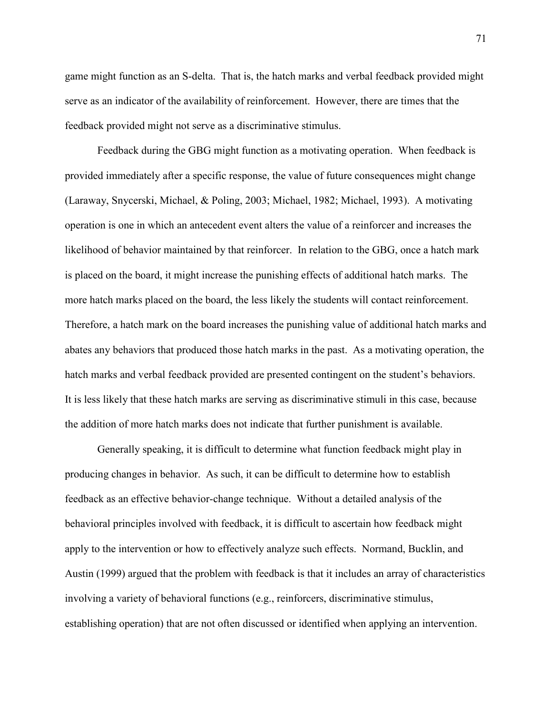game might function as an S-delta. That is, the hatch marks and verbal feedback provided might serve as an indicator of the availability of reinforcement. However, there are times that the feedback provided might not serve as a discriminative stimulus.

Feedback during the GBG might function as a motivating operation. When feedback is provided immediately after a specific response, the value of future consequences might change (Laraway, Snycerski, Michael, & Poling, 2003; Michael, 1982; Michael, 1993). A motivating operation is one in which an antecedent event alters the value of a reinforcer and increases the likelihood of behavior maintained by that reinforcer. In relation to the GBG, once a hatch mark is placed on the board, it might increase the punishing effects of additional hatch marks. The more hatch marks placed on the board, the less likely the students will contact reinforcement. Therefore, a hatch mark on the board increases the punishing value of additional hatch marks and abates any behaviors that produced those hatch marks in the past. As a motivating operation, the hatch marks and verbal feedback provided are presented contingent on the student's behaviors. It is less likely that these hatch marks are serving as discriminative stimuli in this case, because the addition of more hatch marks does not indicate that further punishment is available.

Generally speaking, it is difficult to determine what function feedback might play in producing changes in behavior. As such, it can be difficult to determine how to establish feedback as an effective behavior-change technique. Without a detailed analysis of the behavioral principles involved with feedback, it is difficult to ascertain how feedback might apply to the intervention or how to effectively analyze such effects. Normand, Bucklin, and Austin (1999) argued that the problem with feedback is that it includes an array of characteristics involving a variety of behavioral functions (e.g., reinforcers, discriminative stimulus, establishing operation) that are not often discussed or identified when applying an intervention.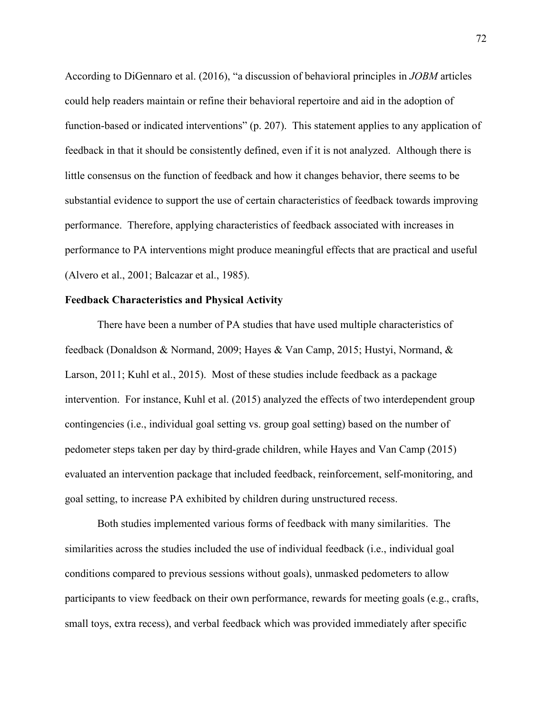According to DiGennaro et al. (2016), "a discussion of behavioral principles in *JOBM* articles could help readers maintain or refine their behavioral repertoire and aid in the adoption of function-based or indicated interventions" (p. 207). This statement applies to any application of feedback in that it should be consistently defined, even if it is not analyzed. Although there is little consensus on the function of feedback and how it changes behavior, there seems to be substantial evidence to support the use of certain characteristics of feedback towards improving performance. Therefore, applying characteristics of feedback associated with increases in performance to PA interventions might produce meaningful effects that are practical and useful (Alvero et al., 2001; Balcazar et al., 1985).

### **Feedback Characteristics and Physical Activity**

There have been a number of PA studies that have used multiple characteristics of feedback (Donaldson & Normand, 2009; Hayes & Van Camp, 2015; Hustyi, Normand, & Larson, 2011; Kuhl et al., 2015). Most of these studies include feedback as a package intervention. For instance, Kuhl et al. (2015) analyzed the effects of two interdependent group contingencies (i.e., individual goal setting vs. group goal setting) based on the number of pedometer steps taken per day by third-grade children, while Hayes and Van Camp (2015) evaluated an intervention package that included feedback, reinforcement, self-monitoring, and goal setting, to increase PA exhibited by children during unstructured recess.

Both studies implemented various forms of feedback with many similarities. The similarities across the studies included the use of individual feedback (i.e., individual goal conditions compared to previous sessions without goals), unmasked pedometers to allow participants to view feedback on their own performance, rewards for meeting goals (e.g., crafts, small toys, extra recess), and verbal feedback which was provided immediately after specific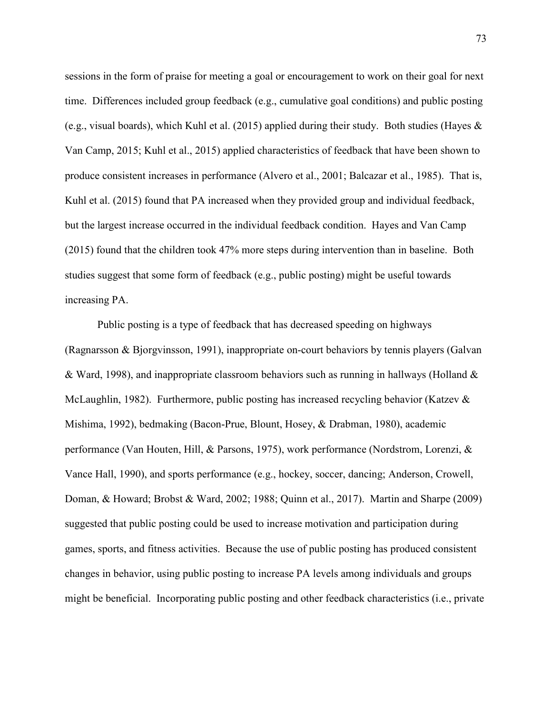sessions in the form of praise for meeting a goal or encouragement to work on their goal for next time. Differences included group feedback (e.g., cumulative goal conditions) and public posting (e.g., visual boards), which Kuhl et al. (2015) applied during their study. Both studies (Hayes  $\&$ Van Camp, 2015; Kuhl et al., 2015) applied characteristics of feedback that have been shown to produce consistent increases in performance (Alvero et al., 2001; Balcazar et al., 1985). That is, Kuhl et al. (2015) found that PA increased when they provided group and individual feedback, but the largest increase occurred in the individual feedback condition. Hayes and Van Camp (2015) found that the children took 47% more steps during intervention than in baseline. Both studies suggest that some form of feedback (e.g., public posting) might be useful towards increasing PA.

Public posting is a type of feedback that has decreased speeding on highways (Ragnarsson & Bjorgvinsson, 1991), inappropriate on-court behaviors by tennis players (Galvan & Ward, 1998), and inappropriate classroom behaviors such as running in hallways (Holland & McLaughlin, 1982). Furthermore, public posting has increased recycling behavior (Katzev  $\&$ Mishima, 1992), bedmaking (Bacon-Prue, Blount, Hosey, & Drabman, 1980), academic performance (Van Houten, Hill, & Parsons, 1975), work performance (Nordstrom, Lorenzi, & Vance Hall, 1990), and sports performance (e.g., hockey, soccer, dancing; Anderson, Crowell, Doman, & Howard; Brobst & Ward, 2002; 1988; Quinn et al., 2017). Martin and Sharpe (2009) suggested that public posting could be used to increase motivation and participation during games, sports, and fitness activities. Because the use of public posting has produced consistent changes in behavior, using public posting to increase PA levels among individuals and groups might be beneficial. Incorporating public posting and other feedback characteristics (i.e., private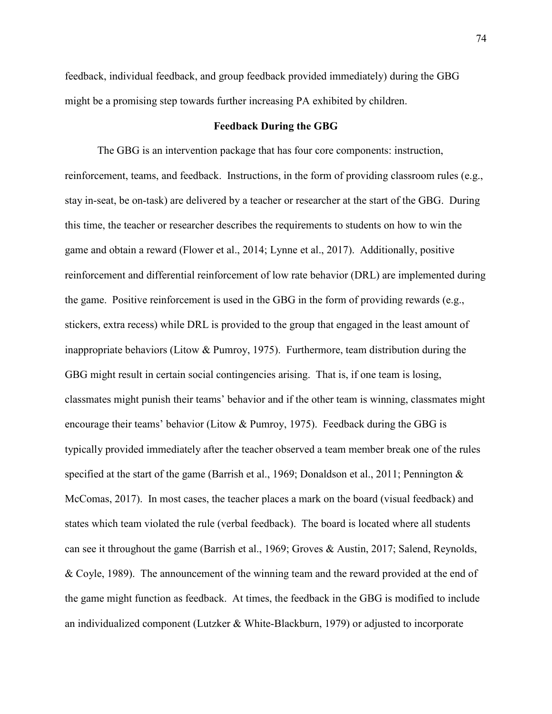feedback, individual feedback, and group feedback provided immediately) during the GBG might be a promising step towards further increasing PA exhibited by children.

## **Feedback During the GBG**

The GBG is an intervention package that has four core components: instruction, reinforcement, teams, and feedback. Instructions, in the form of providing classroom rules (e.g., stay in-seat, be on-task) are delivered by a teacher or researcher at the start of the GBG. During this time, the teacher or researcher describes the requirements to students on how to win the game and obtain a reward (Flower et al., 2014; Lynne et al., 2017). Additionally, positive reinforcement and differential reinforcement of low rate behavior (DRL) are implemented during the game. Positive reinforcement is used in the GBG in the form of providing rewards (e.g., stickers, extra recess) while DRL is provided to the group that engaged in the least amount of inappropriate behaviors (Litow & Pumroy, 1975). Furthermore, team distribution during the GBG might result in certain social contingencies arising. That is, if one team is losing, classmates might punish their teams' behavior and if the other team is winning, classmates might encourage their teams' behavior (Litow & Pumroy, 1975). Feedback during the GBG is typically provided immediately after the teacher observed a team member break one of the rules specified at the start of the game (Barrish et al., 1969; Donaldson et al., 2011; Pennington & McComas, 2017). In most cases, the teacher places a mark on the board (visual feedback) and states which team violated the rule (verbal feedback). The board is located where all students can see it throughout the game (Barrish et al., 1969; Groves & Austin, 2017; Salend, Reynolds, & Coyle, 1989). The announcement of the winning team and the reward provided at the end of the game might function as feedback. At times, the feedback in the GBG is modified to include an individualized component (Lutzker & White-Blackburn, 1979) or adjusted to incorporate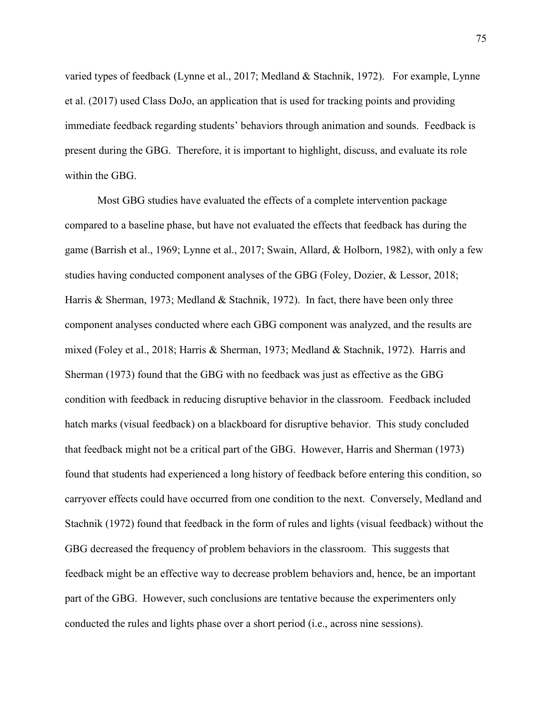varied types of feedback (Lynne et al., 2017; Medland & Stachnik, 1972). For example, Lynne et al. (2017) used Class DoJo, an application that is used for tracking points and providing immediate feedback regarding students' behaviors through animation and sounds. Feedback is present during the GBG. Therefore, it is important to highlight, discuss, and evaluate its role within the GBG.

Most GBG studies have evaluated the effects of a complete intervention package compared to a baseline phase, but have not evaluated the effects that feedback has during the game (Barrish et al., 1969; Lynne et al., 2017; Swain, Allard, & Holborn, 1982), with only a few studies having conducted component analyses of the GBG (Foley, Dozier, & Lessor, 2018; Harris & Sherman, 1973; Medland & Stachnik, 1972). In fact, there have been only three component analyses conducted where each GBG component was analyzed, and the results are mixed (Foley et al., 2018; Harris & Sherman, 1973; Medland & Stachnik, 1972). Harris and Sherman (1973) found that the GBG with no feedback was just as effective as the GBG condition with feedback in reducing disruptive behavior in the classroom. Feedback included hatch marks (visual feedback) on a blackboard for disruptive behavior. This study concluded that feedback might not be a critical part of the GBG. However, Harris and Sherman (1973) found that students had experienced a long history of feedback before entering this condition, so carryover effects could have occurred from one condition to the next. Conversely, Medland and Stachnik (1972) found that feedback in the form of rules and lights (visual feedback) without the GBG decreased the frequency of problem behaviors in the classroom. This suggests that feedback might be an effective way to decrease problem behaviors and, hence, be an important part of the GBG. However, such conclusions are tentative because the experimenters only conducted the rules and lights phase over a short period (i.e., across nine sessions).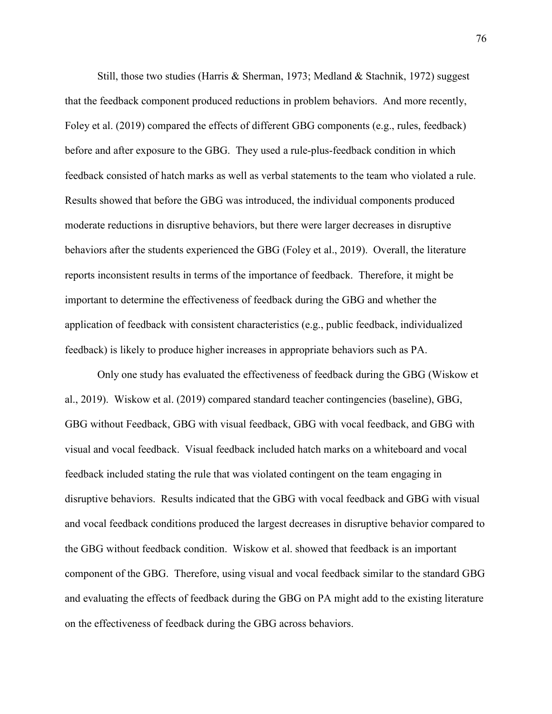Still, those two studies (Harris & Sherman, 1973; Medland & Stachnik, 1972) suggest that the feedback component produced reductions in problem behaviors. And more recently, Foley et al. (2019) compared the effects of different GBG components (e.g., rules, feedback) before and after exposure to the GBG. They used a rule-plus-feedback condition in which feedback consisted of hatch marks as well as verbal statements to the team who violated a rule. Results showed that before the GBG was introduced, the individual components produced moderate reductions in disruptive behaviors, but there were larger decreases in disruptive behaviors after the students experienced the GBG (Foley et al., 2019). Overall, the literature reports inconsistent results in terms of the importance of feedback. Therefore, it might be important to determine the effectiveness of feedback during the GBG and whether the application of feedback with consistent characteristics (e.g., public feedback, individualized feedback) is likely to produce higher increases in appropriate behaviors such as PA.

Only one study has evaluated the effectiveness of feedback during the GBG (Wiskow et al., 2019). Wiskow et al. (2019) compared standard teacher contingencies (baseline), GBG, GBG without Feedback, GBG with visual feedback, GBG with vocal feedback, and GBG with visual and vocal feedback. Visual feedback included hatch marks on a whiteboard and vocal feedback included stating the rule that was violated contingent on the team engaging in disruptive behaviors. Results indicated that the GBG with vocal feedback and GBG with visual and vocal feedback conditions produced the largest decreases in disruptive behavior compared to the GBG without feedback condition. Wiskow et al. showed that feedback is an important component of the GBG. Therefore, using visual and vocal feedback similar to the standard GBG and evaluating the effects of feedback during the GBG on PA might add to the existing literature on the effectiveness of feedback during the GBG across behaviors.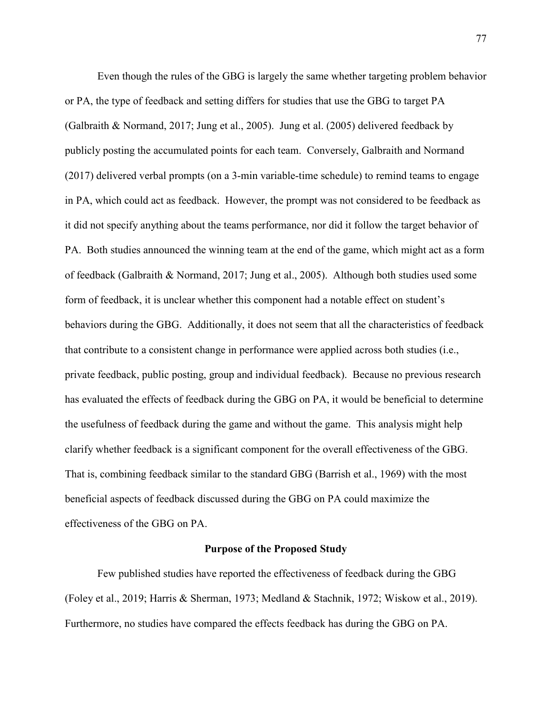Even though the rules of the GBG is largely the same whether targeting problem behavior or PA, the type of feedback and setting differs for studies that use the GBG to target PA (Galbraith & Normand, 2017; Jung et al., 2005). Jung et al. (2005) delivered feedback by publicly posting the accumulated points for each team. Conversely, Galbraith and Normand (2017) delivered verbal prompts (on a 3-min variable-time schedule) to remind teams to engage in PA, which could act as feedback. However, the prompt was not considered to be feedback as it did not specify anything about the teams performance, nor did it follow the target behavior of PA. Both studies announced the winning team at the end of the game, which might act as a form of feedback (Galbraith & Normand, 2017; Jung et al., 2005). Although both studies used some form of feedback, it is unclear whether this component had a notable effect on student's behaviors during the GBG. Additionally, it does not seem that all the characteristics of feedback that contribute to a consistent change in performance were applied across both studies (i.e., private feedback, public posting, group and individual feedback). Because no previous research has evaluated the effects of feedback during the GBG on PA, it would be beneficial to determine the usefulness of feedback during the game and without the game. This analysis might help clarify whether feedback is a significant component for the overall effectiveness of the GBG. That is, combining feedback similar to the standard GBG (Barrish et al., 1969) with the most beneficial aspects of feedback discussed during the GBG on PA could maximize the effectiveness of the GBG on PA.

### **Purpose of the Proposed Study**

Few published studies have reported the effectiveness of feedback during the GBG (Foley et al., 2019; Harris & Sherman, 1973; Medland & Stachnik, 1972; Wiskow et al., 2019). Furthermore, no studies have compared the effects feedback has during the GBG on PA.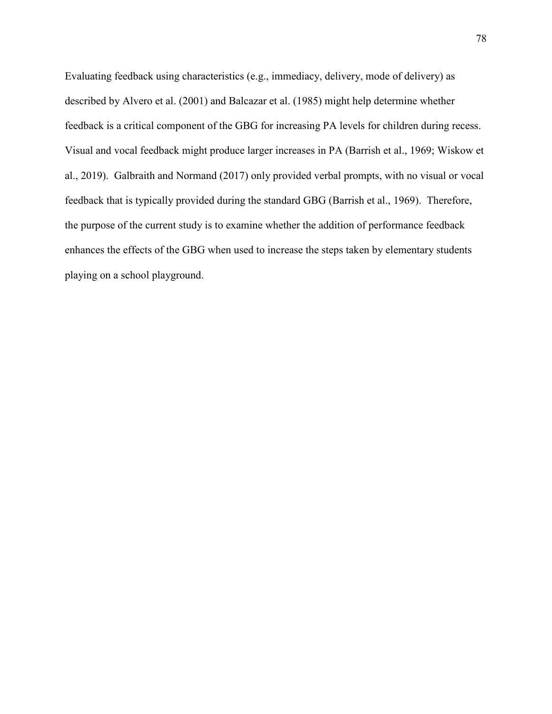Evaluating feedback using characteristics (e.g., immediacy, delivery, mode of delivery) as described by Alvero et al. (2001) and Balcazar et al. (1985) might help determine whether feedback is a critical component of the GBG for increasing PA levels for children during recess. Visual and vocal feedback might produce larger increases in PA (Barrish et al., 1969; Wiskow et al., 2019). Galbraith and Normand (2017) only provided verbal prompts, with no visual or vocal feedback that is typically provided during the standard GBG (Barrish et al., 1969). Therefore, the purpose of the current study is to examine whether the addition of performance feedback enhances the effects of the GBG when used to increase the steps taken by elementary students playing on a school playground.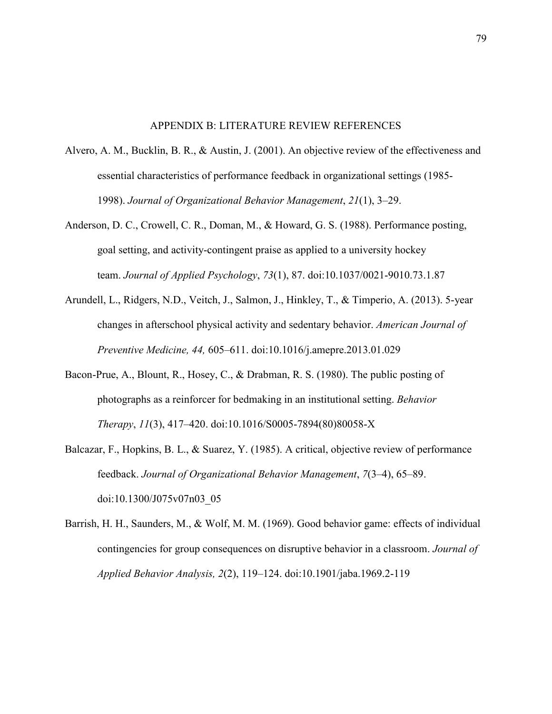#### APPENDIX B: LITERATURE REVIEW REFERENCES

- Alvero, A. M., Bucklin, B. R., & Austin, J. (2001). An objective review of the effectiveness and essential characteristics of performance feedback in organizational settings (1985- 1998). *Journal of Organizational Behavior Management*, *21*(1), 3–29.
- Anderson, D. C., Crowell, C. R., Doman, M., & Howard, G. S. (1988). Performance posting, goal setting, and activity-contingent praise as applied to a university hockey team. *Journal of Applied Psychology*, *73*(1), 87. doi:10.1037/0021-9010.73.1.87
- Arundell, L., Ridgers, N.D., Veitch, J., Salmon, J., Hinkley, T., & Timperio, A. (2013). 5-year changes in afterschool physical activity and sedentary behavior. *American Journal of Preventive Medicine, 44,* 605–611. doi:10.1016/j.amepre.2013.01.029
- Bacon-Prue, A., Blount, R., Hosey, C., & Drabman, R. S. (1980). The public posting of photographs as a reinforcer for bedmaking in an institutional setting. *Behavior Therapy*, *11*(3), 417–420. doi:10.1016/S0005-7894(80)80058-X
- Balcazar, F., Hopkins, B. L., & Suarez, Y. (1985). A critical, objective review of performance feedback. *Journal of Organizational Behavior Management*, *7*(3–4), 65–89. doi:10.1300/J075v07n03\_05
- Barrish, H. H., Saunders, M., & Wolf, M. M. (1969). Good behavior game: effects of individual contingencies for group consequences on disruptive behavior in a classroom. *Journal of Applied Behavior Analysis, 2*(2), 119–124. doi:10.1901/jaba.1969.2-119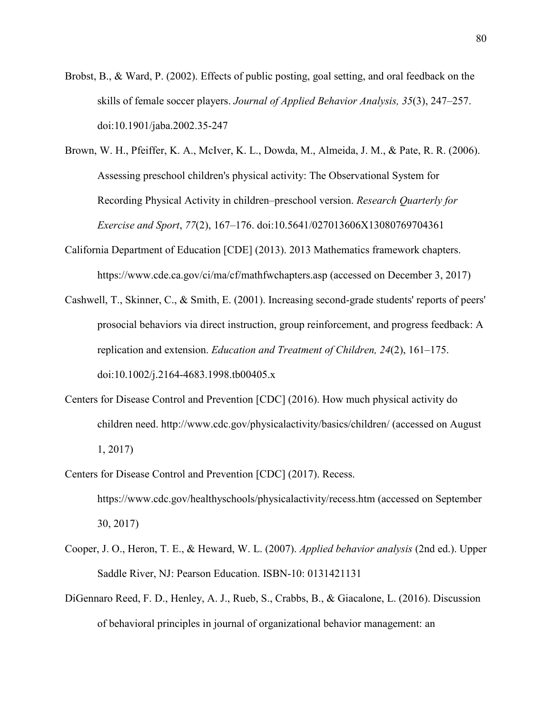- Brobst, B., & Ward, P. (2002). Effects of public posting, goal setting, and oral feedback on the skills of female soccer players. *Journal of Applied Behavior Analysis, 35*(3), 247–257. doi:10.1901/jaba.2002.35-247
- Brown, W. H., Pfeiffer, K. A., McIver, K. L., Dowda, M., Almeida, J. M., & Pate, R. R. (2006). Assessing preschool children's physical activity: The Observational System for Recording Physical Activity in children–preschool version. *Research Quarterly for Exercise and Sport*, *77*(2), 167–176. doi:10.5641/027013606X13080769704361
- California Department of Education [CDE] (2013). 2013 Mathematics framework chapters. https://www.cde.ca.gov/ci/ma/cf/mathfwchapters.asp (accessed on December 3, 2017)
- Cashwell, T., Skinner, C., & Smith, E. (2001). Increasing second-grade students' reports of peers' prosocial behaviors via direct instruction, group reinforcement, and progress feedback: A replication and extension. *Education and Treatment of Children, 24*(2), 161–175. doi:10.1002/j.2164-4683.1998.tb00405.x
- Centers for Disease Control and Prevention [CDC] (2016). How much physical activity do children need. http://www.cdc.gov/physicalactivity/basics/children/ (accessed on August 1, 2017)
- Centers for Disease Control and Prevention [CDC] (2017). Recess. https://www.cdc.gov/healthyschools/physicalactivity/recess.htm (accessed on September 30, 2017)
- Cooper, J. O., Heron, T. E., & Heward, W. L. (2007). *Applied behavior analysis* (2nd ed.). Upper Saddle River, NJ: Pearson Education. ISBN-10: 0131421131
- DiGennaro Reed, F. D., Henley, A. J., Rueb, S., Crabbs, B., & Giacalone, L. (2016). Discussion of behavioral principles in journal of organizational behavior management: an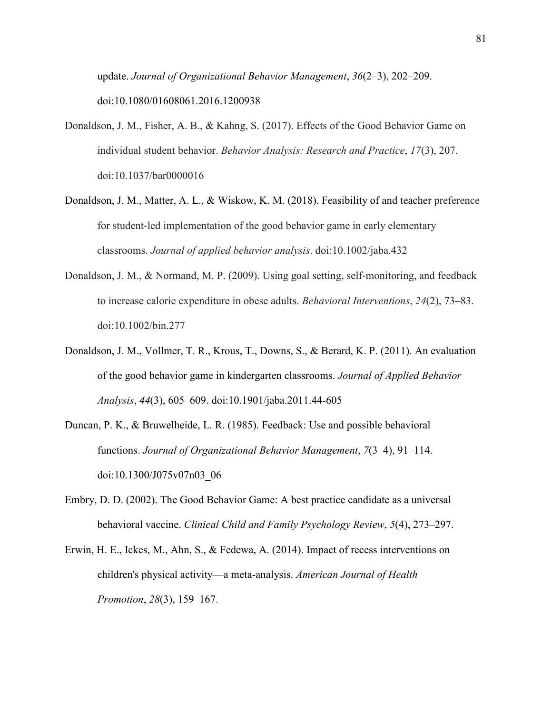update. *Journal of Organizational Behavior Management*, *36*(2–3), 202–209. doi:10.1080/01608061.2016.1200938

- Donaldson, J. M., Fisher, A. B., & Kahng, S. (2017). Effects of the Good Behavior Game on individual student behavior. *Behavior Analysis: Research and Practice*, *17*(3), 207. doi:10.1037/bar0000016
- Donaldson, J. M., Matter, A. L., & Wiskow, K. M. (2018). Feasibility of and teacher preference for student-led implementation of the good behavior game in early elementary classrooms. *Journal of applied behavior analysis*. doi:10.1002/jaba.432
- Donaldson, J. M., & Normand, M. P. (2009). Using goal setting, self-monitoring, and feedback to increase calorie expenditure in obese adults. *Behavioral Interventions*, *24*(2), 73–83. doi:10.1002/bin.277
- Donaldson, J. M., Vollmer, T. R., Krous, T., Downs, S., & Berard, K. P. (2011). An evaluation of the good behavior game in kindergarten classrooms. *Journal of Applied Behavior Analysis*, *44*(3), 605–609. doi:10.1901/jaba.2011.44-605
- Duncan, P. K., & Bruwelheide, L. R. (1985). Feedback: Use and possible behavioral functions. *Journal of Organizational Behavior Management*, *7*(3–4), 91–114. doi:10.1300/J075v07n03\_06
- Embry, D. D. (2002). The Good Behavior Game: A best practice candidate as a universal behavioral vaccine. *Clinical Child and Family Psychology Review*, *5*(4), 273–297.
- Erwin, H. E., Ickes, M., Ahn, S., & Fedewa, A. (2014). Impact of recess interventions on children's physical activity—a meta-analysis. *American Journal of Health Promotion*, *28*(3), 159–167.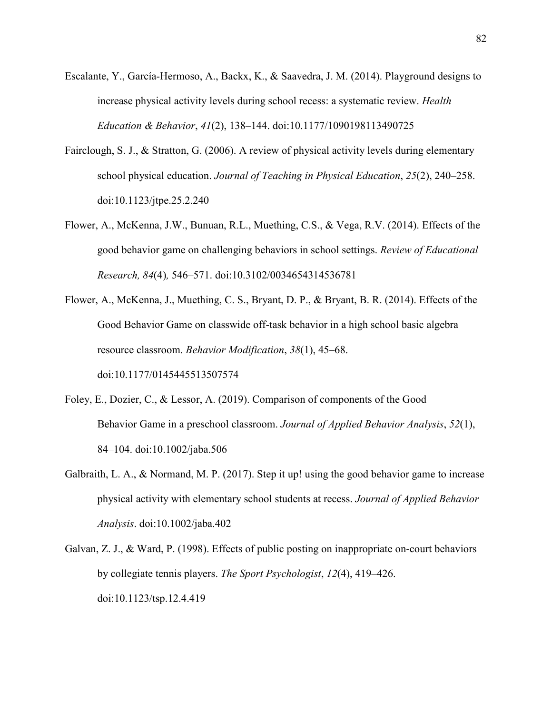- Escalante, Y., García-Hermoso, A., Backx, K., & Saavedra, J. M. (2014). Playground designs to increase physical activity levels during school recess: a systematic review. *Health Education & Behavior*, *41*(2), 138–144. doi:10.1177/1090198113490725
- Fairclough, S. J., & Stratton, G. (2006). A review of physical activity levels during elementary school physical education. *Journal of Teaching in Physical Education*, *25*(2), 240–258. doi:10.1123/jtpe.25.2.240
- Flower, A., McKenna, J.W., Bunuan, R.L., Muething, C.S., & Vega, R.V. (2014). Effects of the good behavior game on challenging behaviors in school settings. *Review of Educational Research, 84*(4)*,* 546–571. doi:10.3102/0034654314536781
- Flower, A., McKenna, J., Muething, C. S., Bryant, D. P., & Bryant, B. R. (2014). Effects of the Good Behavior Game on classwide off-task behavior in a high school basic algebra resource classroom. *Behavior Modification*, *38*(1), 45–68. doi:10.1177/0145445513507574
- Foley, E., Dozier, C., & Lessor, A. (2019). Comparison of components of the Good Behavior Game in a preschool classroom. *Journal of Applied Behavior Analysis*, *52*(1), 84–104. doi:10.1002/jaba.506
- Galbraith, L. A., & Normand, M. P. (2017). Step it up! using the good behavior game to increase physical activity with elementary school students at recess. *Journal of Applied Behavior Analysis*. doi:10.1002/jaba.402
- Galvan, Z. J., & Ward, P. (1998). Effects of public posting on inappropriate on-court behaviors by collegiate tennis players. *The Sport Psychologist*, *12*(4), 419–426. doi:10.1123/tsp.12.4.419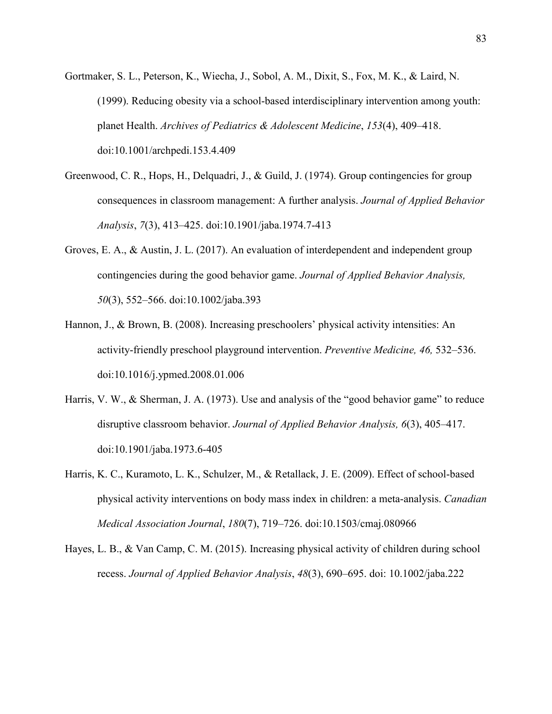- Gortmaker, S. L., Peterson, K., Wiecha, J., Sobol, A. M., Dixit, S., Fox, M. K., & Laird, N. (1999). Reducing obesity via a school-based interdisciplinary intervention among youth: planet Health. *Archives of Pediatrics & Adolescent Medicine*, *153*(4), 409–418. doi:10.1001/archpedi.153.4.409
- Greenwood, C. R., Hops, H., Delquadri, J., & Guild, J. (1974). Group contingencies for group consequences in classroom management: A further analysis. *Journal of Applied Behavior Analysis*, *7*(3), 413–425. doi:10.1901/jaba.1974.7-413
- Groves, E. A., & Austin, J. L. (2017). An evaluation of interdependent and independent group contingencies during the good behavior game. *Journal of Applied Behavior Analysis, 50*(3), 552–566. doi:10.1002/jaba.393
- Hannon, J., & Brown, B. (2008). Increasing preschoolers' physical activity intensities: An activity-friendly preschool playground intervention. *Preventive Medicine, 46,* 532–536. doi:10.1016/j.ypmed.2008.01.006
- Harris, V. W., & Sherman, J. A. (1973). Use and analysis of the "good behavior game" to reduce disruptive classroom behavior. *Journal of Applied Behavior Analysis, 6*(3), 405–417. doi:10.1901/jaba.1973.6-405
- Harris, K. C., Kuramoto, L. K., Schulzer, M., & Retallack, J. E. (2009). Effect of school-based physical activity interventions on body mass index in children: a meta-analysis. *Canadian Medical Association Journal*, *180*(7), 719–726. doi:10.1503/cmaj.080966
- Hayes, L. B., & Van Camp, C. M. (2015). Increasing physical activity of children during school recess. *Journal of Applied Behavior Analysis*, *48*(3), 690–695. doi: 10.1002/jaba.222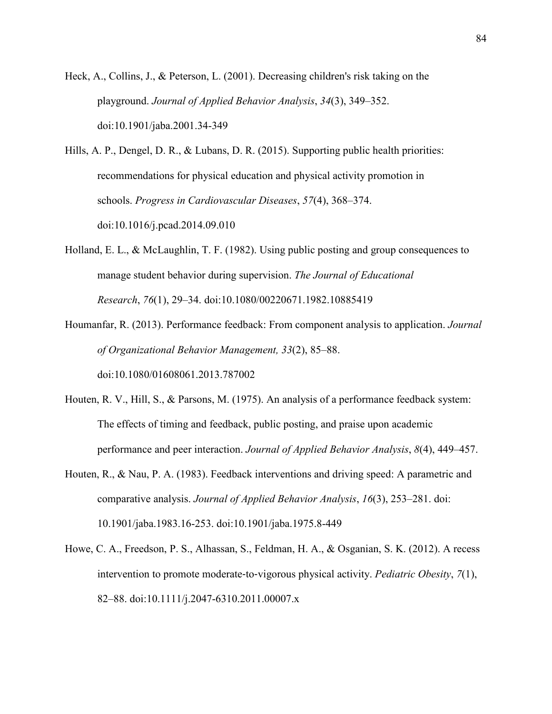Heck, A., Collins, J., & Peterson, L. (2001). Decreasing children's risk taking on the playground. *Journal of Applied Behavior Analysis*, *34*(3), 349–352. doi:10.1901/jaba.2001.34-349

Hills, A. P., Dengel, D. R., & Lubans, D. R. (2015). Supporting public health priorities: recommendations for physical education and physical activity promotion in schools. *Progress in Cardiovascular Diseases*, *57*(4), 368–374. doi:10.1016/j.pcad.2014.09.010

- Holland, E. L., & McLaughlin, T. F. (1982). Using public posting and group consequences to manage student behavior during supervision. *The Journal of Educational Research*, *76*(1), 29–34. doi:10.1080/00220671.1982.10885419
- Houmanfar, R. (2013). Performance feedback: From component analysis to application. *Journal of Organizational Behavior Management, 33*(2), 85–88. doi:10.1080/01608061.2013.787002
- Houten, R. V., Hill, S., & Parsons, M. (1975). An analysis of a performance feedback system: The effects of timing and feedback, public posting, and praise upon academic performance and peer interaction. *Journal of Applied Behavior Analysis*, *8*(4), 449–457.
- Houten, R., & Nau, P. A. (1983). Feedback interventions and driving speed: A parametric and comparative analysis. *Journal of Applied Behavior Analysis*, *16*(3), 253–281. doi: 10.1901/jaba.1983.16-253. doi:10.1901/jaba.1975.8-449
- Howe, C. A., Freedson, P. S., Alhassan, S., Feldman, H. A., & Osganian, S. K. (2012). A recess intervention to promote moderate‐to‐vigorous physical activity. *Pediatric Obesity*, *7*(1), 82–88. doi:10.1111/j.2047-6310.2011.00007.x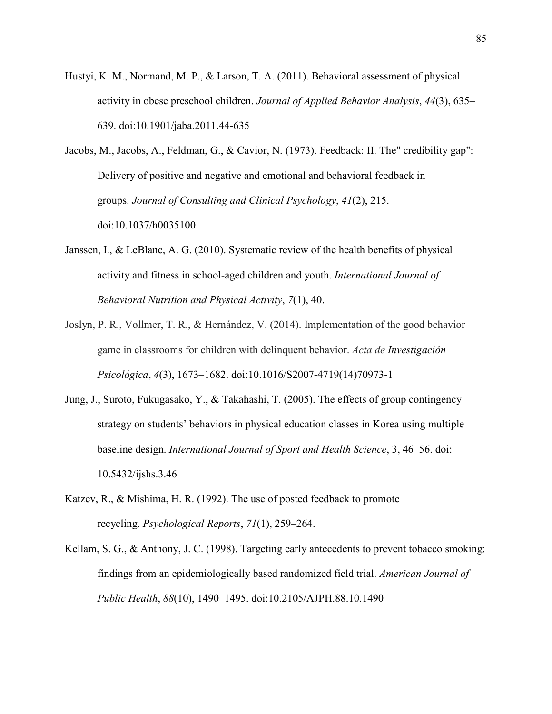Hustyi, K. M., Normand, M. P., & Larson, T. A. (2011). Behavioral assessment of physical activity in obese preschool children. *Journal of Applied Behavior Analysis*, *44*(3), 635– 639. doi:10.1901/jaba.2011.44-635

Jacobs, M., Jacobs, A., Feldman, G., & Cavior, N. (1973). Feedback: II. The" credibility gap": Delivery of positive and negative and emotional and behavioral feedback in groups. *Journal of Consulting and Clinical Psychology*, *41*(2), 215. doi:10.1037/h0035100

- Janssen, I., & LeBlanc, A. G. (2010). Systematic review of the health benefits of physical activity and fitness in school-aged children and youth. *International Journal of Behavioral Nutrition and Physical Activity*, *7*(1), 40.
- Joslyn, P. R., Vollmer, T. R., & Hernández, V. (2014). Implementation of the good behavior game in classrooms for children with delinquent behavior. *Acta de Investigación Psicológica*, *4*(3), 1673–1682. doi:10.1016/S2007-4719(14)70973-1
- Jung, J., Suroto, Fukugasako, Y., & Takahashi, T. (2005). The effects of group contingency strategy on students' behaviors in physical education classes in Korea using multiple baseline design. *International Journal of Sport and Health Science*, 3, 46–56. doi: 10.5432/ijshs.3.46
- Katzev, R., & Mishima, H. R. (1992). The use of posted feedback to promote recycling. *Psychological Reports*, *71*(1), 259–264.
- Kellam, S. G., & Anthony, J. C. (1998). Targeting early antecedents to prevent tobacco smoking: findings from an epidemiologically based randomized field trial. *American Journal of Public Health*, *88*(10), 1490–1495. doi:10.2105/AJPH.88.10.1490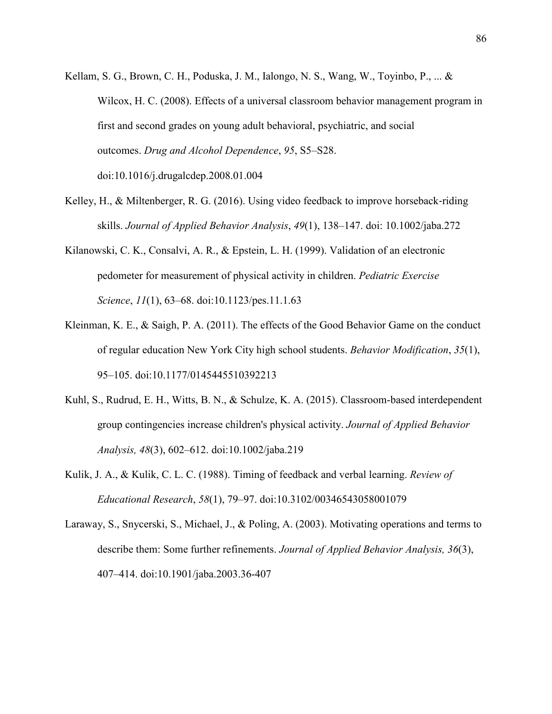- Kellam, S. G., Brown, C. H., Poduska, J. M., Ialongo, N. S., Wang, W., Toyinbo, P., ... & Wilcox, H. C. (2008). Effects of a universal classroom behavior management program in first and second grades on young adult behavioral, psychiatric, and social outcomes. *Drug and Alcohol Dependence*, *95*, S5–S28. doi:10.1016/j.drugalcdep.2008.01.004
- Kelley, H., & Miltenberger, R. G. (2016). Using video feedback to improve horseback-riding skills. *Journal of Applied Behavior Analysis*, *49*(1), 138–147. doi: 10.1002/jaba.272
- Kilanowski, C. K., Consalvi, A. R., & Epstein, L. H. (1999). Validation of an electronic pedometer for measurement of physical activity in children. *Pediatric Exercise Science*, *11*(1), 63–68. doi:10.1123/pes.11.1.63
- Kleinman, K. E., & Saigh, P. A. (2011). The effects of the Good Behavior Game on the conduct of regular education New York City high school students. *Behavior Modification*, *35*(1), 95–105. doi:10.1177/0145445510392213
- Kuhl, S., Rudrud, E. H., Witts, B. N., & Schulze, K. A. (2015). Classroom-based interdependent group contingencies increase children's physical activity. *Journal of Applied Behavior Analysis, 48*(3), 602–612. doi:10.1002/jaba.219
- Kulik, J. A., & Kulik, C. L. C. (1988). Timing of feedback and verbal learning. *Review of Educational Research*, *58*(1), 79–97. doi:10.3102/00346543058001079
- Laraway, S., Snycerski, S., Michael, J., & Poling, A. (2003). Motivating operations and terms to describe them: Some further refinements. *Journal of Applied Behavior Analysis, 36*(3), 407–414. doi:10.1901/jaba.2003.36-407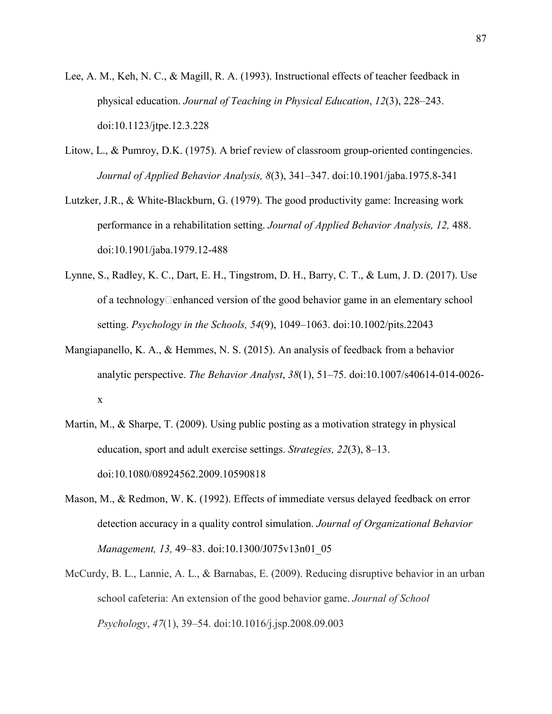- Lee, A. M., Keh, N. C., & Magill, R. A. (1993). Instructional effects of teacher feedback in physical education. *Journal of Teaching in Physical Education*, *12*(3), 228–243. doi:10.1123/jtpe.12.3.228
- Litow, L., & Pumroy, D.K. (1975). A brief review of classroom group-oriented contingencies. *Journal of Applied Behavior Analysis, 8*(3), 341–347. doi:10.1901/jaba.1975.8-341
- Lutzker, J.R., & White-Blackburn, G. (1979). The good productivity game: Increasing work performance in a rehabilitation setting. *Journal of Applied Behavior Analysis, 12,* 488. doi:10.1901/jaba.1979.12-488
- Lynne, S., Radley, K. C., Dart, E. H., Tingstrom, D. H., Barry, C. T., & Lum, J. D. (2017). Use of a technology $\Box$ enhanced version of the good behavior game in an elementary school setting. *Psychology in the Schools, 54*(9), 1049–1063. doi:10.1002/pits.22043
- Mangiapanello, K. A., & Hemmes, N. S. (2015). An analysis of feedback from a behavior analytic perspective. *The Behavior Analyst*, *38*(1), 51–75. doi:10.1007/s40614-014-0026 x
- Martin, M., & Sharpe, T. (2009). Using public posting as a motivation strategy in physical education, sport and adult exercise settings. *Strategies, 22*(3), 8–13. doi:10.1080/08924562.2009.10590818
- Mason, M., & Redmon, W. K. (1992). Effects of immediate versus delayed feedback on error detection accuracy in a quality control simulation. *Journal of Organizational Behavior Management, 13,* 49–83. doi:10.1300/J075v13n01\_05
- McCurdy, B. L., Lannie, A. L., & Barnabas, E. (2009). Reducing disruptive behavior in an urban school cafeteria: An extension of the good behavior game. *Journal of School Psychology*, *47*(1), 39–54. doi:10.1016/j.jsp.2008.09.003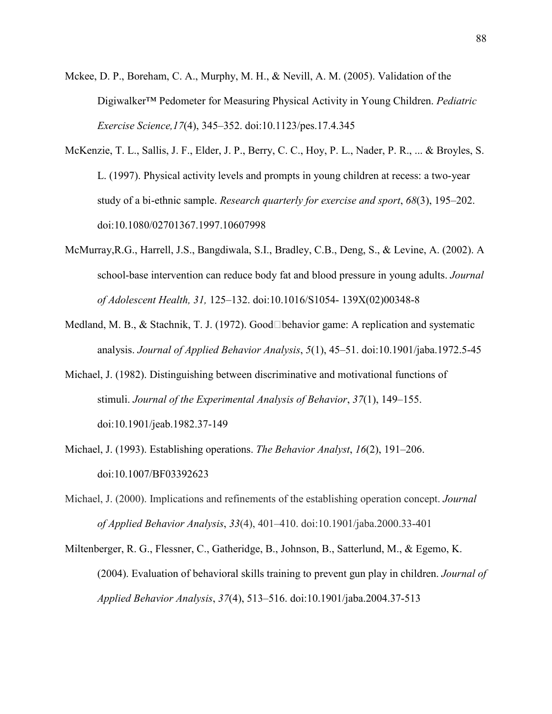- Mckee, D. P., Boreham, C. A., Murphy, M. H., & Nevill, A. M. (2005). Validation of the Digiwalker™ Pedometer for Measuring Physical Activity in Young Children. *Pediatric Exercise Science,17*(4), 345–352. doi:10.1123/pes.17.4.345
- McKenzie, T. L., Sallis, J. F., Elder, J. P., Berry, C. C., Hoy, P. L., Nader, P. R., ... & Broyles, S. L. (1997). Physical activity levels and prompts in young children at recess: a two-year study of a bi-ethnic sample. *Research quarterly for exercise and sport*, *68*(3), 195–202. doi:10.1080/02701367.1997.10607998
- McMurray,R.G., Harrell, J.S., Bangdiwala, S.I., Bradley, C.B., Deng, S., & Levine, A. (2002). A school-base intervention can reduce body fat and blood pressure in young adults. *Journal of Adolescent Health, 31,* 125–132. doi:10.1016/S1054- 139X(02)00348-8
- Medland, M. B., & Stachnik, T. J. (1972). Good Dehavior game: A replication and systematic analysis. *Journal of Applied Behavior Analysis*, *5*(1), 45–51. doi:10.1901/jaba.1972.5-45
- Michael, J. (1982). Distinguishing between discriminative and motivational functions of stimuli. *Journal of the Experimental Analysis of Behavior*, *37*(1), 149–155. doi:10.1901/jeab.1982.37-149
- Michael, J. (1993). Establishing operations. *The Behavior Analyst*, *16*(2), 191–206. doi:10.1007/BF03392623
- Michael, J. (2000). Implications and refinements of the establishing operation concept. *Journal of Applied Behavior Analysis*, *33*(4), 401–410. doi:10.1901/jaba.2000.33-401
- Miltenberger, R. G., Flessner, C., Gatheridge, B., Johnson, B., Satterlund, M., & Egemo, K. (2004). Evaluation of behavioral skills training to prevent gun play in children. *Journal of Applied Behavior Analysis*, *37*(4), 513–516. doi:10.1901/jaba.2004.37-513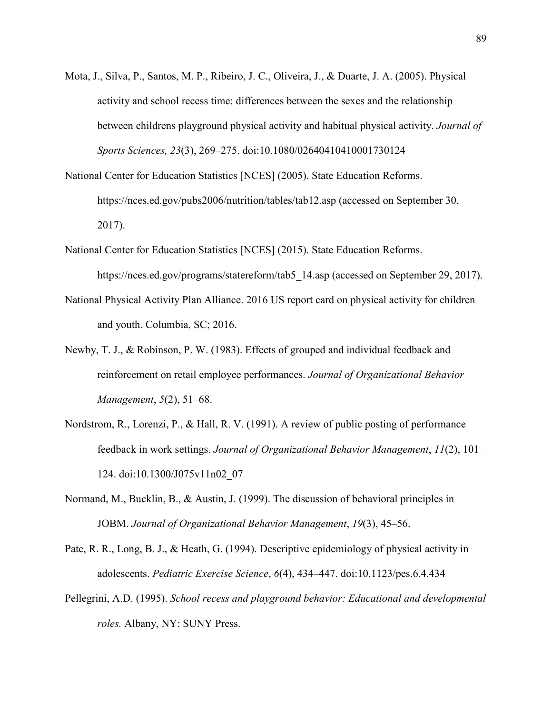- Mota, J., Silva, P., Santos, M. P., Ribeiro, J. C., Oliveira, J., & Duarte, J. A. (2005). Physical activity and school recess time: differences between the sexes and the relationship between childrens playground physical activity and habitual physical activity. *Journal of Sports Sciences, 23*(3), 269–275. doi:10.1080/02640410410001730124
- National Center for Education Statistics [NCES] (2005). State Education Reforms. https://nces.ed.gov/pubs2006/nutrition/tables/tab12.asp (accessed on September 30, 2017).
- National Center for Education Statistics [NCES] (2015). State Education Reforms. https://nces.ed.gov/programs/statereform/tab5 14.asp (accessed on September 29, 2017).
- National Physical Activity Plan Alliance. 2016 US report card on physical activity for children and youth. Columbia, SC; 2016.
- Newby, T. J., & Robinson, P. W. (1983). Effects of grouped and individual feedback and reinforcement on retail employee performances. *Journal of Organizational Behavior Management*, *5*(2), 51–68.
- Nordstrom, R., Lorenzi, P., & Hall, R. V. (1991). A review of public posting of performance feedback in work settings. *Journal of Organizational Behavior Management*, *11*(2), 101– 124. doi:10.1300/J075v11n02\_07
- Normand, M., Bucklin, B., & Austin, J. (1999). The discussion of behavioral principles in JOBM. *Journal of Organizational Behavior Management*, *19*(3), 45–56.
- Pate, R. R., Long, B. J., & Heath, G. (1994). Descriptive epidemiology of physical activity in adolescents. *Pediatric Exercise Science*, *6*(4), 434–447. doi:10.1123/pes.6.4.434
- Pellegrini, A.D. (1995). *School recess and playground behavior: Educational and developmental roles.* Albany, NY: SUNY Press.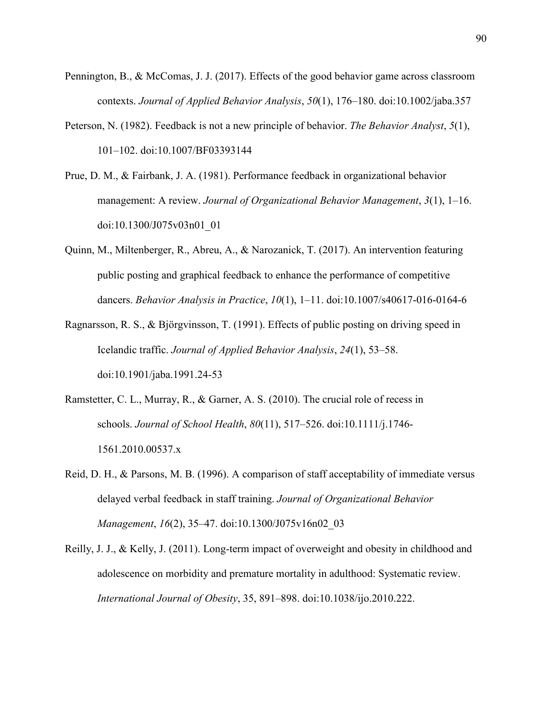- Pennington, B., & McComas, J. J. (2017). Effects of the good behavior game across classroom contexts. *Journal of Applied Behavior Analysis*, *50*(1), 176–180. doi:10.1002/jaba.357
- Peterson, N. (1982). Feedback is not a new principle of behavior. *The Behavior Analyst*, *5*(1), 101–102. doi:10.1007/BF03393144
- Prue, D. M., & Fairbank, J. A. (1981). Performance feedback in organizational behavior management: A review. *Journal of Organizational Behavior Management*, *3*(1), 1–16. doi:10.1300/J075v03n01\_01
- Quinn, M., Miltenberger, R., Abreu, A., & Narozanick, T. (2017). An intervention featuring public posting and graphical feedback to enhance the performance of competitive dancers. *Behavior Analysis in Practice*, *10*(1), 1–11. doi:10.1007/s40617-016-0164-6
- Ragnarsson, R. S., & Björgvinsson, T. (1991). Effects of public posting on driving speed in Icelandic traffic. *Journal of Applied Behavior Analysis*, *24*(1), 53–58. doi:10.1901/jaba.1991.24-53
- Ramstetter, C. L., Murray, R., & Garner, A. S. (2010). The crucial role of recess in schools. *Journal of School Health*, *80*(11), 517–526. doi:10.1111/j.1746- 1561.2010.00537.x
- Reid, D. H., & Parsons, M. B. (1996). A comparison of staff acceptability of immediate versus delayed verbal feedback in staff training. *Journal of Organizational Behavior Management*, *16*(2), 35–47. doi:10.1300/J075v16n02\_03
- Reilly, J. J., & Kelly, J. (2011). Long-term impact of overweight and obesity in childhood and adolescence on morbidity and premature mortality in adulthood: Systematic review. *International Journal of Obesity*, 35, 891–898. doi:10.1038/ijo.2010.222.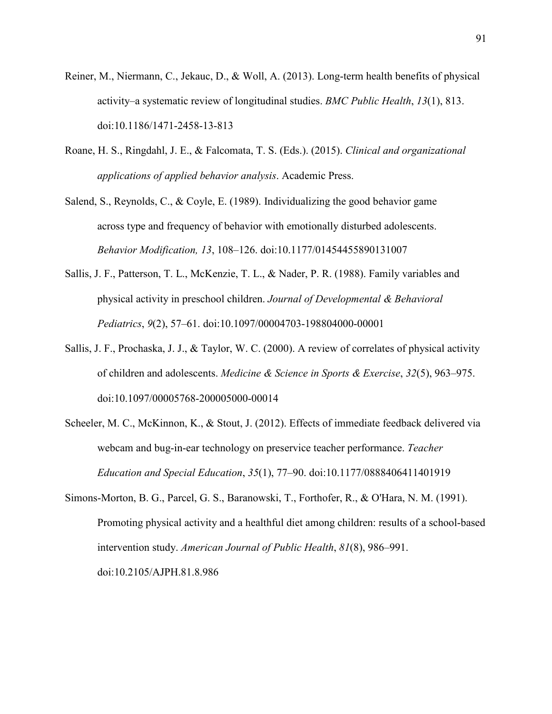- Reiner, M., Niermann, C., Jekauc, D., & Woll, A. (2013). Long-term health benefits of physical activity–a systematic review of longitudinal studies. *BMC Public Health*, *13*(1), 813. doi:10.1186/1471-2458-13-813
- Roane, H. S., Ringdahl, J. E., & Falcomata, T. S. (Eds.). (2015). *Clinical and organizational applications of applied behavior analysis*. Academic Press.

Salend, S., Reynolds, C., & Coyle, E. (1989). Individualizing the good behavior game across type and frequency of behavior with emotionally disturbed adolescents. *Behavior Modification, 13*, 108–126. doi:10.1177/01454455890131007

- Sallis, J. F., Patterson, T. L., McKenzie, T. L., & Nader, P. R. (1988). Family variables and physical activity in preschool children. *Journal of Developmental & Behavioral Pediatrics*, *9*(2), 57–61. doi:10.1097/00004703-198804000-00001
- Sallis, J. F., Prochaska, J. J., & Taylor, W. C. (2000). A review of correlates of physical activity of children and adolescents. *Medicine & Science in Sports & Exercise*, *32*(5), 963–975. doi:10.1097/00005768-200005000-00014

Scheeler, M. C., McKinnon, K., & Stout, J. (2012). Effects of immediate feedback delivered via webcam and bug-in-ear technology on preservice teacher performance. *Teacher Education and Special Education*, *35*(1), 77–90. doi:10.1177/0888406411401919

Simons-Morton, B. G., Parcel, G. S., Baranowski, T., Forthofer, R., & O'Hara, N. M. (1991). Promoting physical activity and a healthful diet among children: results of a school-based intervention study. *American Journal of Public Health*, *81*(8), 986–991. doi:10.2105/AJPH.81.8.986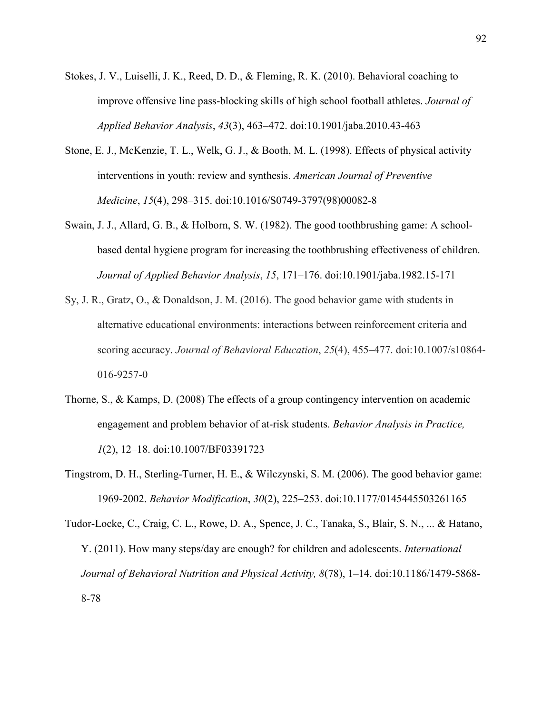- Stokes, J. V., Luiselli, J. K., Reed, D. D., & Fleming, R. K. (2010). Behavioral coaching to improve offensive line pass-blocking skills of high school football athletes. *Journal of Applied Behavior Analysis*, *43*(3), 463–472. doi:10.1901/jaba.2010.43-463
- Stone, E. J., McKenzie, T. L., Welk, G. J., & Booth, M. L. (1998). Effects of physical activity interventions in youth: review and synthesis. *American Journal of Preventive Medicine*, *15*(4), 298–315. doi:10.1016/S0749-3797(98)00082-8
- Swain, J. J., Allard, G. B., & Holborn, S. W. (1982). The good toothbrushing game: A schoolbased dental hygiene program for increasing the toothbrushing effectiveness of children. *Journal of Applied Behavior Analysis*, *15*, 171–176. doi:10.1901/jaba.1982.15-171
- Sy, J. R., Gratz, O., & Donaldson, J. M. (2016). The good behavior game with students in alternative educational environments: interactions between reinforcement criteria and scoring accuracy. *Journal of Behavioral Education*, *25*(4), 455–477. doi:10.1007/s10864- 016-9257-0
- Thorne, S., & Kamps, D. (2008) The effects of a group contingency intervention on academic engagement and problem behavior of at-risk students. *Behavior Analysis in Practice, 1*(2), 12–18. doi:10.1007/BF03391723
- Tingstrom, D. H., Sterling-Turner, H. E., & Wilczynski, S. M. (2006). The good behavior game: 1969-2002. *Behavior Modification*, *30*(2), 225–253. doi:10.1177/0145445503261165

Tudor-Locke, C., Craig, C. L., Rowe, D. A., Spence, J. C., Tanaka, S., Blair, S. N., ... & Hatano, Y. (2011). How many steps/day are enough? for children and adolescents. *International Journal of Behavioral Nutrition and Physical Activity, 8*(78), 1–14. doi:10.1186/1479-5868- 8-78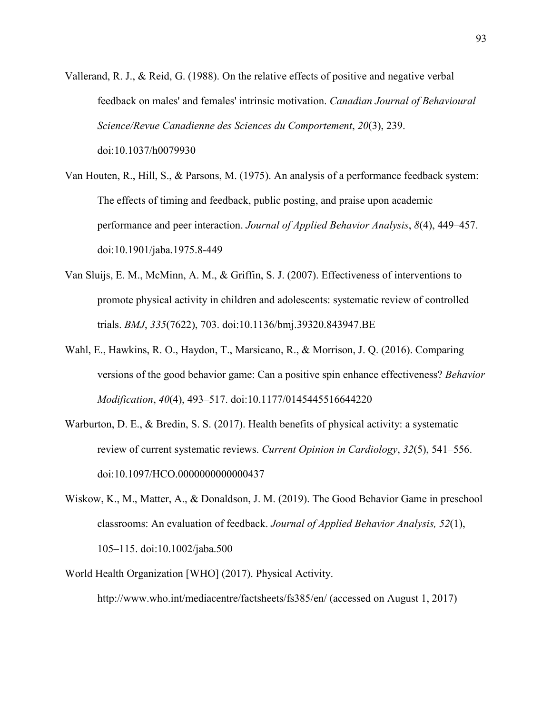- Vallerand, R. J., & Reid, G. (1988). On the relative effects of positive and negative verbal feedback on males' and females' intrinsic motivation. *Canadian Journal of Behavioural Science/Revue Canadienne des Sciences du Comportement*, *20*(3), 239. doi:10.1037/h0079930
- Van Houten, R., Hill, S., & Parsons, M. (1975). An analysis of a performance feedback system: The effects of timing and feedback, public posting, and praise upon academic performance and peer interaction. *Journal of Applied Behavior Analysis*, *8*(4), 449–457. doi:10.1901/jaba.1975.8-449
- Van Sluijs, E. M., McMinn, A. M., & Griffin, S. J. (2007). Effectiveness of interventions to promote physical activity in children and adolescents: systematic review of controlled trials. *BMJ*, *335*(7622), 703. doi:10.1136/bmj.39320.843947.BE
- Wahl, E., Hawkins, R. O., Haydon, T., Marsicano, R., & Morrison, J. Q. (2016). Comparing versions of the good behavior game: Can a positive spin enhance effectiveness? *Behavior Modification*, *40*(4), 493–517. doi:10.1177/0145445516644220
- Warburton, D. E., & Bredin, S. S. (2017). Health benefits of physical activity: a systematic review of current systematic reviews. *Current Opinion in Cardiology*, *32*(5), 541–556. doi:10.1097/HCO.0000000000000437
- Wiskow, K., M., Matter, A., & Donaldson, J. M. (2019). The Good Behavior Game in preschool classrooms: An evaluation of feedback. *Journal of Applied Behavior Analysis, 52*(1), 105–115. doi:10.1002/jaba.500
- World Health Organization [WHO] (2017). Physical Activity. http://www.who.int/mediacentre/factsheets/fs385/en/ (accessed on August 1, 2017)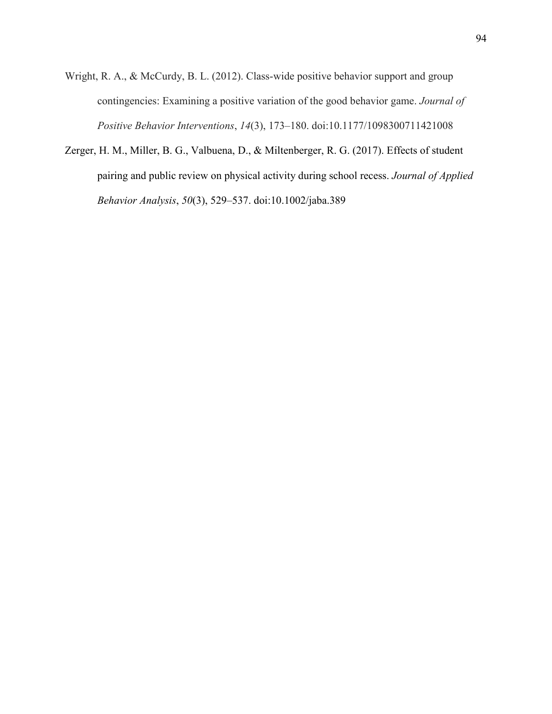- Wright, R. A., & McCurdy, B. L. (2012). Class-wide positive behavior support and group contingencies: Examining a positive variation of the good behavior game. *Journal of Positive Behavior Interventions*, *14*(3), 173–180. doi:10.1177/1098300711421008
- Zerger, H. M., Miller, B. G., Valbuena, D., & Miltenberger, R. G. (2017). Effects of student pairing and public review on physical activity during school recess. *Journal of Applied Behavior Analysis*, *50*(3), 529–537. doi:10.1002/jaba.389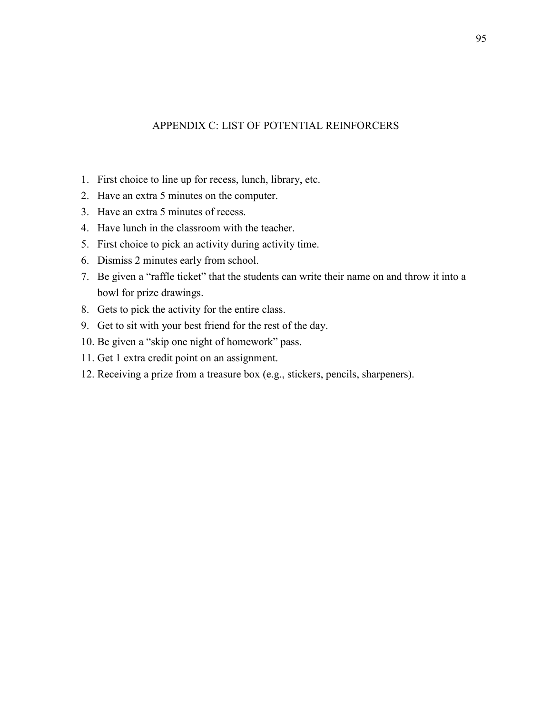# APPENDIX C: LIST OF POTENTIAL REINFORCERS

- 1. First choice to line up for recess, lunch, library, etc.
- 2. Have an extra 5 minutes on the computer.
- 3. Have an extra 5 minutes of recess.
- 4. Have lunch in the classroom with the teacher.
- 5. First choice to pick an activity during activity time.
- 6. Dismiss 2 minutes early from school.
- 7. Be given a "raffle ticket" that the students can write their name on and throw it into a bowl for prize drawings.
- 8. Gets to pick the activity for the entire class.
- 9. Get to sit with your best friend for the rest of the day.
- 10. Be given a "skip one night of homework" pass.
- 11. Get 1 extra credit point on an assignment.
- 12. Receiving a prize from a treasure box (e.g., stickers, pencils, sharpeners).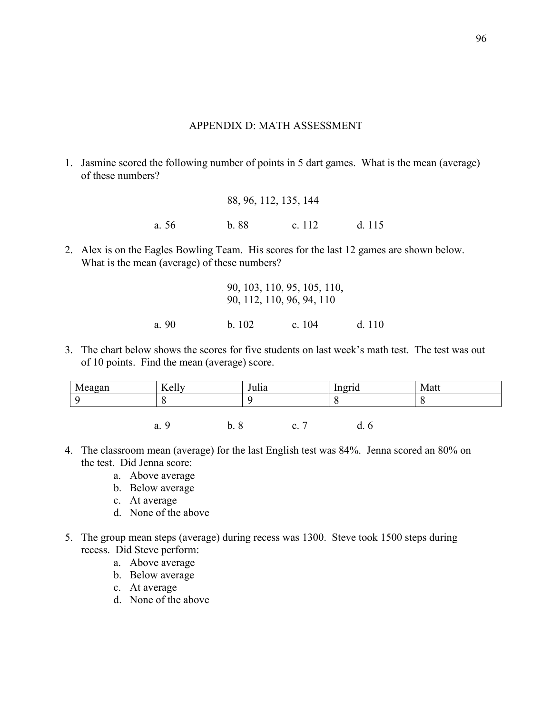# APPENDIX D: MATH ASSESSMENT

1. Jasmine scored the following number of points in 5 dart games. What is the mean (average) of these numbers?

|       | 88, 96, 112, 135, 144 |        |        |
|-------|-----------------------|--------|--------|
| a. 56 | b.88                  | c. 112 | d. 115 |

2. Alex is on the Eagles Bowling Team. His scores for the last 12 games are shown below. What is the mean (average) of these numbers?

|       |       | 90, 103, 110, 95, 105, 110,<br>90, 112, 110, 96, 94, 110 |        |
|-------|-------|----------------------------------------------------------|--------|
| a. 90 | b.102 | c. $104$                                                 | d. 110 |

3. The chart below shows the scores for five students on last week's math test. The test was out of 10 points. Find the mean (average) score.

| Meagan | Kelly   | Julia               |    | .<br>Ingrid | Matt |
|--------|---------|---------------------|----|-------------|------|
|        | U       |                     |    |             |      |
|        |         |                     |    |             |      |
|        | a.<br>u | O<br>h<br>U.<br>- C | ◡. | a.<br>U     |      |

- 4. The classroom mean (average) for the last English test was 84%. Jenna scored an 80% on the test. Did Jenna score:
	- a. Above average
	- b. Below average
	- c. At average
	- d. None of the above
- 5. The group mean steps (average) during recess was 1300. Steve took 1500 steps during recess. Did Steve perform:
	- a. Above average
	- b. Below average
	- c. At average
	- d. None of the above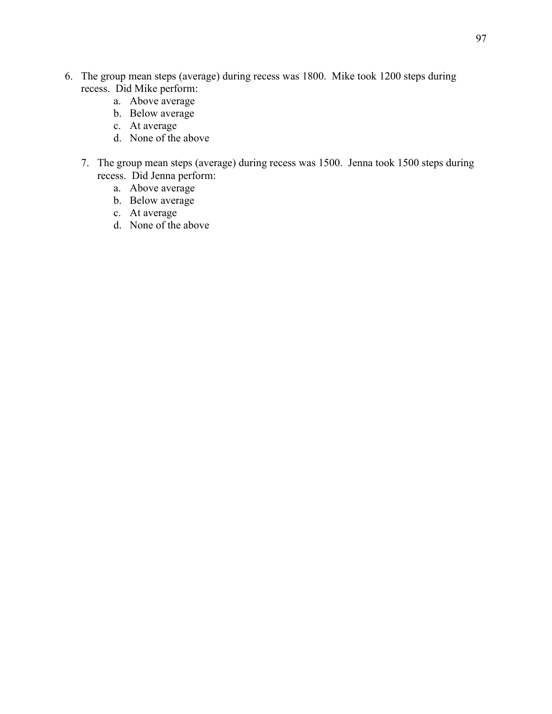- 6. The group mean steps (average) during recess was 1800. Mike took 1200 steps during recess. Did Mike perform:
	- a. Above average
	- b. Below average
	- c. At average
	- d. None of the above
	- 7. The group mean steps (average) during recess was 1500. Jenna took 1500 steps during recess. Did Jenna perform:
		- a. Above average
		- b. Below average
		- c. At average
		- d. None of the above